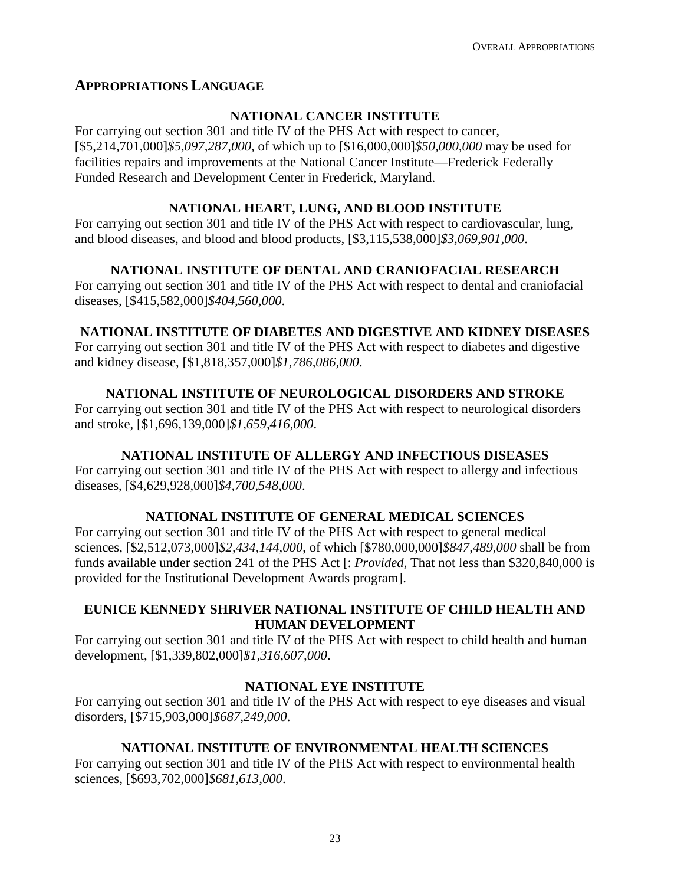# **APPROPRIATIONS LANGUAGE**

## **NATIONAL CANCER INSTITUTE**

For carrying out section 301 and title IV of the PHS Act with respect to cancer, [\$5,214,701,000]*\$5,097,287,000*, of which up to [\$16,000,000]*\$50,000,000* may be used for facilities repairs and improvements at the National Cancer Institute—Frederick Federally Funded Research and Development Center in Frederick, Maryland.

## **NATIONAL HEART, LUNG, AND BLOOD INSTITUTE**

For carrying out section 301 and title IV of the PHS Act with respect to cardiovascular, lung, and blood diseases, and blood and blood products, [\$3,115,538,000]*\$3,069,901,000*.

# **NATIONAL INSTITUTE OF DENTAL AND CRANIOFACIAL RESEARCH**

For carrying out section 301 and title IV of the PHS Act with respect to dental and craniofacial diseases, [\$415,582,000]*\$404,560,000*.

# **NATIONAL INSTITUTE OF DIABETES AND DIGESTIVE AND KIDNEY DISEASES**

For carrying out section 301 and title IV of the PHS Act with respect to diabetes and digestive and kidney disease, [\$1,818,357,000]*\$1,786,086,000*.

# **NATIONAL INSTITUTE OF NEUROLOGICAL DISORDERS AND STROKE**

For carrying out section 301 and title IV of the PHS Act with respect to neurological disorders and stroke, [\$1,696,139,000]*\$1,659,416,000*.

# **NATIONAL INSTITUTE OF ALLERGY AND INFECTIOUS DISEASES**

For carrying out section 301 and title IV of the PHS Act with respect to allergy and infectious diseases, [\$4,629,928,000]*\$4,700,548,000*.

# **NATIONAL INSTITUTE OF GENERAL MEDICAL SCIENCES**

For carrying out section 301 and title IV of the PHS Act with respect to general medical sciences, [\$2,512,073,000]*\$2,434,144,000*, of which [\$780,000,000]*\$847,489,000* shall be from funds available under section 241 of the PHS Act [: *Provided*, That not less than \$320,840,000 is provided for the Institutional Development Awards program].

## **EUNICE KENNEDY SHRIVER NATIONAL INSTITUTE OF CHILD HEALTH AND HUMAN DEVELOPMENT**

For carrying out section 301 and title IV of the PHS Act with respect to child health and human development, [\$1,339,802,000]*\$1,316,607,000*.

# **NATIONAL EYE INSTITUTE**

For carrying out section 301 and title IV of the PHS Act with respect to eye diseases and visual disorders, [\$715,903,000]*\$687,249,000*.

# **NATIONAL INSTITUTE OF ENVIRONMENTAL HEALTH SCIENCES**

For carrying out section 301 and title IV of the PHS Act with respect to environmental health sciences, [\$693,702,000]*\$681,613,000*.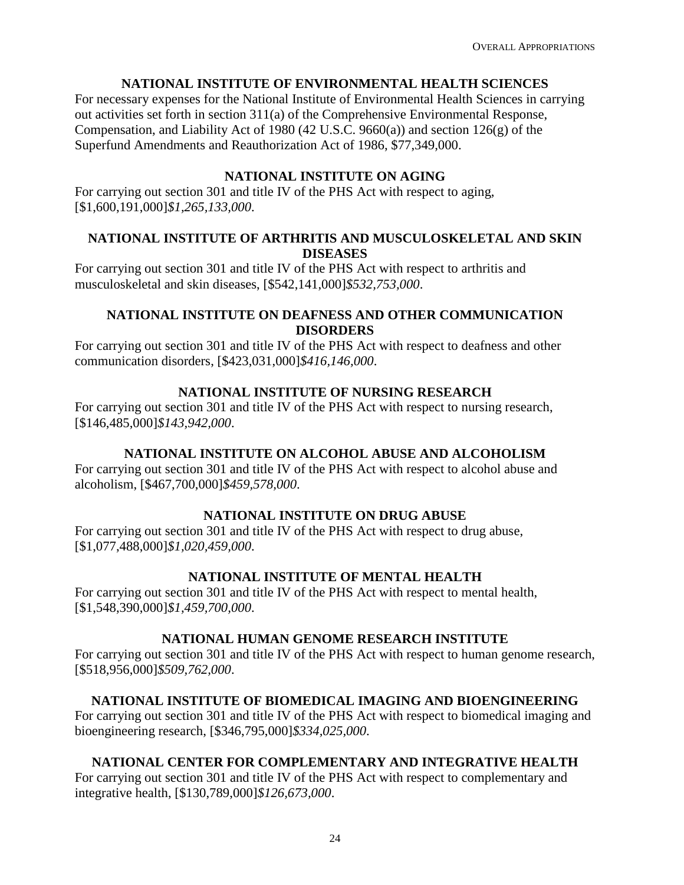## **NATIONAL INSTITUTE OF ENVIRONMENTAL HEALTH SCIENCES**

For necessary expenses for the National Institute of Environmental Health Sciences in carrying out activities set forth in section 311(a) of the Comprehensive Environmental Response, Compensation, and Liability Act of 1980 (42 U.S.C. 9660(a)) and section 126(g) of the Superfund Amendments and Reauthorization Act of 1986, \$77,349,000.

#### **NATIONAL INSTITUTE ON AGING**

For carrying out section 301 and title IV of the PHS Act with respect to aging, [\$1,600,191,000]*\$1,265,133,000*.

## **NATIONAL INSTITUTE OF ARTHRITIS AND MUSCULOSKELETAL AND SKIN DISEASES**

For carrying out section 301 and title IV of the PHS Act with respect to arthritis and musculoskeletal and skin diseases, [\$542,141,000]*\$532,753,000*.

## **NATIONAL INSTITUTE ON DEAFNESS AND OTHER COMMUNICATION DISORDERS**

For carrying out section 301 and title IV of the PHS Act with respect to deafness and other communication disorders, [\$423,031,000]*\$416,146,000*.

## **NATIONAL INSTITUTE OF NURSING RESEARCH**

For carrying out section 301 and title IV of the PHS Act with respect to nursing research, [\$146,485,000]*\$143,942,000*.

## **NATIONAL INSTITUTE ON ALCOHOL ABUSE AND ALCOHOLISM**

For carrying out section 301 and title IV of the PHS Act with respect to alcohol abuse and alcoholism, [\$467,700,000]*\$459,578,000*.

## **NATIONAL INSTITUTE ON DRUG ABUSE**

For carrying out section 301 and title IV of the PHS Act with respect to drug abuse, [\$1,077,488,000]*\$1,020,459,000*.

## **NATIONAL INSTITUTE OF MENTAL HEALTH**

For carrying out section 301 and title IV of the PHS Act with respect to mental health, [\$1,548,390,000]*\$1,459,700,000*.

#### **NATIONAL HUMAN GENOME RESEARCH INSTITUTE**

For carrying out section 301 and title IV of the PHS Act with respect to human genome research, [\$518,956,000]*\$509,762,000*.

## **NATIONAL INSTITUTE OF BIOMEDICAL IMAGING AND BIOENGINEERING**

For carrying out section 301 and title IV of the PHS Act with respect to biomedical imaging and bioengineering research, [\$346,795,000]*\$334,025,000*.

## **NATIONAL CENTER FOR COMPLEMENTARY AND INTEGRATIVE HEALTH**

For carrying out section 301 and title IV of the PHS Act with respect to complementary and integrative health, [\$130,789,000]*\$126,673,000*.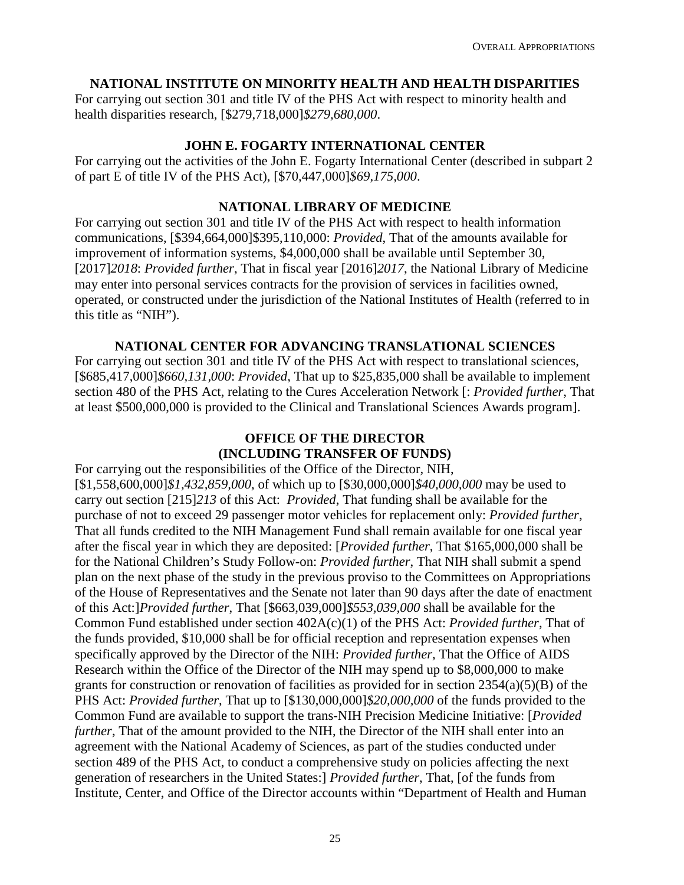## **NATIONAL INSTITUTE ON MINORITY HEALTH AND HEALTH DISPARITIES**

For carrying out section 301 and title IV of the PHS Act with respect to minority health and health disparities research, [\$279,718,000]*\$279,680,000*.

#### **JOHN E. FOGARTY INTERNATIONAL CENTER**

For carrying out the activities of the John E. Fogarty International Center (described in subpart 2 of part E of title IV of the PHS Act), [\$70,447,000]*\$69,175,000*.

## **NATIONAL LIBRARY OF MEDICINE**

For carrying out section 301 and title IV of the PHS Act with respect to health information communications, [\$394,664,000]\$395,110,000: *Provided*, That of the amounts available for improvement of information systems, \$4,000,000 shall be available until September 30, [2017]*2018*: *Provided further*, That in fiscal year [2016]*2017*, the National Library of Medicine may enter into personal services contracts for the provision of services in facilities owned, operated, or constructed under the jurisdiction of the National Institutes of Health (referred to in this title as "NIH").

## **NATIONAL CENTER FOR ADVANCING TRANSLATIONAL SCIENCES**

For carrying out section 301 and title IV of the PHS Act with respect to translational sciences, [\$685,417,000]*\$660,131,000*: *Provided*, That up to \$25,835,000 shall be available to implement section 480 of the PHS Act, relating to the Cures Acceleration Network [: *Provided further*, That at least \$500,000,000 is provided to the Clinical and Translational Sciences Awards program].

# **OFFICE OF THE DIRECTOR (INCLUDING TRANSFER OF FUNDS)**

For carrying out the responsibilities of the Office of the Director, NIH, [\$1,558,600,000]*\$1,432,859,000*, of which up to [\$30,000,000]*\$40,000,000* may be used to carry out section [215]*213* of this Act: *Provided*, That funding shall be available for the purchase of not to exceed 29 passenger motor vehicles for replacement only: *Provided further*, That all funds credited to the NIH Management Fund shall remain available for one fiscal year after the fiscal year in which they are deposited: [*Provided further*, That \$165,000,000 shall be for the National Children's Study Follow-on: *Provided further*, That NIH shall submit a spend plan on the next phase of the study in the previous proviso to the Committees on Appropriations of the House of Representatives and the Senate not later than 90 days after the date of enactment of this Act:]*Provided further*, That [\$663,039,000]*\$553,039,000* shall be available for the Common Fund established under section 402A(c)(1) of the PHS Act: *Provided further*, That of the funds provided, \$10,000 shall be for official reception and representation expenses when specifically approved by the Director of the NIH: *Provided further*, That the Office of AIDS Research within the Office of the Director of the NIH may spend up to \$8,000,000 to make grants for construction or renovation of facilities as provided for in section 2354(a)(5)(B) of the PHS Act: *Provided further*, That up to [\$130,000,000]*\$20,000,000* of the funds provided to the Common Fund are available to support the trans-NIH Precision Medicine Initiative: [*Provided further*, That of the amount provided to the NIH, the Director of the NIH shall enter into an agreement with the National Academy of Sciences, as part of the studies conducted under section 489 of the PHS Act, to conduct a comprehensive study on policies affecting the next generation of researchers in the United States:] *Provided further*, That, [of the funds from Institute, Center, and Office of the Director accounts within "Department of Health and Human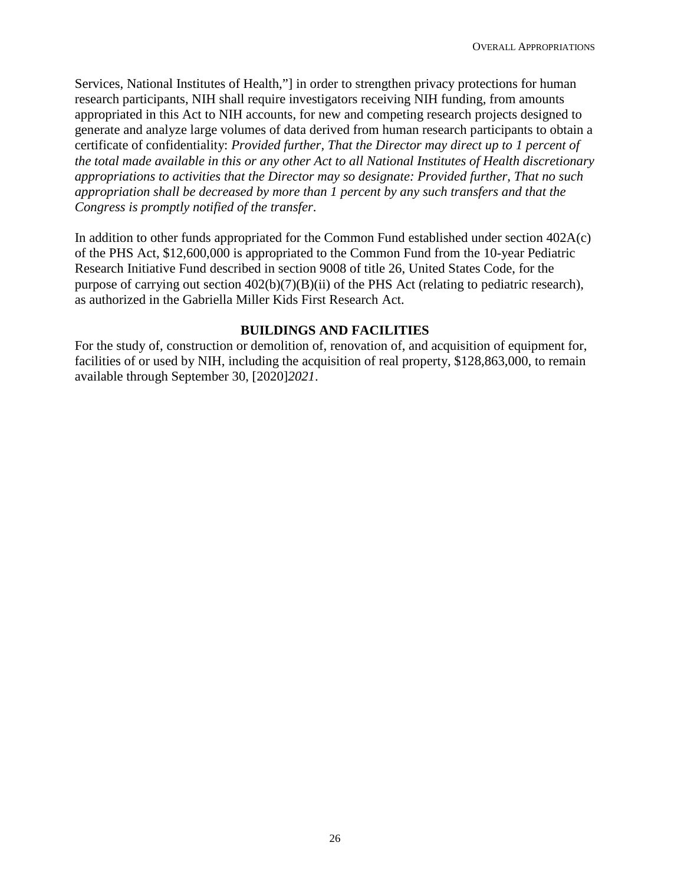Services, National Institutes of Health,"] in order to strengthen privacy protections for human research participants, NIH shall require investigators receiving NIH funding, from amounts appropriated in this Act to NIH accounts, for new and competing research projects designed to generate and analyze large volumes of data derived from human research participants to obtain a certificate of confidentiality: *Provided further, That the Director may direct up to 1 percent of the total made available in this or any other Act to all National Institutes of Health discretionary appropriations to activities that the Director may so designate: Provided further, That no such appropriation shall be decreased by more than 1 percent by any such transfers and that the Congress is promptly notified of the transfer*.

In addition to other funds appropriated for the Common Fund established under section 402A(c) of the PHS Act, \$12,600,000 is appropriated to the Common Fund from the 10-year Pediatric Research Initiative Fund described in section 9008 of title 26, United States Code, for the purpose of carrying out section 402(b)(7)(B)(ii) of the PHS Act (relating to pediatric research), as authorized in the Gabriella Miller Kids First Research Act.

#### **BUILDINGS AND FACILITIES**

For the study of, construction or demolition of, renovation of, and acquisition of equipment for, facilities of or used by NIH, including the acquisition of real property, \$128,863,000, to remain available through September 30, [2020]*2021*.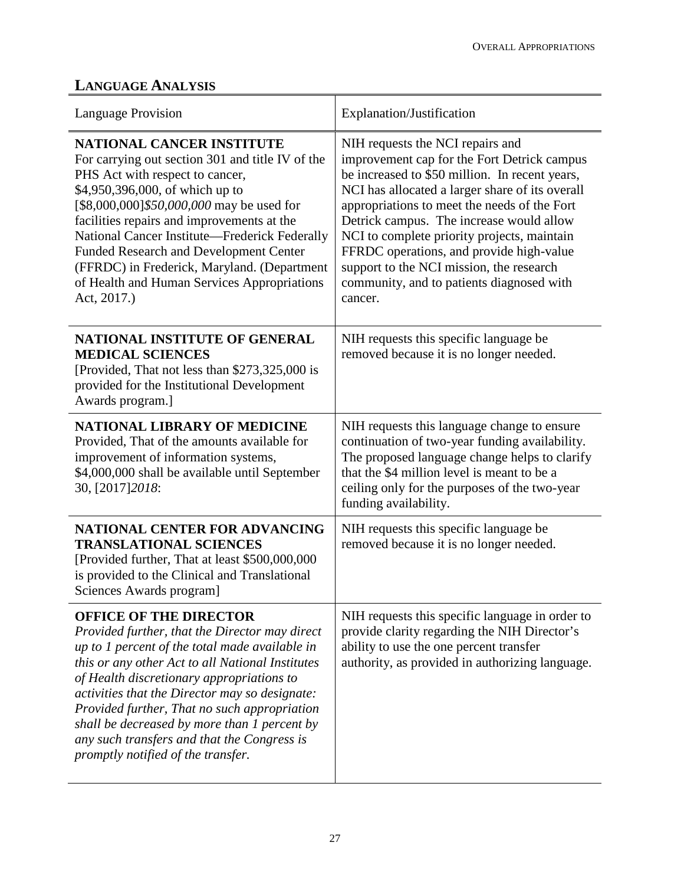# **LANGUAGE ANALYSIS**

| <b>Language Provision</b>                                                                                                                                                                                                                                                                                                                                                                                                                                                   | Explanation/Justification                                                                                                                                                                                                                                                                                                                                                                                                                                                       |
|-----------------------------------------------------------------------------------------------------------------------------------------------------------------------------------------------------------------------------------------------------------------------------------------------------------------------------------------------------------------------------------------------------------------------------------------------------------------------------|---------------------------------------------------------------------------------------------------------------------------------------------------------------------------------------------------------------------------------------------------------------------------------------------------------------------------------------------------------------------------------------------------------------------------------------------------------------------------------|
| <b>NATIONAL CANCER INSTITUTE</b><br>For carrying out section 301 and title IV of the<br>PHS Act with respect to cancer,<br>\$4,950,396,000, of which up to<br>[\$8,000,000]\$50,000,000 may be used for<br>facilities repairs and improvements at the<br>National Cancer Institute-Frederick Federally<br><b>Funded Research and Development Center</b><br>(FFRDC) in Frederick, Maryland. (Department<br>of Health and Human Services Appropriations<br>Act, 2017.)        | NIH requests the NCI repairs and<br>improvement cap for the Fort Detrick campus<br>be increased to \$50 million. In recent years,<br>NCI has allocated a larger share of its overall<br>appropriations to meet the needs of the Fort<br>Detrick campus. The increase would allow<br>NCI to complete priority projects, maintain<br>FFRDC operations, and provide high-value<br>support to the NCI mission, the research<br>community, and to patients diagnosed with<br>cancer. |
| <b>NATIONAL INSTITUTE OF GENERAL</b><br><b>MEDICAL SCIENCES</b><br>[Provided, That not less than \$273,325,000 is<br>provided for the Institutional Development<br>Awards program.]                                                                                                                                                                                                                                                                                         | NIH requests this specific language be<br>removed because it is no longer needed.                                                                                                                                                                                                                                                                                                                                                                                               |
| <b>NATIONAL LIBRARY OF MEDICINE</b><br>Provided, That of the amounts available for<br>improvement of information systems,<br>\$4,000,000 shall be available until September<br>30, [2017] 2018:                                                                                                                                                                                                                                                                             | NIH requests this language change to ensure<br>continuation of two-year funding availability.<br>The proposed language change helps to clarify<br>that the \$4 million level is meant to be a<br>ceiling only for the purposes of the two-year<br>funding availability.                                                                                                                                                                                                         |
| <b>NATIONAL CENTER FOR ADVANCING</b><br><b>TRANSLATIONAL SCIENCES</b><br>[Provided further, That at least \$500,000,000<br>is provided to the Clinical and Translational<br>Sciences Awards program]                                                                                                                                                                                                                                                                        | NIH requests this specific language be<br>removed because it is no longer needed.                                                                                                                                                                                                                                                                                                                                                                                               |
| <b>OFFICE OF THE DIRECTOR</b><br>Provided further, that the Director may direct<br>up to $1$ percent of the total made available in<br>this or any other Act to all National Institutes<br>of Health discretionary appropriations to<br>activities that the Director may so designate:<br>Provided further, That no such appropriation<br>shall be decreased by more than 1 percent by<br>any such transfers and that the Congress is<br>promptly notified of the transfer. | NIH requests this specific language in order to<br>provide clarity regarding the NIH Director's<br>ability to use the one percent transfer<br>authority, as provided in authorizing language.                                                                                                                                                                                                                                                                                   |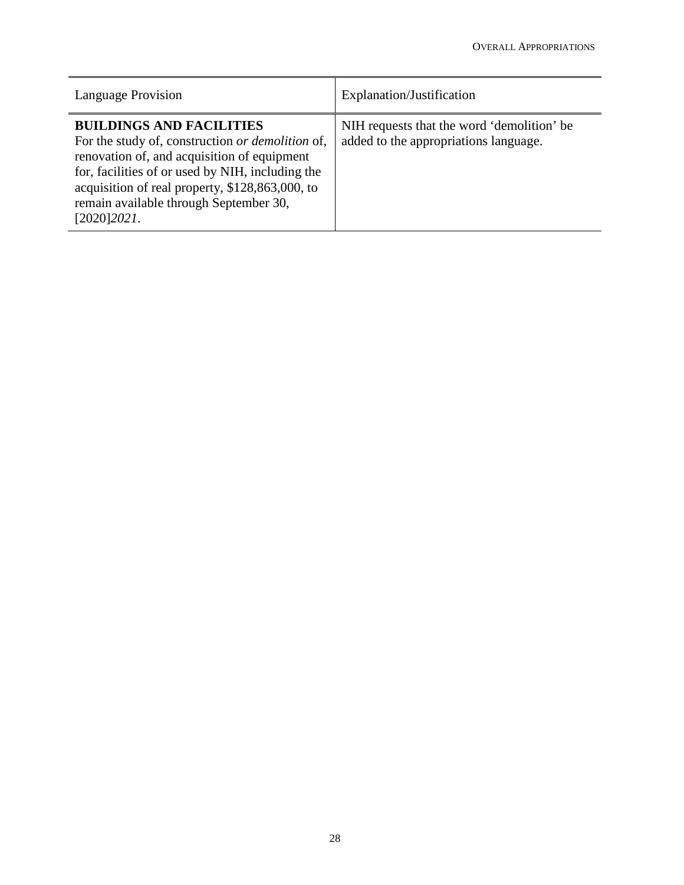| <b>Language Provision</b>                                                                                                                                                                                                                                                                          | Explanation/Justification                                                           |
|----------------------------------------------------------------------------------------------------------------------------------------------------------------------------------------------------------------------------------------------------------------------------------------------------|-------------------------------------------------------------------------------------|
| <b>BUILDINGS AND FACILITIES</b><br>For the study of, construction or demolition of,<br>renovation of, and acquisition of equipment<br>for, facilities of or used by NIH, including the<br>acquisition of real property, \$128,863,000, to<br>remain available through September 30,<br>[2020]2021. | NIH requests that the word 'demolition' be<br>added to the appropriations language. |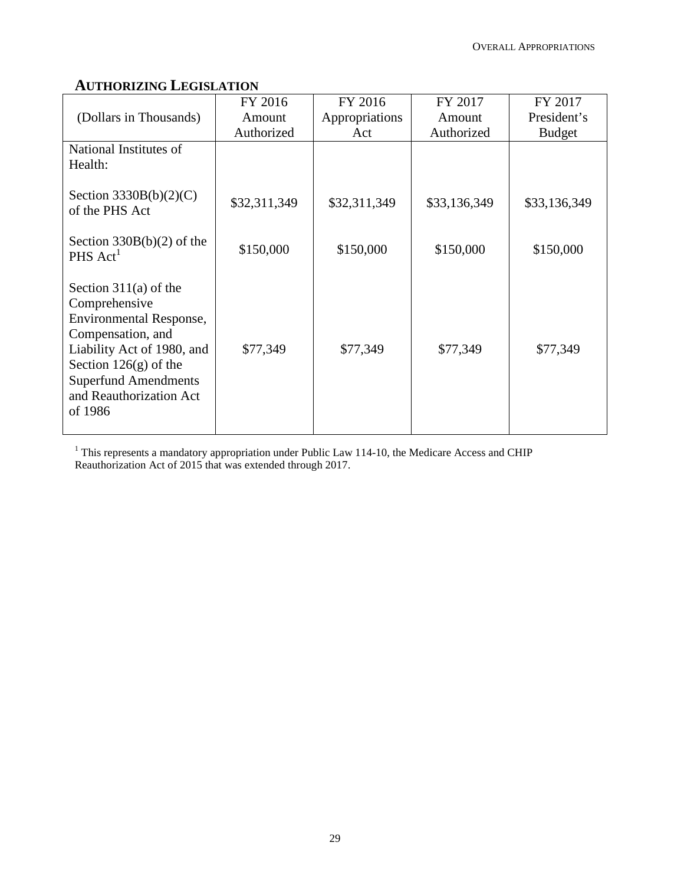# **AUTHORIZING LEGISLATION**

|                                                                                                                                                                                                                               | FY 2016      | FY 2016        | FY 2017      | FY 2017       |
|-------------------------------------------------------------------------------------------------------------------------------------------------------------------------------------------------------------------------------|--------------|----------------|--------------|---------------|
| (Dollars in Thousands)                                                                                                                                                                                                        | Amount       | Appropriations | Amount       | President's   |
|                                                                                                                                                                                                                               | Authorized   | Act            | Authorized   | <b>Budget</b> |
| National Institutes of<br>Health:                                                                                                                                                                                             |              |                |              |               |
| Section $3330B(b)(2)(C)$<br>of the PHS Act                                                                                                                                                                                    | \$32,311,349 | \$32,311,349   | \$33,136,349 | \$33,136,349  |
| Section $330B(b)(2)$ of the<br>$PHS$ Act <sup>1</sup>                                                                                                                                                                         | \$150,000    | \$150,000      | \$150,000    | \$150,000     |
| Section $311(a)$ of the<br>Comprehensive<br><b>Environmental Response,</b><br>Compensation, and<br>Liability Act of 1980, and<br>Section $126(g)$ of the<br><b>Superfund Amendments</b><br>and Reauthorization Act<br>of 1986 | \$77,349     | \$77,349       | \$77,349     | \$77,349      |

 $1$ <sup>1</sup> This represents a mandatory appropriation under Public Law 114-10, the Medicare Access and CHIP Reauthorization Act of 2015 that was extended through 2017.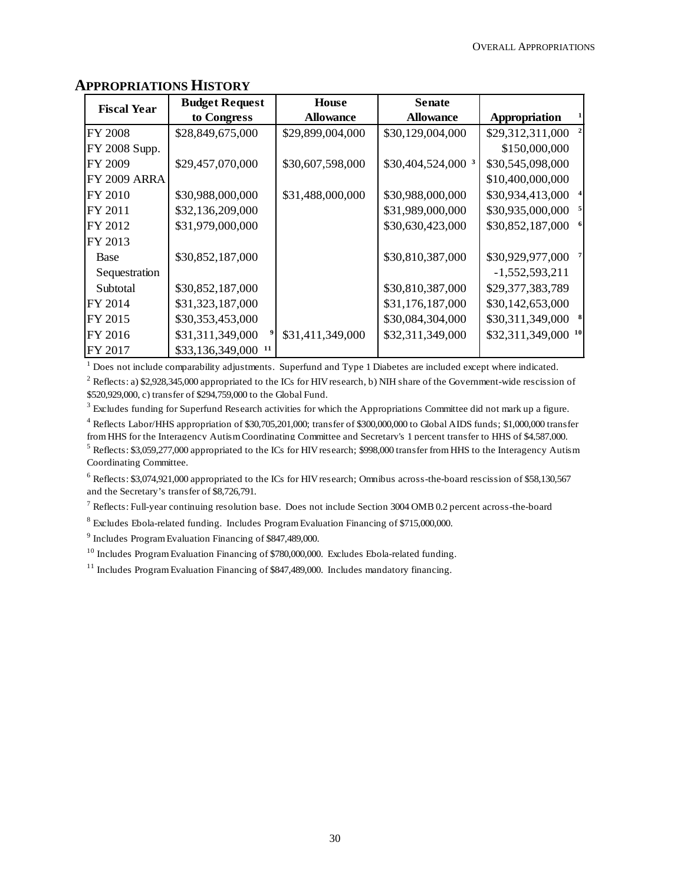## **APPROPRIATIONS HISTORY**

| <b>Fiscal Year</b>  | <b>Budget Request</b>  | House            | <b>Senate</b>      |                     |   |
|---------------------|------------------------|------------------|--------------------|---------------------|---|
|                     | to Congress            | <b>Allowance</b> | <b>Allowance</b>   | Appropriation       |   |
| <b>FY 2008</b>      | \$28,849,675,000       | \$29,899,004,000 | \$30,129,004,000   | \$29,312,311,000    | 2 |
| FY 2008 Supp.       |                        |                  |                    | \$150,000,000       |   |
| FY 2009             | \$29,457,070,000       | \$30,607,598,000 | \$30,404,524,000 3 | \$30,545,098,000    |   |
| <b>FY 2009 ARRA</b> |                        |                  |                    | \$10,400,000,000    |   |
| FY 2010             | \$30,988,000,000       | \$31,488,000,000 | \$30,988,000,000   | \$30,934,413,000    |   |
| FY 2011             | \$32,136,209,000       |                  | \$31,989,000,000   | \$30,935,000,000    | 5 |
| FY 2012             | \$31,979,000,000       |                  | \$30,630,423,000   | \$30,852,187,000    | 6 |
| FY 2013             |                        |                  |                    |                     |   |
| Base                | \$30,852,187,000       |                  | \$30,810,387,000   | \$30,929,977,000    |   |
| Sequestration       |                        |                  |                    | $-1,552,593,211$    |   |
| Subtotal            | \$30,852,187,000       |                  | \$30,810,387,000   | \$29,377,383,789    |   |
| FY 2014             | \$31,323,187,000       |                  | \$31,176,187,000   | \$30,142,653,000    |   |
| FY 2015             | \$30,353,453,000       |                  | \$30,084,304,000   | \$30,311,349,000    | 8 |
| FY 2016             | \$31,311,349,000       | \$31,411,349,000 | \$32,311,349,000   | \$32,311,349,000 10 |   |
| FY 2017             | \$33,136,349,000<br>11 |                  |                    |                     |   |

 $1$  Does not include comparability adjustments. Superfund and Type 1 Diabetes are included except where indicated.

 $^2$  Reflects: a) \$2,928,345,000 appropriated to the ICs for HIV research, b) NIH share of the Government-wide rescission of \$520,929,000, c) transfer of \$294,759,000 to the Global Fund.

 $3$  Excludes funding for Superfund Research activities for which the Appropriations Committee did not mark up a figure.

4 Reflects Labor/HHS appropriation of \$30,705,201,000; transfer of \$300,000,000 to Global AIDS funds; \$1,000,000 transfer from HHS for the Interagency Autism Coordinating Committee and Secretary's 1 percent transfer to HHS of \$4,587,000.

 $^5$  Reflects: \$3,059,277,000 appropriated to the ICs for HIV research; \$998,000 transfer from HHS to the Interagency Autism Coordinating Committee.

<sup>6</sup> Reflects: \$3,074,921,000 appropriated to the ICs for HIV research; Omnibus across-the-board rescission of \$58,130,567 and the Secretary's transfer of \$8,726,791.

<sup>7</sup> Reflects: Full-year continuing resolution base. Does not include Section 3004 OMB 0.2 percent across-the-board

<sup>8</sup> Excludes Ebola-related funding. Includes Program Evaluation Financing of \$715,000,000.

<sup>9</sup> Includes Program Evaluation Financing of \$847,489,000.

<sup>10</sup> Includes Program Evaluation Financing of \$780,000,000. Excludes Ebola-related funding.

<sup>11</sup> Includes Program Evaluation Financing of \$847,489,000. Includes mandatory financing.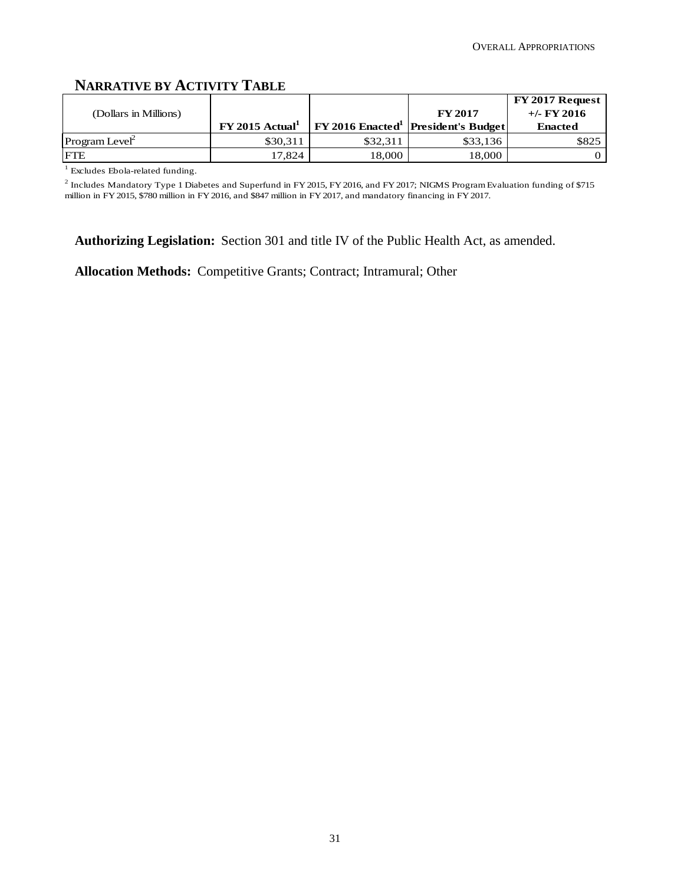# **NARRATIVE BY ACTIVITY TABLE**

|                          |                               |          |                                           | FY 2017 Request |
|--------------------------|-------------------------------|----------|-------------------------------------------|-----------------|
| (Dollars in Millions)    |                               |          | <b>FY 2017</b>                            | $+/-$ FY 2016   |
|                          | $FY$ 2015 Actual <sup>1</sup> |          | <b>FY 2016 Enacted</b> President's Budget | <b>Enacted</b>  |
| $\rm Program \, Level^2$ | \$30.311                      | \$32.311 | \$33,136                                  | \$825           |
| <b>FTE</b>               | 17.824                        | 18.000   | 18.000                                    |                 |

<sup>1</sup> Excludes Ebola-related funding.

 $^2$  Includes Mandatory Type 1 Diabetes and Superfund in FY 2015, FY 2016, and FY 2017; NIGMS Program Evaluation funding of \$715 million in FY 2015, \$780 million in FY 2016, and \$847 million in FY 2017, and mandatory financing in FY 2017.

**Authorizing Legislation:** Section 301 and title IV of the Public Health Act, as amended.

**Allocation Methods:** Competitive Grants; Contract; Intramural; Other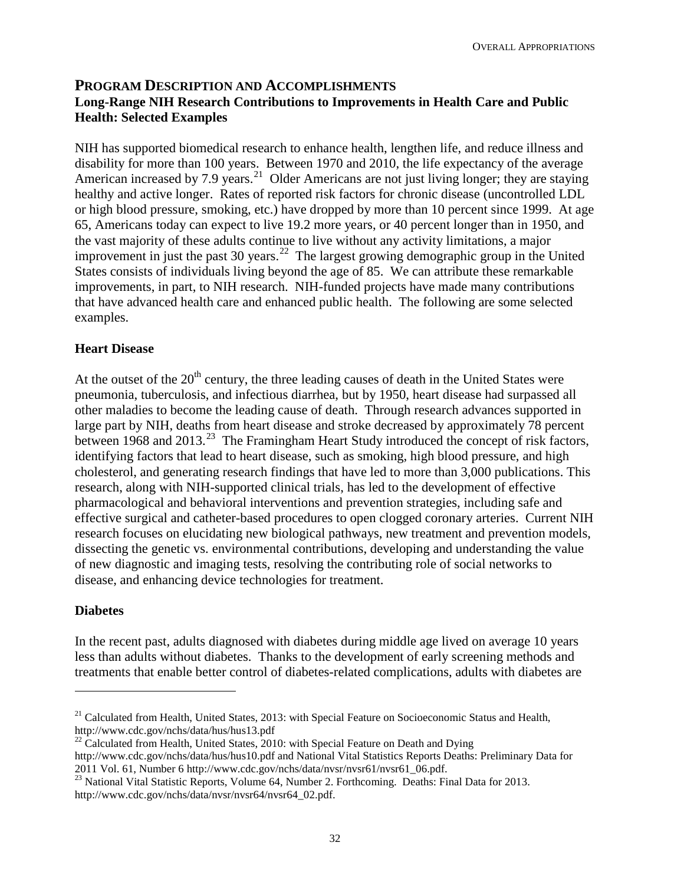## **PROGRAM DESCRIPTION AND ACCOMPLISHMENTS Long-Range NIH Research Contributions to Improvements in Health Care and Public Health: Selected Examples**

NIH has supported biomedical research to enhance health, lengthen life, and reduce illness and disability for more than 100 years. Between 1970 and 2010, the life expectancy of the average American increased by 7.9 years.<sup>21</sup> Older Americans are not just living longer; they are staying healthy and active longer. Rates of reported risk factors for chronic disease (uncontrolled LDL or high blood pressure, smoking, etc.) have dropped by more than 10 percent since 1999. At age 65, Americans today can expect to live 19.2 more years, or 40 percent longer than in 1950, and the vast majority of these adults continue to live without any activity limitations, a major improvement in just the past 30 years.<sup>22</sup> The largest growing demographic group in the United States consists of individuals living beyond the age of 85. We can attribute these remarkable improvements, in part, to NIH research. NIH-funded projects have made many contributions that have advanced health care and enhanced public health. The following are some selected examples.

## **Heart Disease**

At the outset of the  $20<sup>th</sup>$  century, the three leading causes of death in the United States were pneumonia, tuberculosis, and infectious diarrhea, but by 1950, heart disease had surpassed all other maladies to become the leading cause of death. Through research advances supported in large part by NIH, deaths from heart disease and stroke decreased by approximately 78 percent between 1968 and 2013.<sup>23</sup> The Framingham Heart Study introduced the concept of risk factors, identifying factors that lead to heart disease, such as smoking, high blood pressure, and high cholesterol, and generating research findings that have led to more than 3,000 publications. This research, along with NIH-supported clinical trials, has led to the development of effective pharmacological and behavioral interventions and prevention strategies, including safe and effective surgical and catheter-based procedures to open clogged coronary arteries. Current NIH research focuses on elucidating new biological pathways, new treatment and prevention models, dissecting the genetic vs. environmental contributions, developing and understanding the value of new diagnostic and imaging tests, resolving the contributing role of social networks to disease, and enhancing device technologies for treatment.

## **Diabetes**

1

In the recent past, adults diagnosed with diabetes during middle age lived on average 10 years less than adults without diabetes. Thanks to the development of early screening methods and treatments that enable better control of diabetes-related complications, adults with diabetes are

<span id="page-9-0"></span> $21$  Calculated from Health, United States, 2013: with Special Feature on Socioeconomic Status and Health, <http://www.cdc.gov/nchs/data/hus/hus13.pdf>

<span id="page-9-1"></span> $22$  Calculated from Health, United States, 2010: with Special Feature on Death and Dying <http://www.cdc.gov/nchs/data/hus/hus10.pdf> and National Vital Statistics Reports Deaths: Preliminary Data for 2011 Vol. 61, Number 6 http://www.cdc.gov/nchs/data/nvsr/nvsr61/nvsr61\_06.pdf.

<span id="page-9-2"></span><sup>&</sup>lt;sup>23</sup> National Vital Statistic Reports, Volume 64, Number 2. Forthcoming. Deaths: Final Data for 2013. [http://www.cdc.gov/nchs/data/nvsr/nvsr64/nvsr64\\_02.pdf.](http://www.cdc.gov/nchs/data/nvsr/nvsr64/nvsr64_02.pdf)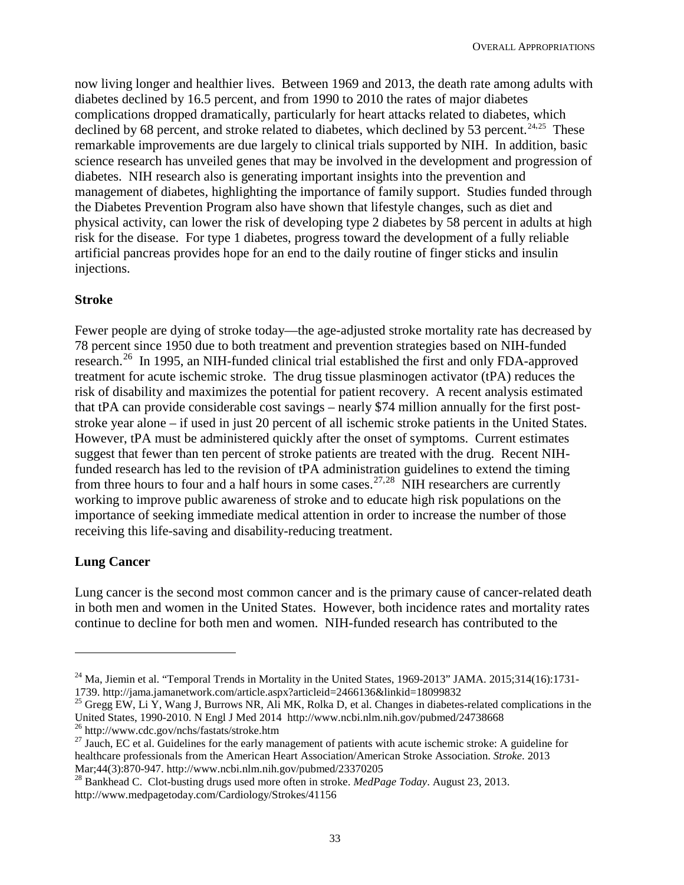now living longer and healthier lives. Between 1969 and 2013, the death rate among adults with diabetes declined by 16.5 percent, and from 1990 to 2010 the rates of major diabetes complications dropped dramatically, particularly for heart attacks related to diabetes, which declined by 68 percent, and stroke related to diabetes, which declined by 53 percent.<sup>[24,](#page-10-0)[25](#page-10-1)</sup> These remarkable improvements are due largely to clinical trials supported by NIH. In addition, basic science research has unveiled genes that may be involved in the development and progression of diabetes. NIH research also is generating important insights into the prevention and management of diabetes, highlighting the importance of family support. Studies funded through the Diabetes Prevention Program also have shown that lifestyle changes, such as diet and physical activity, can lower the risk of developing type 2 diabetes by 58 percent in adults at high risk for the disease. For type 1 diabetes, progress toward the development of a fully reliable artificial pancreas provides hope for an end to the daily routine of finger sticks and insulin injections.

#### **Stroke**

Fewer people are dying of stroke today—the age-adjusted stroke mortality rate has decreased by 78 percent since 1950 due to both treatment and prevention strategies based on NIH-funded research.<sup>26</sup> In 1995, an NIH-funded clinical trial established the first and only FDA-approved treatment for acute ischemic stroke. The drug tissue plasminogen activator (tPA) reduces the risk of disability and maximizes the potential for patient recovery. A recent analysis estimated that tPA can provide considerable cost savings – nearly \$74 million annually for the first poststroke year alone – if used in just 20 percent of all ischemic stroke patients in the United States. However, tPA must be administered quickly after the onset of symptoms. Current estimates suggest that fewer than ten percent of stroke patients are treated with the drug. Recent NIHfunded research has led to the revision of tPA administration guidelines to extend the timing from three hours to four and a half hours in some cases.<sup>[27,](#page-10-3)28</sup> NIH researchers are currently working to improve public awareness of stroke and to educate high risk populations on the importance of seeking immediate medical attention in order to increase the number of those receiving this life-saving and disability-reducing treatment.

#### **Lung Cancer**

 $\overline{a}$ 

Lung cancer is the second most common cancer and is the primary cause of cancer-related death in both men and women in the United States. However, both incidence rates and mortality rates continue to decline for both men and women. NIH-funded research has contributed to the

<span id="page-10-0"></span><sup>&</sup>lt;sup>24</sup> Ma, Jiemin et al. "Temporal Trends in Mortality in the United States, 1969-2013" JAMA. 2015;314(16):1731-1739. http://jama.jamanetwork.com/article.aspx?articleid=2466136&linkid=18099832

<span id="page-10-1"></span><sup>&</sup>lt;sup>25</sup> Gregg EW, Li Y, Wang J, Burrows NR, Ali MK, Rolka D, et al. Changes in diabetes-related complications in the United States, 1990-2010. N Engl J Med 2014 <http://www.ncbi.nlm.nih.gov/pubmed/24738668><br>
<sup>26</sup> http://www.cdc.gov/nchs/fastats/stroke.htm<br>
<sup>27</sup> Jauch, EC et al. Guidelines for the early management of patients with acute is

<span id="page-10-2"></span>

<span id="page-10-3"></span>healthcare professionals from the American Heart Association/American Stroke Association. *Stroke*. 2013 Mar;44(3):870-947.<http://www.ncbi.nlm.nih.gov/pubmed/23370205> <sup>28</sup> Bankhead C. Clot-busting drugs used more often in stroke. *MedPage Today*. August 23, 2013.

<span id="page-10-4"></span><http://www.medpagetoday.com/Cardiology/Strokes/41156>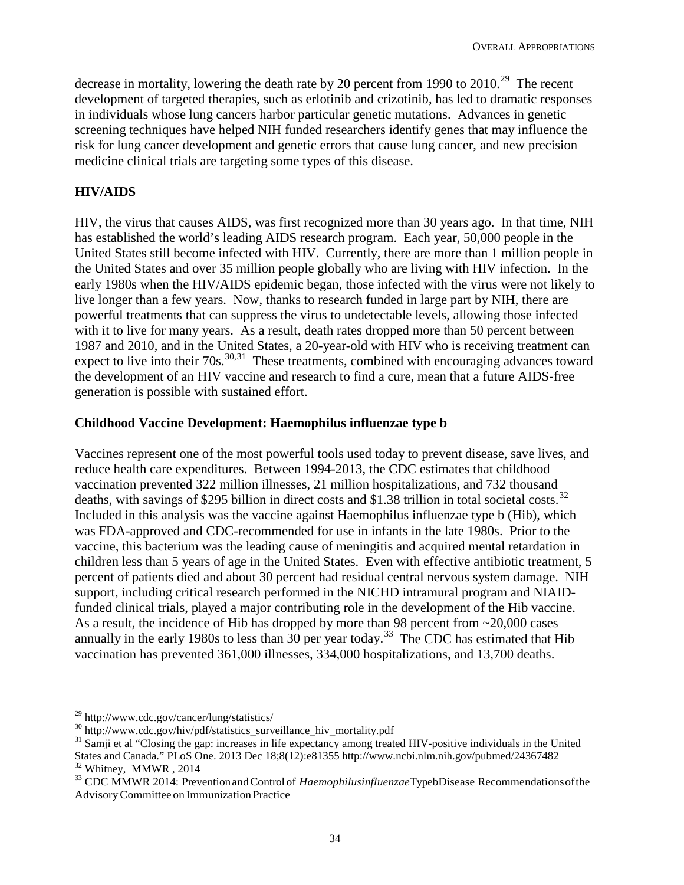decrease in mortality, lowering the death rate by 20 percent from 1990 to  $2010^{29}$  $2010^{29}$  $2010^{29}$  The recent development of targeted therapies, such as erlotinib and crizotinib, has led to dramatic responses in individuals whose lung cancers harbor particular genetic mutations. Advances in genetic screening techniques have helped NIH funded researchers identify genes that may influence the risk for lung cancer development and genetic errors that cause lung cancer, and new precision medicine clinical trials are targeting some types of this disease.

#### **HIV/AIDS**

HIV, the virus that causes AIDS, was first recognized more than 30 years ago. In that time, NIH has established the world's leading AIDS research program. Each year, 50,000 people in the United States still become infected with HIV. Currently, there are more than 1 million people in the United States and over 35 million people globally who are living with HIV infection. In the early 1980s when the HIV/AIDS epidemic began, those infected with the virus were not likely to live longer than a few years. Now, thanks to research funded in large part by NIH, there are powerful treatments that can suppress the virus to undetectable levels, allowing those infected with it to live for many years. As a result, death rates dropped more than 50 percent between 1987 and 2010, and in the United States, a 20-year-old with HIV who is receiving treatment can expect to live into their 70s.<sup>[30,](#page-11-1)[31](#page-11-2)</sup> These treatments, combined with encouraging advances toward the development of an HIV vaccine and research to find a cure, mean that a future AIDS-free generation is possible with sustained effort.

#### **Childhood Vaccine Development: Haemophilus influenzae type b**

Vaccines represent one of the most powerful tools used today to prevent disease, save lives, and reduce health care expenditures. Between 1994-2013, the CDC estimates that childhood vaccination prevented 322 million illnesses, 21 million hospitalizations, and 732 thousand deaths, with savings of \$295 billion in direct costs and \$1.38 trillion in total societal costs.<sup>[32](#page-11-3)</sup> Included in this analysis was the vaccine against Haemophilus influenzae type b (Hib), which was FDA-approved and CDC-recommended for use in infants in the late 1980s. Prior to the vaccine, this bacterium was the leading cause of meningitis and acquired mental retardation in children less than 5 years of age in the United States. Even with effective antibiotic treatment, 5 percent of patients died and about 30 percent had residual central nervous system damage. NIH support, including critical research performed in the NICHD intramural program and NIAIDfunded clinical trials, played a major contributing role in the development of the Hib vaccine. As a result, the incidence of Hib has dropped by more than 98 percent from ~20,000 cases annually in the early 1980s to less than 30 per year today.<sup>[33](#page-11-4)</sup> The CDC has estimated that Hib vaccination has prevented 361,000 illnesses, 334,000 hospitalizations, and 13,700 deaths.

1

<span id="page-11-2"></span><span id="page-11-1"></span>

<span id="page-11-0"></span><sup>&</sup>lt;sup>29</sup> http://www.cdc.gov/cancer/lung/statistics/<br><sup>30</sup> http://www.cdc.gov/hiv/pdf/statistics\_surveillance\_hiv\_mortality.pdf<br><sup>31</sup> Samji et al "Closing the gap: increases in life expectancy among treated HIV-positive individu  $\frac{32}{33}$  Whitney, MMWR, 2014<br> $\frac{33}{13}$  [CDC MMWR 2014:](http://www.cdc.gov/mmwr/PDF/rr/rr6301.pdf) Prevention and Control of *Haemophilusinfluenzae* TypebDisease Recommendations of the

<span id="page-11-4"></span><span id="page-11-3"></span>AdvisoryCommittee on Immunization Practice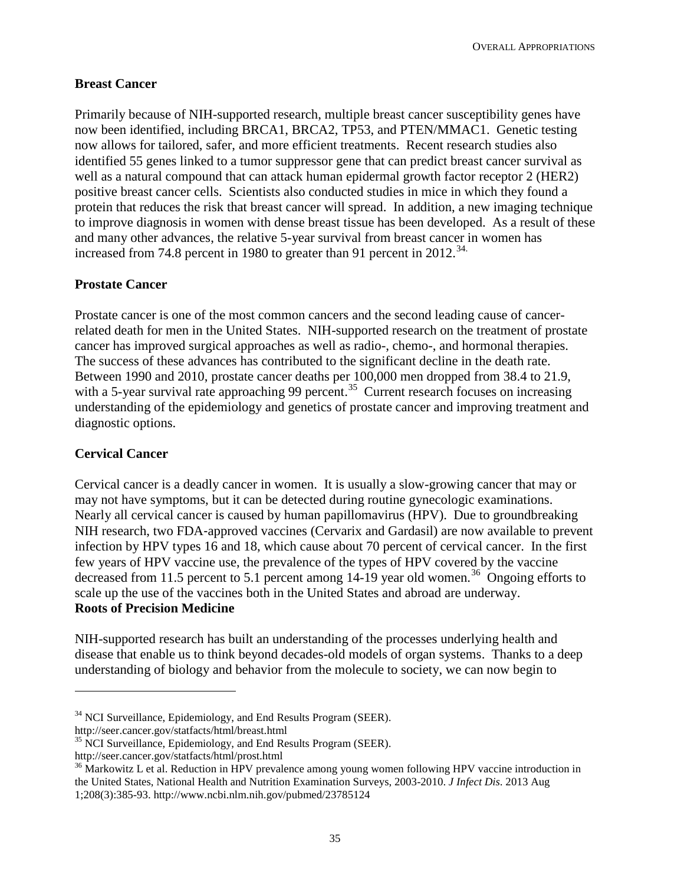OVERALL APPROPRIATIONS

#### **Breast Cancer**

Primarily because of NIH-supported research, multiple breast cancer susceptibility genes have now been identified, including BRCA1, BRCA2, TP53, and PTEN/MMAC1. Genetic testing now allows for tailored, safer, and more efficient treatments. Recent research studies also identified 55 genes linked to a tumor suppressor gene that can predict breast cancer survival as well as a natural compound that can attack human epidermal growth factor receptor 2 (HER2) positive breast cancer cells. Scientists also conducted studies in mice in which they found a protein that reduces the risk that breast cancer will spread. In addition, a new imaging technique to improve diagnosis in women with dense breast tissue has been developed. As a result of these and many other advances, the relative 5-year survival from breast cancer in women has increased from 74.8 percent in 1980 to greater than 91 percent in 2012.<sup>[34.](#page-12-0)</sup>

#### **Prostate Cancer**

Prostate cancer is one of the most common cancers and the second leading cause of cancerrelated death for men in the United States. NIH-supported research on the treatment of prostate cancer has improved surgical approaches as well as radio-, chemo-, and hormonal therapies. The success of these advances has contributed to the significant decline in the death rate. Between 1990 and 2010, prostate cancer deaths per 100,000 men dropped from 38.4 to 21.9, with a 5-year survival rate approaching 99 percent.<sup>[35](#page-12-1)</sup> Current research focuses on increasing understanding of the epidemiology and genetics of prostate cancer and improving treatment and diagnostic options.

#### **Cervical Cancer**

1

Cervical cancer is a deadly cancer in women. It is usually a slow-growing cancer that may or may not have symptoms, but it can be detected during routine gynecologic examinations. Nearly all cervical cancer is caused by human papillomavirus (HPV). Due to groundbreaking NIH research, two FDA‐approved vaccines (Cervarix and Gardasil) are now available to prevent infection by HPV types 16 and 18, which cause about 70 percent of cervical cancer. In the first few years of HPV vaccine use, the prevalence of the types of HPV covered by the vaccine decreased from 11.5 percent to 5.1 percent among 14-19 year old women.<sup>[36](#page-12-2)</sup> Ongoing efforts to scale up the use of the vaccines both in the United States and abroad are underway. **Roots of Precision Medicine**

NIH-supported research has built an understanding of the processes underlying health and disease that enable us to think beyond decades-old models of organ systems. Thanks to a deep understanding of biology and behavior from the molecule to society, we can now begin to

<span id="page-12-0"></span><sup>&</sup>lt;sup>34</sup> NCI Surveillance, Epidemiology, and End Results Program (SEER).

http://seer.cancer.gov/statfacts/html/breast.html

<span id="page-12-1"></span><sup>&</sup>lt;sup>35</sup> NCI Surveillance, Epidemiology, and End Results Program (SEER).

http://seer.cancer.gov/statfacts/html/prost.html

<span id="page-12-2"></span> $36$  Markowitz L et al. Reduction in HPV prevalence among young women following HPV vaccine introduction in the United States, National Health and Nutrition Examination Surveys, 2003-2010. *J Infect Dis*. 2013 Aug 1;208(3):385-93[. http://www.ncbi.nlm.nih.gov/pubmed/23785124](http://www.ncbi.nlm.nih.gov/pubmed/23785124)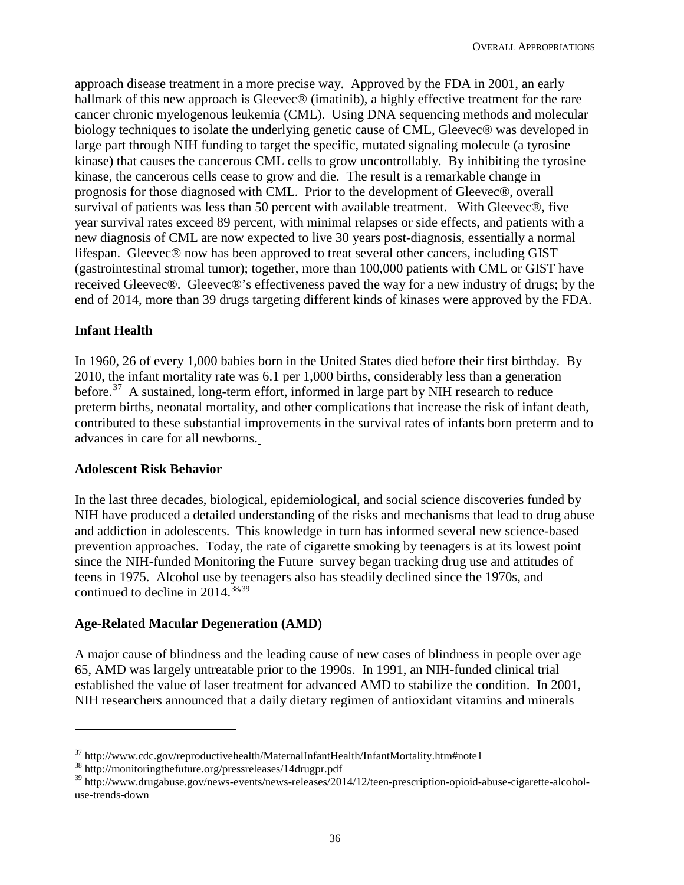approach disease treatment in a more precise way. Approved by the FDA in 2001, an early hallmark of this new approach is Gleevec<sup>®</sup> (imatinib), a highly effective treatment for the rare cancer chronic myelogenous leukemia (CML). Using DNA sequencing methods and molecular biology techniques to isolate the underlying genetic cause of CML, Gleevec® was developed in large part through NIH funding to target the specific, mutated signaling molecule (a tyrosine kinase) that causes the cancerous CML cells to grow uncontrollably. By inhibiting the tyrosine kinase, the cancerous cells cease to grow and die. The result is a remarkable change in prognosis for those diagnosed with CML. Prior to the development of Gleevec®, overall survival of patients was less than 50 percent with available treatment. With Gleevec®, five year survival rates exceed 89 percent, with minimal relapses or side effects, and patients with a new diagnosis of CML are now expected to live 30 years post-diagnosis, essentially a normal lifespan. Gleevec® now has been approved to treat several other cancers, including GIST (gastrointestinal stromal tumor); together, more than 100,000 patients with CML or GIST have received Gleevec®. Gleevec®'s effectiveness paved the way for a new industry of drugs; by the end of 2014, more than 39 drugs targeting different kinds of kinases were approved by the FDA.

## **Infant Health**

 $\overline{a}$ 

In 1960, 26 of every 1,000 babies born in the United States died before their first birthday. By 2010, the infant mortality rate was 6.1 per 1,000 births, considerably less than a generation before.<sup>[37](#page-13-0)</sup> A sustained, long-term effort, informed in large part by NIH research to reduce preterm births, neonatal mortality, and other complications that increase the risk of infant death, contributed to these substantial improvements in the survival rates of infants born preterm and to advances in care for all newborns.

## **Adolescent Risk Behavior**

In the last three decades, biological, epidemiological, and social science discoveries funded by NIH have produced a detailed understanding of the risks and mechanisms that lead to drug abuse and addiction in adolescents. This knowledge in turn has informed several new science-based prevention approaches. Today, the rate of cigarette smoking by teenagers is at its lowest point since the NIH-funded Monitoring the Future survey began tracking drug use and attitudes of teens in 1975. Alcohol use by teenagers also has steadily declined since the 1970s, and continued to decline in 2014.<sup>[38](#page-13-1),[39](#page-13-2)</sup>

## **Age-Related Macular Degeneration (AMD)**

A major cause of blindness and the leading cause of new cases of blindness in people over age 65, AMD was largely untreatable prior to the 1990s. In 1991, an NIH-funded clinical trial established the value of laser treatment for advanced AMD to stabilize the condition. In 2001, NIH researchers announced that a daily dietary regimen of antioxidant vitamins and minerals

<span id="page-13-0"></span> $37 \text{ http://www.cdc.gov/reproductivehealth/MateralInfantHealth/InfantMortality.html#note1}$ <br> $38 \text{ http://monitoringthefuture.org/pressrelease/14drugpr.pdf}$ 

<span id="page-13-2"></span><span id="page-13-1"></span><sup>39</sup> http://www.drugabuse.gov/news-events/news-releases/2014/12/teen-prescription-opioid-abuse-cigarette-alcoholuse-trends-down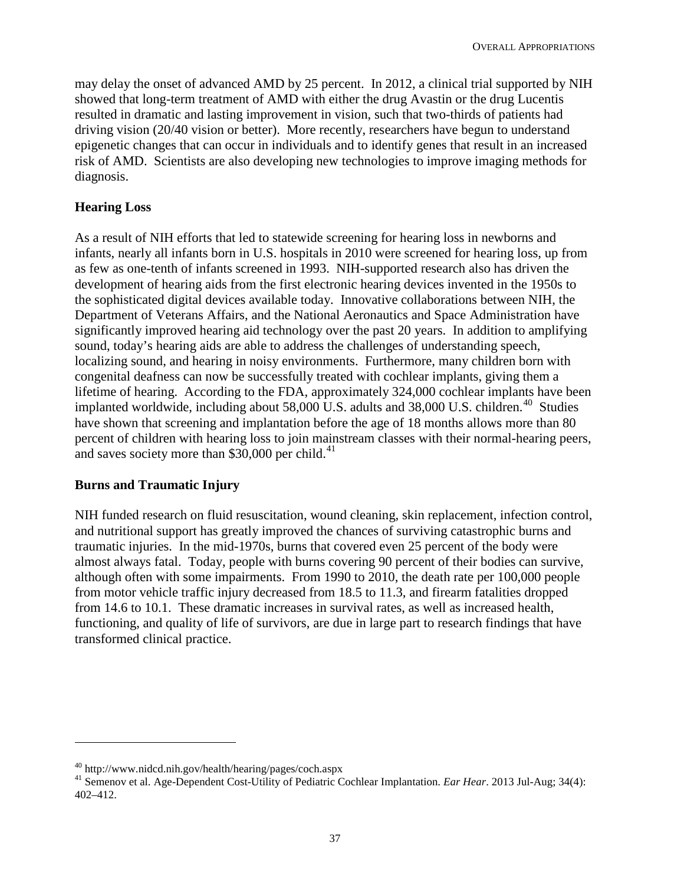may delay the onset of advanced AMD by 25 percent. In 2012, a clinical trial supported by NIH showed that long-term treatment of AMD with either the drug Avastin or the drug Lucentis resulted in dramatic and lasting improvement in vision, such that two-thirds of patients had driving vision (20/40 vision or better). More recently, researchers have begun to understand epigenetic changes that can occur in individuals and to identify genes that result in an increased risk of AMD. Scientists are also developing new technologies to improve imaging methods for diagnosis.

#### **Hearing Loss**

As a result of NIH efforts that led to statewide screening for hearing loss in newborns and infants, nearly all infants born in U.S. hospitals in 2010 were screened for hearing loss, up from as few as one-tenth of infants screened in 1993. NIH-supported research also has driven the development of hearing aids from the first electronic hearing devices invented in the 1950s to the sophisticated digital devices available today. Innovative collaborations between NIH, the Department of Veterans Affairs, and the National Aeronautics and Space Administration have significantly improved hearing aid technology over the past 20 years. In addition to amplifying sound, today's hearing aids are able to address the challenges of understanding speech, localizing sound, and hearing in noisy environments. Furthermore, many children born with congenital deafness can now be successfully treated with cochlear implants, giving them a lifetime of hearing. According to the FDA, approximately 324,000 cochlear implants have been implanted worldwide, including about 58,000 U.S. adults and 38,000 U.S. children.<sup>40</sup> Studies have shown that screening and implantation before the age of 18 months allows more than 80 percent of children with hearing loss to join mainstream classes with their normal-hearing peers, and saves society more than  $$30,000$  per child.<sup>[41](#page-14-1)</sup>

#### **Burns and Traumatic Injury**

1

NIH funded research on fluid resuscitation, wound cleaning, skin replacement, infection control, and nutritional support has greatly improved the chances of surviving catastrophic burns and traumatic injuries. In the mid-1970s, burns that covered even 25 percent of the body were almost always fatal. Today, people with burns covering 90 percent of their bodies can survive, although often with some impairments. From 1990 to 2010, the death rate per 100,000 people from motor vehicle traffic injury decreased from 18.5 to 11.3, and firearm fatalities dropped from 14.6 to 10.1. These dramatic increases in survival rates, as well as increased health, functioning, and quality of life of survivors, are due in large part to research findings that have transformed clinical practice.

<span id="page-14-1"></span><span id="page-14-0"></span><sup>&</sup>lt;sup>40</sup> http://www.nidcd.nih.gov/health/hearing/pages/coch.aspx<br><sup>41</sup> Semenov et al. Age-Dependent Cost-Utility of Pediatric Cochlear Implantation. *Ear Hear*. 2013 Jul-Aug; 34(4): 402–412.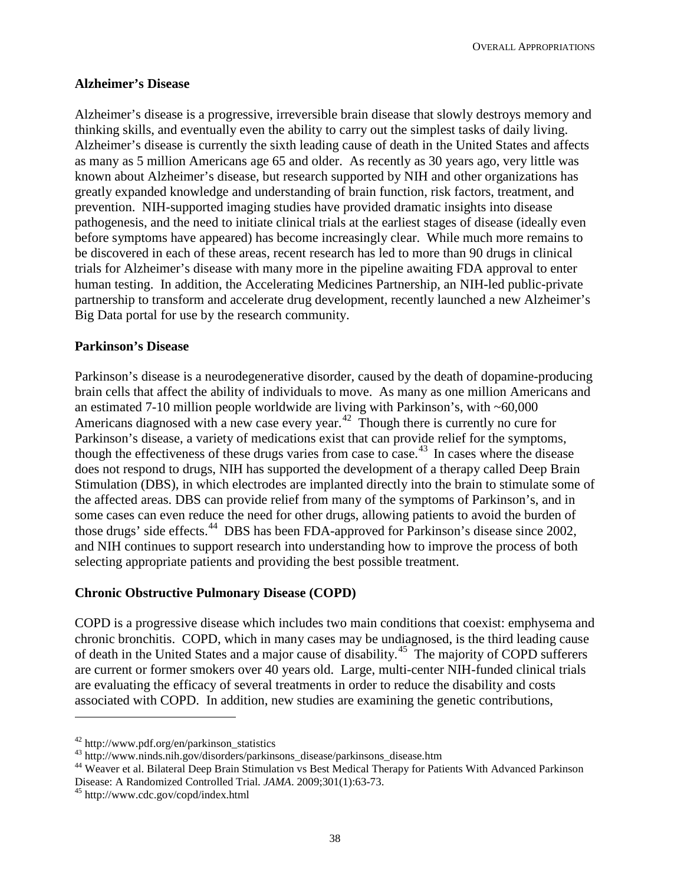OVERALL APPROPRIATIONS

#### **Alzheimer's Disease**

Alzheimer's disease is a progressive, irreversible brain disease that slowly destroys memory and thinking skills, and eventually even the ability to carry out the simplest tasks of daily living. Alzheimer's disease is currently the sixth leading cause of death in the United States and affects as many as 5 million Americans age 65 and older. As recently as 30 years ago, very little was known about Alzheimer's disease, but research supported by NIH and other organizations has greatly expanded knowledge and understanding of brain function, risk factors, treatment, and prevention. NIH-supported imaging studies have provided dramatic insights into disease pathogenesis, and the need to initiate clinical trials at the earliest stages of disease (ideally even before symptoms have appeared) has become increasingly clear. While much more remains to be discovered in each of these areas, recent research has led to more than 90 drugs in clinical trials for Alzheimer's disease with many more in the pipeline awaiting FDA approval to enter human testing. In addition, the Accelerating Medicines Partnership, an NIH-led public-private partnership to transform and accelerate drug development, recently launched a new Alzheimer's Big Data portal for use by the research community.

#### **Parkinson's Disease**

Parkinson's disease is a neurodegenerative disorder, caused by the death of dopamine-producing brain cells that affect the ability of individuals to move. As many as one million Americans and an estimated 7-10 million people worldwide are living with Parkinson's, with ~60,000 Americans diagnosed with a new case every year.<sup>42</sup> Though there is currently no cure for Parkinson's disease, a variety of medications exist that can provide relief for the symptoms, though the effectiveness of these drugs varies from case to case.<sup>[43](#page-15-1)</sup> In cases where the disease does not respond to drugs, NIH has supported the development of a therapy called Deep Brain Stimulation (DBS), in which electrodes are implanted directly into the brain to stimulate some of the affected areas. DBS can provide relief from many of the symptoms of Parkinson's, and in some cases can even reduce the need for other drugs, allowing patients to avoid the burden of those drugs' side effects.<sup>44</sup> DBS has been FDA-approved for Parkinson's disease since 2002, and NIH continues to support research into understanding how to improve the process of both selecting appropriate patients and providing the best possible treatment.

#### **Chronic Obstructive Pulmonary Disease (COPD)**

COPD is a progressive disease which includes two main conditions that coexist: emphysema and chronic bronchitis. COPD, which in many cases may be undiagnosed, is the third leading cause of death in the United States and a major cause of disability.[45](#page-15-3) The majority of COPD sufferers are current or former smokers over 40 years old. Large, multi-center NIH-funded clinical trials are evaluating the efficacy of several treatments in order to reduce the disability and costs associated with COPD. In addition, new studies are examining the genetic contributions,

**.** 

<span id="page-15-2"></span>

<span id="page-15-1"></span><span id="page-15-0"></span> $^{42}$  http://www.pdf.org/en/parkinson\_statistics<br> $^{43}$  http://www.ninds.nih.gov/disorders/parkinsons\_disease/parkinsons\_disease.htm<br> $^{43}$  Weaver et al. Bilateral Deep Brain Stimulation vs Best Medical Therapy for Patie Disease: A Randomized Controlled Trial. *JAMA*. 2009;301(1):63-73. <sup>45</sup> http://www.cdc.gov/copd/index.html

<span id="page-15-3"></span>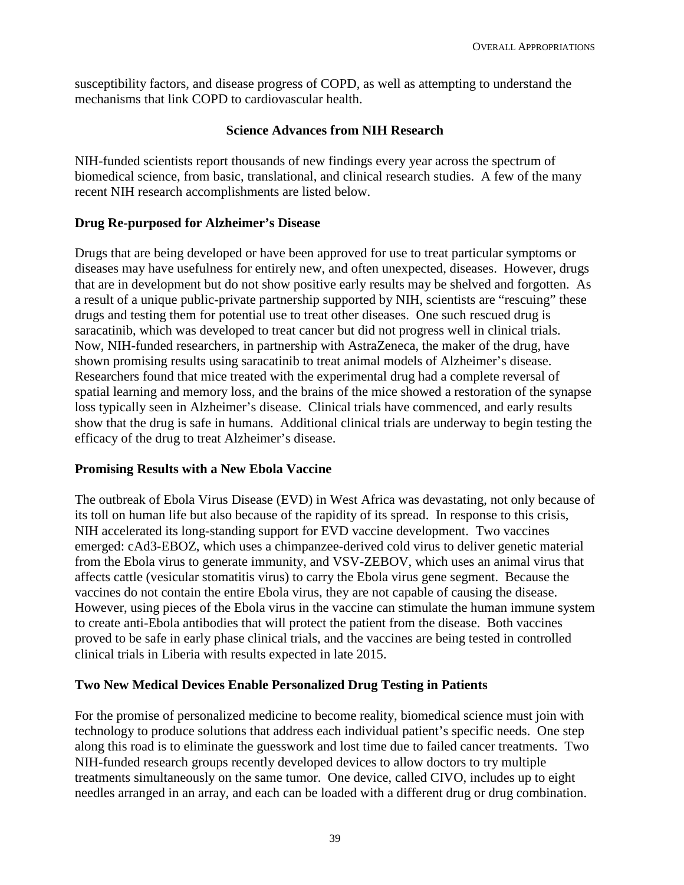susceptibility factors, and disease progress of COPD, as well as attempting to understand the mechanisms that link COPD to cardiovascular health.

#### **Science Advances from NIH Research**

NIH-funded scientists report thousands of new findings every year across the spectrum of biomedical science, from basic, translational, and clinical research studies. A few of the many recent NIH research accomplishments are listed below.

#### **Drug Re-purposed for Alzheimer's Disease**

Drugs that are being developed or have been approved for use to treat particular symptoms or diseases may have usefulness for entirely new, and often unexpected, diseases. However, drugs that are in development but do not show positive early results may be shelved and forgotten. As a result of a unique public-private partnership supported by NIH, scientists are "rescuing" these drugs and testing them for potential use to treat other diseases. One such rescued drug is saracatinib, which was developed to treat cancer but did not progress well in clinical trials. Now, NIH-funded researchers, in partnership with AstraZeneca, the maker of the drug, have shown promising results using saracatinib to treat animal models of Alzheimer's disease. Researchers found that mice treated with the experimental drug had a complete reversal of spatial learning and memory loss, and the brains of the mice showed a restoration of the synapse loss typically seen in Alzheimer's disease. Clinical trials have commenced, and early results show that the drug is safe in humans. Additional clinical trials are underway to begin testing the efficacy of the drug to treat Alzheimer's disease.

#### **Promising Results with a New Ebola Vaccine**

The outbreak of Ebola Virus Disease (EVD) in West Africa was devastating, not only because of its toll on human life but also because of the rapidity of its spread. In response to this crisis, NIH accelerated its long-standing support for EVD vaccine development. Two vaccines emerged: cAd3-EBOZ, which uses a chimpanzee-derived cold virus to deliver genetic material from the Ebola virus to generate immunity, and VSV-ZEBOV, which uses an animal virus that affects cattle (vesicular stomatitis virus) to carry the Ebola virus gene segment. Because the vaccines do not contain the entire Ebola virus, they are not capable of causing the disease. However, using pieces of the Ebola virus in the vaccine can stimulate the human immune system to create anti-Ebola antibodies that will protect the patient from the disease. Both vaccines proved to be safe in early phase clinical trials, and the vaccines are being tested in controlled clinical trials in Liberia with results expected in late 2015.

#### **Two New Medical Devices Enable Personalized Drug Testing in Patients**

For the promise of personalized medicine to become reality, biomedical science must join with technology to produce solutions that address each individual patient's specific needs. One step along this road is to eliminate the guesswork and lost time due to failed cancer treatments. Two NIH-funded research groups recently developed devices to allow doctors to try multiple treatments simultaneously on the same tumor. One device, called CIVO, includes up to eight needles arranged in an array, and each can be loaded with a different drug or drug combination.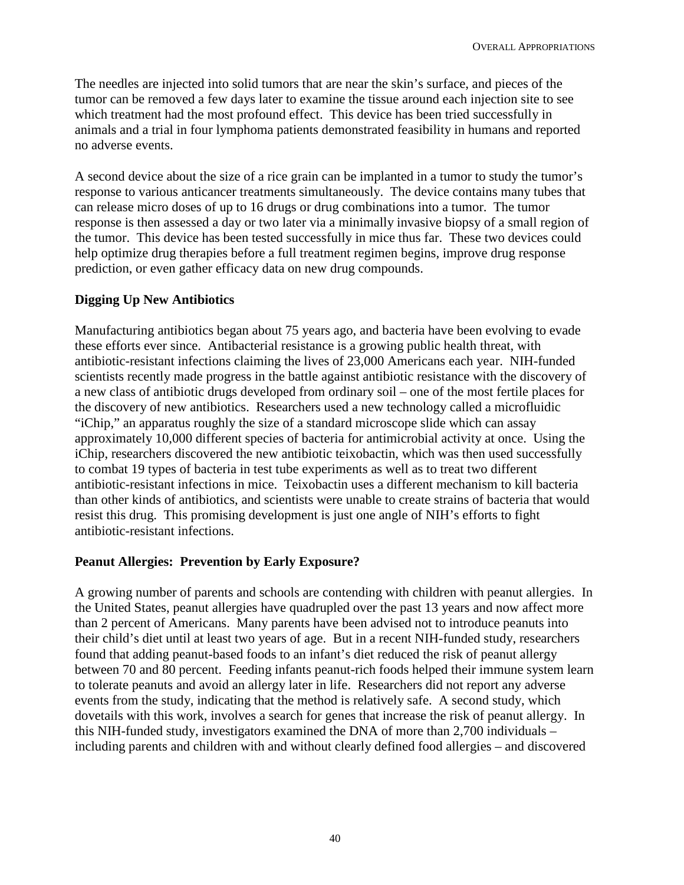The needles are injected into solid tumors that are near the skin's surface, and pieces of the tumor can be removed a few days later to examine the tissue around each injection site to see which treatment had the most profound effect. This device has been tried successfully in animals and a trial in four lymphoma patients demonstrated feasibility in humans and reported no adverse events.

A second device about the size of a rice grain can be implanted in a tumor to study the tumor's response to various anticancer treatments simultaneously. The device contains many tubes that can release micro doses of up to 16 drugs or drug combinations into a tumor. The tumor response is then assessed a day or two later via a minimally invasive biopsy of a small region of the tumor. This device has been tested successfully in mice thus far. These two devices could help optimize drug therapies before a full treatment regimen begins, improve drug response prediction, or even gather efficacy data on new drug compounds.

## **Digging Up New Antibiotics**

Manufacturing antibiotics began about 75 years ago, and bacteria have been evolving to evade these efforts ever since. Antibacterial resistance is a growing public health threat, with antibiotic-resistant infections claiming the lives of 23,000 Americans each year. NIH-funded scientists recently made progress in the battle against antibiotic resistance with the discovery of a new class of antibiotic drugs developed from ordinary soil – one of the most fertile places for the discovery of new antibiotics. Researchers used a new technology called a microfluidic "iChip," an apparatus roughly the size of a standard microscope slide which can assay approximately 10,000 different species of bacteria for antimicrobial activity at once. Using the iChip, researchers discovered the new antibiotic teixobactin, which was then used successfully to combat 19 types of bacteria in test tube experiments as well as to treat two different antibiotic-resistant infections in mice. Teixobactin uses a different mechanism to kill bacteria than other kinds of antibiotics, and scientists were unable to create strains of bacteria that would resist this drug. This promising development is just one angle of NIH's efforts to fight antibiotic-resistant infections.

## **Peanut Allergies: Prevention by Early Exposure?**

A growing number of parents and schools are contending with children with peanut allergies. In the United States, peanut allergies have quadrupled over the past 13 years and now affect more than 2 percent of Americans. Many parents have been advised not to introduce peanuts into their child's diet until at least two years of age. But in a recent NIH-funded study, researchers found that adding peanut-based foods to an infant's diet reduced the risk of peanut allergy between 70 and 80 percent. Feeding infants peanut-rich foods helped their immune system learn to tolerate peanuts and avoid an allergy later in life. Researchers did not report any adverse events from the study, indicating that the method is relatively safe. A second study, which dovetails with this work, involves a search for genes that increase the risk of peanut allergy. In this NIH-funded study, investigators examined the DNA of more than 2,700 individuals – including parents and children with and without clearly defined food allergies – and discovered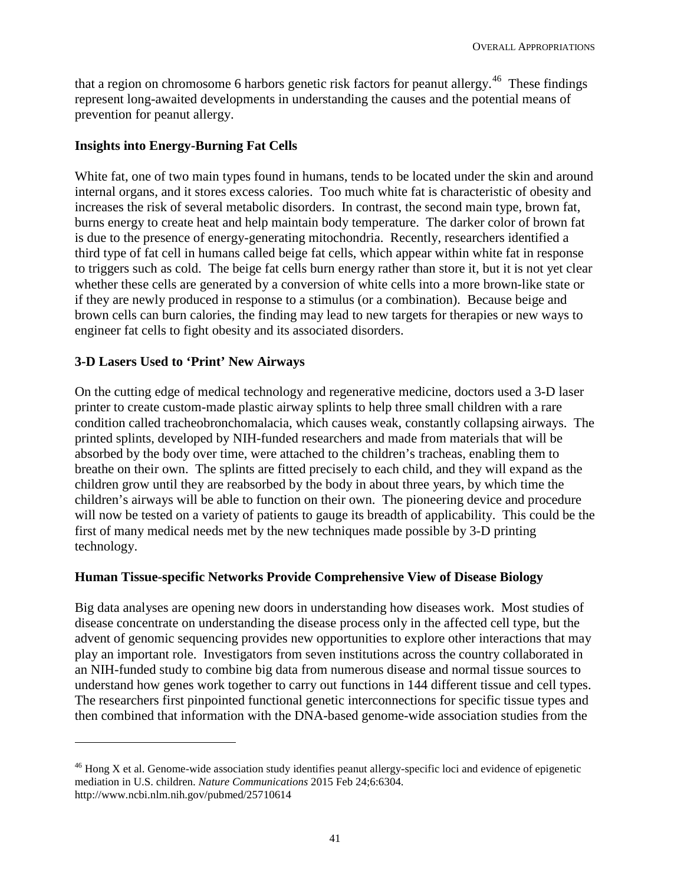that a region on chromosome 6 harbors genetic risk factors for peanut allergy.<sup>[46](#page-18-0)</sup> These findings represent long-awaited developments in understanding the causes and the potential means of prevention for peanut allergy.

## **Insights into Energy-Burning Fat Cells**

White fat, one of two main types found in humans, tends to be located under the skin and around internal organs, and it stores excess calories. Too much white fat is characteristic of obesity and increases the risk of several metabolic disorders. In contrast, the second main type, brown fat, burns energy to create heat and help maintain body temperature. The darker color of brown fat is due to the presence of energy-generating mitochondria. Recently, researchers identified a third type of fat cell in humans called beige fat cells, which appear within white fat in response to triggers such as cold. The beige fat cells burn energy rather than store it, but it is not yet clear whether these cells are generated by a conversion of white cells into a more brown-like state or if they are newly produced in response to a stimulus (or a combination). Because beige and brown cells can burn calories, the finding may lead to new targets for therapies or new ways to engineer fat cells to fight obesity and its associated disorders.

## **3-D Lasers Used to 'Print' New Airways**

1

On the cutting edge of medical technology and regenerative medicine, doctors used a 3-D laser printer to create custom-made plastic airway splints to help three small children with a rare condition called tracheobronchomalacia, which causes weak, constantly collapsing airways. The printed splints, developed by NIH-funded researchers and made from materials that will be absorbed by the body over time, were attached to the children's tracheas, enabling them to breathe on their own. The splints are fitted precisely to each child, and they will expand as the children grow until they are reabsorbed by the body in about three years, by which time the children's airways will be able to function on their own. The pioneering device and procedure will now be tested on a variety of patients to gauge its breadth of applicability. This could be the first of many medical needs met by the new techniques made possible by 3-D printing technology.

## **Human Tissue-specific Networks Provide Comprehensive View of Disease Biology**

Big data analyses are opening new doors in understanding how diseases work. Most studies of disease concentrate on understanding the disease process only in the affected cell type, but the advent of genomic sequencing provides new opportunities to explore other interactions that may play an important role. Investigators from seven institutions across the country collaborated in an NIH-funded study to combine big data from numerous disease and normal tissue sources to understand how genes work together to carry out functions in 144 different tissue and cell types. The researchers first pinpointed functional genetic interconnections for specific tissue types and then combined that information with the DNA-based genome-wide association studies from the

<span id="page-18-0"></span> $46$  Hong X et al. Genome-wide association study identifies peanut allergy-specific loci and evidence of epigenetic [mediation in U.S. children.](http://www.ncbi.nlm.nih.gov/pubmed/25710614) *Nature Communications* 2015 Feb 24;6:6304. <http://www.ncbi.nlm.nih.gov/pubmed/25710614>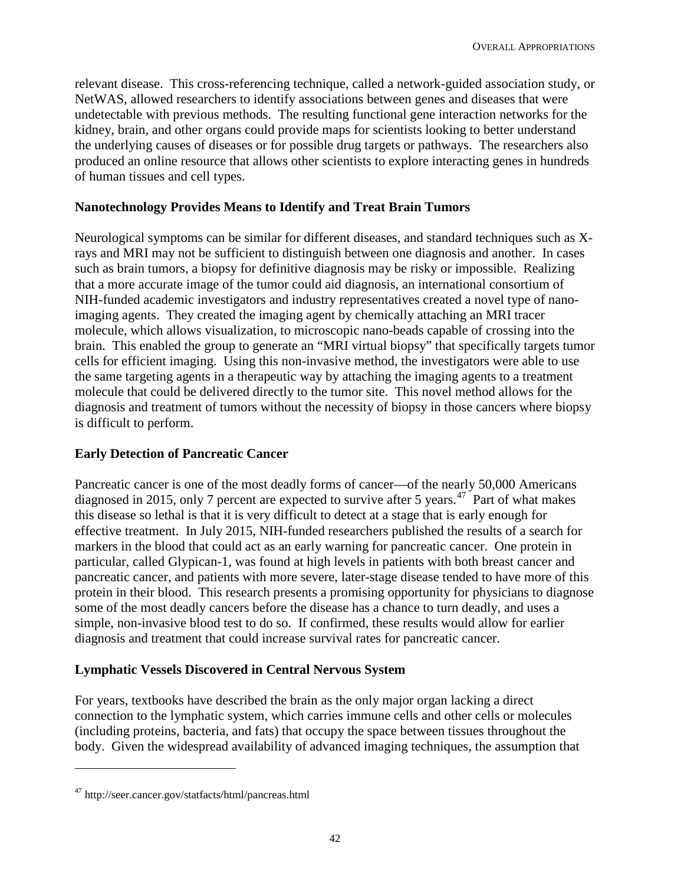relevant disease. This cross-referencing technique, called a network-guided association study, or NetWAS, allowed researchers to identify associations between genes and diseases that were undetectable with previous methods. The resulting functional gene interaction networks for the kidney, brain, and other organs could provide maps for scientists looking to better understand the underlying causes of diseases or for possible drug targets or pathways. The researchers also produced an online resource that allows other scientists to explore interacting genes in hundreds of human tissues and cell types.

#### **Nanotechnology Provides Means to Identify and Treat Brain Tumors**

Neurological symptoms can be similar for different diseases, and standard techniques such as Xrays and MRI may not be sufficient to distinguish between one diagnosis and another. In cases such as brain tumors, a biopsy for definitive diagnosis may be risky or impossible. Realizing that a more accurate image of the tumor could aid diagnosis, an international consortium of NIH-funded academic investigators and industry representatives created a novel type of nanoimaging agents. They created the imaging agent by chemically attaching an MRI tracer molecule, which allows visualization, to microscopic nano-beads capable of crossing into the brain. This enabled the group to generate an "MRI virtual biopsy" that specifically targets tumor cells for efficient imaging. Using this non-invasive method, the investigators were able to use the same targeting agents in a therapeutic way by attaching the imaging agents to a treatment molecule that could be delivered directly to the tumor site. This novel method allows for the diagnosis and treatment of tumors without the necessity of biopsy in those cancers where biopsy is difficult to perform.

#### **Early Detection of Pancreatic Cancer**

Pancreatic cancer is one of the most deadly forms of cancer—of the nearly 50,000 Americans diagnosed in 2015, only 7 percent are expected to survive after 5 years.<sup>[47](#page-19-0)</sup> Part of what makes this disease so lethal is that it is very difficult to detect at a stage that is early enough for effective treatment. In July 2015, NIH-funded researchers published the results of a search for markers in the blood that could act as an early warning for pancreatic cancer. One protein in particular, called Glypican-1, was found at high levels in patients with both breast cancer and pancreatic cancer, and patients with more severe, later-stage disease tended to have more of this protein in their blood. This research presents a promising opportunity for physicians to diagnose some of the most deadly cancers before the disease has a chance to turn deadly, and uses a simple, non-invasive blood test to do so. If confirmed, these results would allow for earlier diagnosis and treatment that could increase survival rates for pancreatic cancer.

#### **Lymphatic Vessels Discovered in Central Nervous System**

For years, textbooks have described the brain as the only major organ lacking a direct connection to the lymphatic system, which carries immune cells and other cells or molecules (including proteins, bacteria, and fats) that occupy the space between tissues throughout the body. Given the widespread availability of advanced imaging techniques, the assumption that

1

<span id="page-19-0"></span><sup>47</sup> http://seer.cancer.gov/statfacts/html/pancreas.html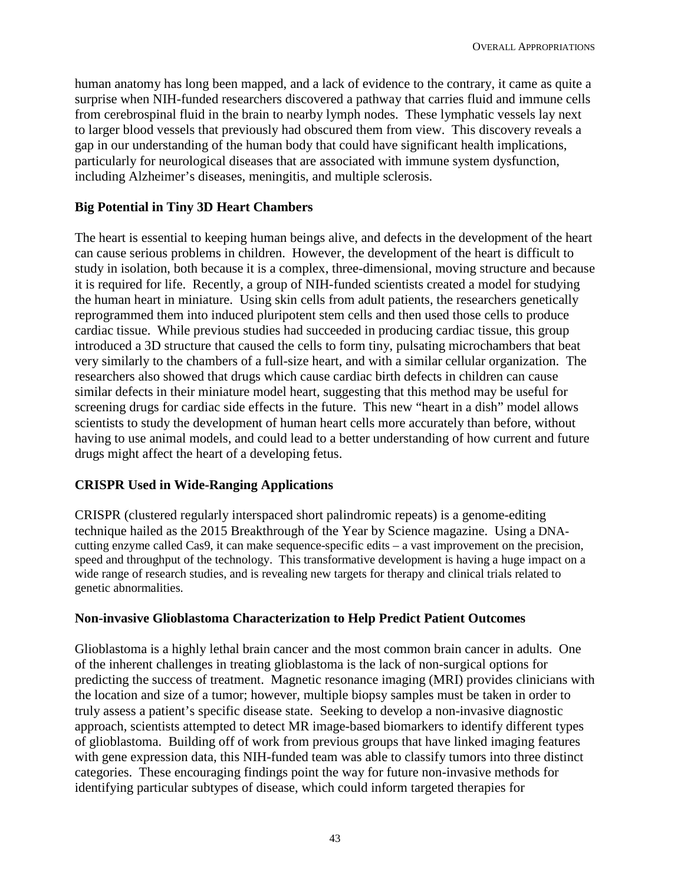human anatomy has long been mapped, and a lack of evidence to the contrary, it came as quite a surprise when NIH-funded researchers discovered a pathway that carries fluid and immune cells from cerebrospinal fluid in the brain to nearby lymph nodes. These lymphatic vessels lay next to larger blood vessels that previously had obscured them from view. This discovery reveals a gap in our understanding of the human body that could have significant health implications, particularly for neurological diseases that are associated with immune system dysfunction, including Alzheimer's diseases, meningitis, and multiple sclerosis.

## **Big Potential in Tiny 3D Heart Chambers**

The heart is essential to keeping human beings alive, and defects in the development of the heart can cause serious problems in children. However, the development of the heart is difficult to study in isolation, both because it is a complex, three-dimensional, moving structure and because it is required for life. Recently, a group of NIH-funded scientists created a model for studying the human heart in miniature. Using skin cells from adult patients, the researchers genetically reprogrammed them into induced pluripotent stem cells and then used those cells to produce cardiac tissue. While previous studies had succeeded in producing cardiac tissue, this group introduced a 3D structure that caused the cells to form tiny, pulsating microchambers that beat very similarly to the chambers of a full-size heart, and with a similar cellular organization. The researchers also showed that drugs which cause cardiac birth defects in children can cause similar defects in their miniature model heart, suggesting that this method may be useful for screening drugs for cardiac side effects in the future. This new "heart in a dish" model allows scientists to study the development of human heart cells more accurately than before, without having to use animal models, and could lead to a better understanding of how current and future drugs might affect the heart of a developing fetus.

# **CRISPR Used in Wide-Ranging Applications**

CRISPR (clustered regularly interspaced short palindromic repeats) is a genome-editing technique hailed as the 2015 Breakthrough of the Year by Science magazine. Using a DNAcutting enzyme called Cas9, it can make sequence-specific edits – a vast improvement on the precision, speed and throughput of the technology. This transformative development is having a huge impact on a wide range of research studies, and is revealing new targets for therapy and clinical trials related to genetic abnormalities.

## **Non-invasive Glioblastoma Characterization to Help Predict Patient Outcomes**

Glioblastoma is a highly lethal brain cancer and the most common brain cancer in adults. One of the inherent challenges in treating glioblastoma is the lack of non-surgical options for predicting the success of treatment. Magnetic resonance imaging (MRI) provides clinicians with the location and size of a tumor; however, multiple biopsy samples must be taken in order to truly assess a patient's specific disease state. Seeking to develop a non-invasive diagnostic approach, scientists attempted to detect MR image-based biomarkers to identify different types of glioblastoma. Building off of work from previous groups that have linked imaging features with gene expression data, this NIH-funded team was able to classify tumors into three distinct categories. These encouraging findings point the way for future non-invasive methods for identifying particular subtypes of disease, which could inform targeted therapies for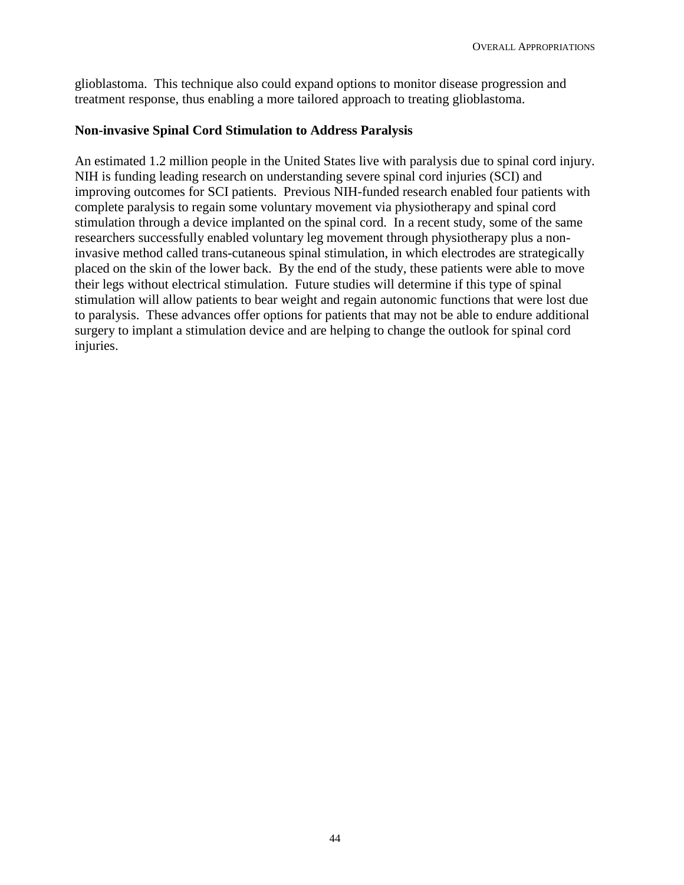glioblastoma. This technique also could expand options to monitor disease progression and treatment response, thus enabling a more tailored approach to treating glioblastoma.

#### **Non-invasive Spinal Cord Stimulation to Address Paralysis**

An estimated 1.2 million people in the United States live with paralysis due to spinal cord injury. NIH is funding leading research on understanding severe spinal cord injuries (SCI) and improving outcomes for SCI patients. Previous NIH-funded research enabled four patients with complete paralysis to regain some voluntary movement via physiotherapy and spinal cord stimulation through a device implanted on the spinal cord. In a recent study, some of the same researchers successfully enabled voluntary leg movement through physiotherapy plus a noninvasive method called trans-cutaneous spinal stimulation, in which electrodes are strategically placed on the skin of the lower back. By the end of the study, these patients were able to move their legs without electrical stimulation. Future studies will determine if this type of spinal stimulation will allow patients to bear weight and regain autonomic functions that were lost due to paralysis. These advances offer options for patients that may not be able to endure additional surgery to implant a stimulation device and are helping to change the outlook for spinal cord injuries.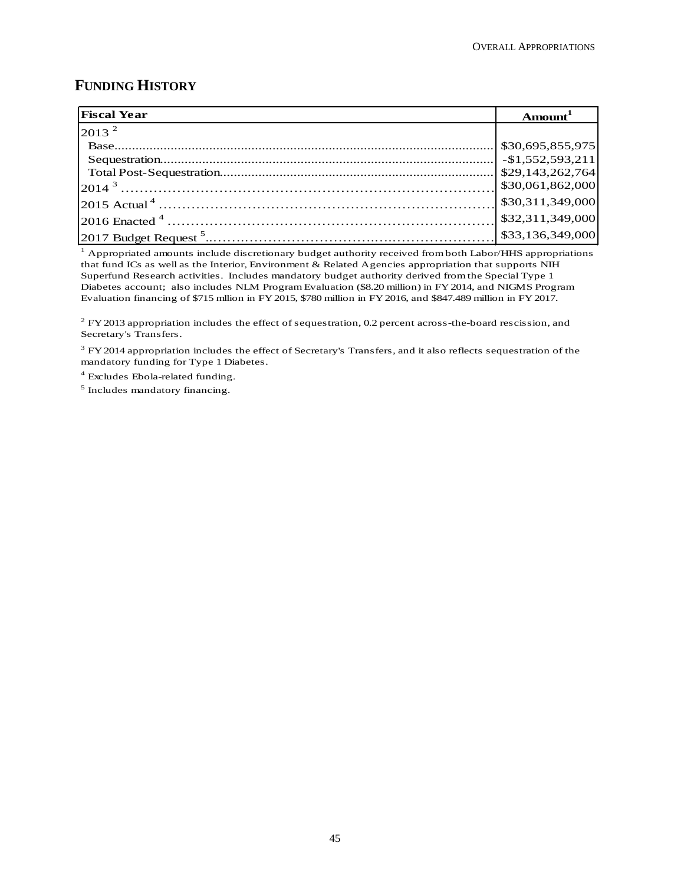# **FUNDING HISTORY**

| <b>Fiscal Year</b>                 | Amount <sup>1</sup> |
|------------------------------------|---------------------|
| $2013^2$                           |                     |
|                                    | \$30,695,855,975    |
|                                    | $-$1,552,593,211$   |
|                                    | \$29,143,262,764    |
|                                    | \$30,061,862,000    |
| $ 2015 \text{ Actual}^4 \dots  $   | \$30,311,349,000    |
| $ 2016 \text{ Enacted }^4 \dots  $ | \$32,311,349,000    |
|                                    |                     |

<sup>1</sup> Appropriated amounts include discretionary budget authority received from both Labor/HHS appropriations that fund ICs as well as the Interior, Environment & Related Agencies appropriation that supports NIH Superfund Research activities. Includes mandatory budget authority derived from the Special Type 1 Diabetes account; also includes NLM Program Evaluation (\$8.20 million) in FY 2014, and NIGMS Program Evaluation financing of \$715 mllion in FY 2015, \$780 million in FY 2016, and \$847.489 million in FY 2017.

 $2$  FY 2013 appropriation includes the effect of sequestration, 0.2 percent across-the-board rescission, and Secretary's Transfers.

 $3$  FY 2014 appropriation includes the effect of Secretary's Transfers, and it also reflects sequestration of the mandatory funding for Type 1 Diabetes.

4 Excludes Ebola-related funding.

5 Includes mandatory financing.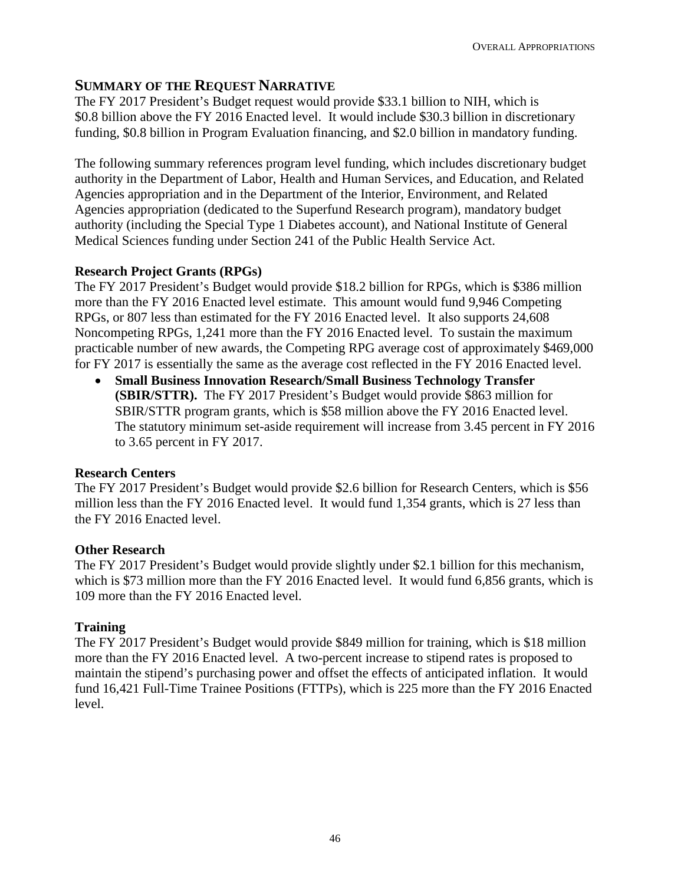# **SUMMARY OF THE REQUEST NARRATIVE**

The FY 2017 President's Budget request would provide \$33.1 billion to NIH, which is \$0.8 billion above the FY 2016 Enacted level. It would include \$30.3 billion in discretionary funding, \$0.8 billion in Program Evaluation financing, and \$2.0 billion in mandatory funding.

The following summary references program level funding, which includes discretionary budget authority in the Department of Labor, Health and Human Services, and Education, and Related Agencies appropriation and in the Department of the Interior, Environment, and Related Agencies appropriation (dedicated to the Superfund Research program), mandatory budget authority (including the Special Type 1 Diabetes account), and National Institute of General Medical Sciences funding under Section 241 of the Public Health Service Act.

## **Research Project Grants (RPGs)**

The FY 2017 President's Budget would provide \$18.2 billion for RPGs, which is \$386 million more than the FY 2016 Enacted level estimate. This amount would fund 9,946 Competing RPGs, or 807 less than estimated for the FY 2016 Enacted level. It also supports 24,608 Noncompeting RPGs, 1,241 more than the FY 2016 Enacted level. To sustain the maximum practicable number of new awards, the Competing RPG average cost of approximately \$469,000 for FY 2017 is essentially the same as the average cost reflected in the FY 2016 Enacted level.

• **Small Business Innovation Research/Small Business Technology Transfer (SBIR/STTR).** The FY 2017 President's Budget would provide \$863 million for SBIR/STTR program grants, which is \$58 million above the FY 2016 Enacted level. The statutory minimum set-aside requirement will increase from 3.45 percent in FY 2016 to 3.65 percent in FY 2017.

## **Research Centers**

The FY 2017 President's Budget would provide \$2.6 billion for Research Centers, which is \$56 million less than the FY 2016 Enacted level. It would fund 1,354 grants, which is 27 less than the FY 2016 Enacted level.

## **Other Research**

The FY 2017 President's Budget would provide slightly under \$2.1 billion for this mechanism, which is \$73 million more than the FY 2016 Enacted level. It would fund 6,856 grants, which is 109 more than the FY 2016 Enacted level.

## **Training**

The FY 2017 President's Budget would provide \$849 million for training, which is \$18 million more than the FY 2016 Enacted level. A two-percent increase to stipend rates is proposed to maintain the stipend's purchasing power and offset the effects of anticipated inflation. It would fund 16,421 Full-Time Trainee Positions (FTTPs), which is 225 more than the FY 2016 Enacted level.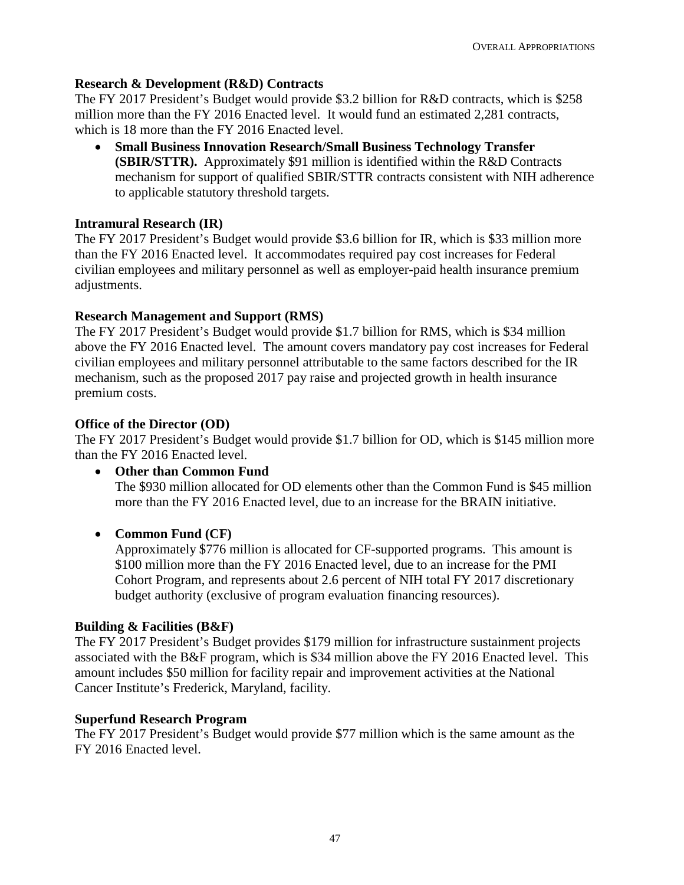## **Research & Development (R&D) Contracts**

The FY 2017 President's Budget would provide \$3.2 billion for R&D contracts, which is \$258 million more than the FY 2016 Enacted level. It would fund an estimated 2,281 contracts, which is 18 more than the FY 2016 Enacted level.

• **Small Business Innovation Research/Small Business Technology Transfer (SBIR/STTR).** Approximately \$91 million is identified within the R&D Contracts mechanism for support of qualified SBIR/STTR contracts consistent with NIH adherence to applicable statutory threshold targets.

## **Intramural Research (IR)**

The FY 2017 President's Budget would provide \$3.6 billion for IR, which is \$33 million more than the FY 2016 Enacted level. It accommodates required pay cost increases for Federal civilian employees and military personnel as well as employer-paid health insurance premium adjustments.

## **Research Management and Support (RMS)**

The FY 2017 President's Budget would provide \$1.7 billion for RMS, which is \$34 million above the FY 2016 Enacted level. The amount covers mandatory pay cost increases for Federal civilian employees and military personnel attributable to the same factors described for the IR mechanism, such as the proposed 2017 pay raise and projected growth in health insurance premium costs.

## **Office of the Director (OD)**

The FY 2017 President's Budget would provide \$1.7 billion for OD, which is \$145 million more than the FY 2016 Enacted level.

#### • **Other than Common Fund**

The \$930 million allocated for OD elements other than the Common Fund is \$45 million more than the FY 2016 Enacted level, due to an increase for the BRAIN initiative.

## • **Common Fund (CF)**

Approximately \$776 million is allocated for CF-supported programs. This amount is \$100 million more than the FY 2016 Enacted level, due to an increase for the PMI Cohort Program, and represents about 2.6 percent of NIH total FY 2017 discretionary budget authority (exclusive of program evaluation financing resources).

#### **Building & Facilities (B&F)**

The FY 2017 President's Budget provides \$179 million for infrastructure sustainment projects associated with the B&F program, which is \$34 million above the FY 2016 Enacted level. This amount includes \$50 million for facility repair and improvement activities at the National Cancer Institute's Frederick, Maryland, facility.

#### **Superfund Research Program**

The FY 2017 President's Budget would provide \$77 million which is the same amount as the FY 2016 Enacted level.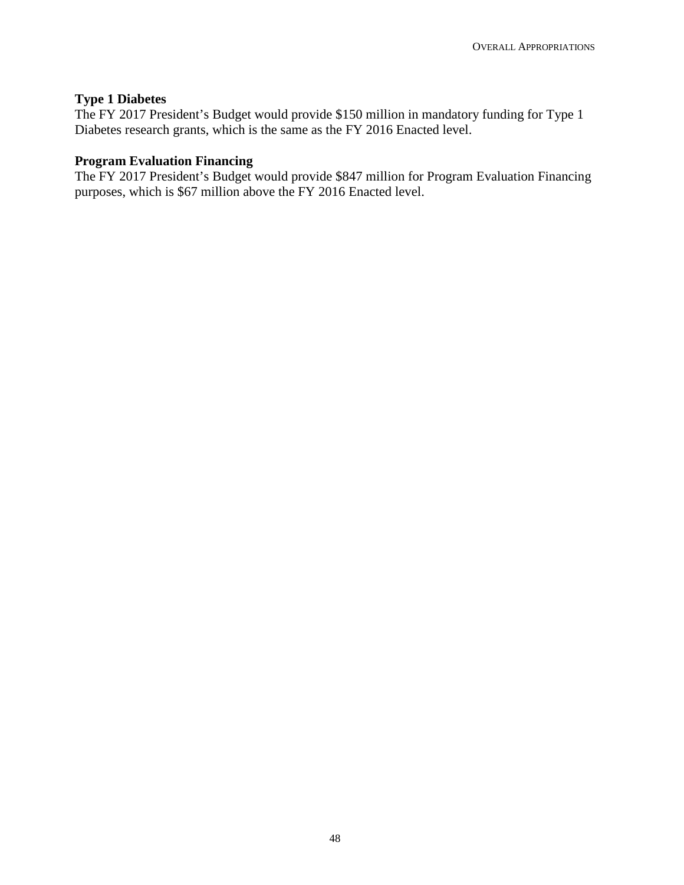#### **Type 1 Diabetes**

The FY 2017 President's Budget would provide \$150 million in mandatory funding for Type 1 Diabetes research grants, which is the same as the FY 2016 Enacted level.

#### **Program Evaluation Financing**

The FY 2017 President's Budget would provide \$847 million for Program Evaluation Financing purposes, which is \$67 million above the FY 2016 Enacted level.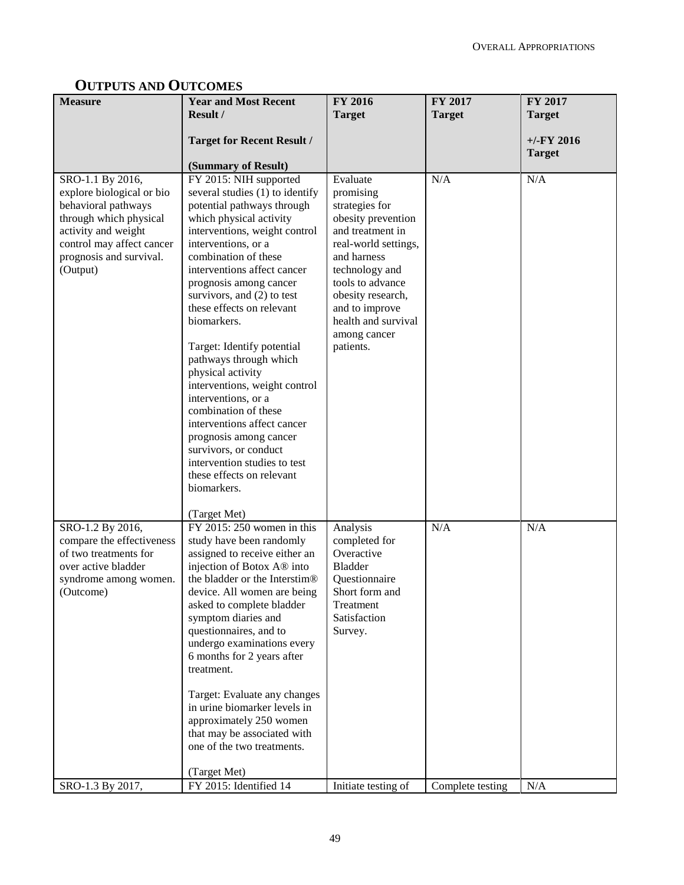# **OUTPUTS AND OUTCOMES**

| <b>Measure</b>                                                                                                                                                                            | <b>Year and Most Recent</b>                                                                                                                                                                                                                                                                                                                                                                                                                                                                                                                                                                                                                                                      | <b>FY 2016</b>                                                                                                                                                                                                                                            | <b>FY 2017</b>   | FY 2017                       |
|-------------------------------------------------------------------------------------------------------------------------------------------------------------------------------------------|----------------------------------------------------------------------------------------------------------------------------------------------------------------------------------------------------------------------------------------------------------------------------------------------------------------------------------------------------------------------------------------------------------------------------------------------------------------------------------------------------------------------------------------------------------------------------------------------------------------------------------------------------------------------------------|-----------------------------------------------------------------------------------------------------------------------------------------------------------------------------------------------------------------------------------------------------------|------------------|-------------------------------|
|                                                                                                                                                                                           | Result /                                                                                                                                                                                                                                                                                                                                                                                                                                                                                                                                                                                                                                                                         | <b>Target</b>                                                                                                                                                                                                                                             | <b>Target</b>    | <b>Target</b>                 |
|                                                                                                                                                                                           | <b>Target for Recent Result /</b>                                                                                                                                                                                                                                                                                                                                                                                                                                                                                                                                                                                                                                                |                                                                                                                                                                                                                                                           |                  | $+/-FY$ 2016<br><b>Target</b> |
|                                                                                                                                                                                           | (Summary of Result)                                                                                                                                                                                                                                                                                                                                                                                                                                                                                                                                                                                                                                                              |                                                                                                                                                                                                                                                           |                  |                               |
| SRO-1.1 By 2016,<br>explore biological or bio<br>behavioral pathways<br>through which physical<br>activity and weight<br>control may affect cancer<br>prognosis and survival.<br>(Output) | FY 2015: NIH supported<br>several studies (1) to identify<br>potential pathways through<br>which physical activity<br>interventions, weight control<br>interventions, or a<br>combination of these<br>interventions affect cancer<br>prognosis among cancer<br>survivors, and (2) to test<br>these effects on relevant<br>biomarkers.<br>Target: Identify potential<br>pathways through which<br>physical activity<br>interventions, weight control<br>interventions, or a<br>combination of these<br>interventions affect cancer<br>prognosis among cancer<br>survivors, or conduct<br>intervention studies to test<br>these effects on relevant<br>biomarkers.<br>(Target Met) | Evaluate<br>promising<br>strategies for<br>obesity prevention<br>and treatment in<br>real-world settings,<br>and harness<br>technology and<br>tools to advance<br>obesity research,<br>and to improve<br>health and survival<br>among cancer<br>patients. | N/A              | N/A                           |
| SRO-1.2 By 2016,                                                                                                                                                                          | FY 2015: 250 women in this                                                                                                                                                                                                                                                                                                                                                                                                                                                                                                                                                                                                                                                       | Analysis                                                                                                                                                                                                                                                  | N/A              | N/A                           |
| compare the effectiveness                                                                                                                                                                 | study have been randomly                                                                                                                                                                                                                                                                                                                                                                                                                                                                                                                                                                                                                                                         | completed for                                                                                                                                                                                                                                             |                  |                               |
| of two treatments for<br>over active bladder<br>syndrome among women.<br>(Outcome)                                                                                                        | assigned to receive either an<br>injection of Botox A® into<br>the bladder or the Interstim®<br>device. All women are being<br>asked to complete bladder<br>symptom diaries and<br>questionnaires, and to<br>undergo examinations every<br>6 months for 2 years after<br>treatment.<br>Target: Evaluate any changes<br>in urine biomarker levels in<br>approximately 250 women<br>that may be associated with<br>one of the two treatments.<br>(Target Met)                                                                                                                                                                                                                      | Overactive<br><b>Bladder</b><br>Questionnaire<br>Short form and<br>Treatment<br>Satisfaction<br>Survey.                                                                                                                                                   |                  |                               |
| SRO-1.3 By 2017,                                                                                                                                                                          | FY 2015: Identified 14                                                                                                                                                                                                                                                                                                                                                                                                                                                                                                                                                                                                                                                           | Initiate testing of                                                                                                                                                                                                                                       | Complete testing | N/A                           |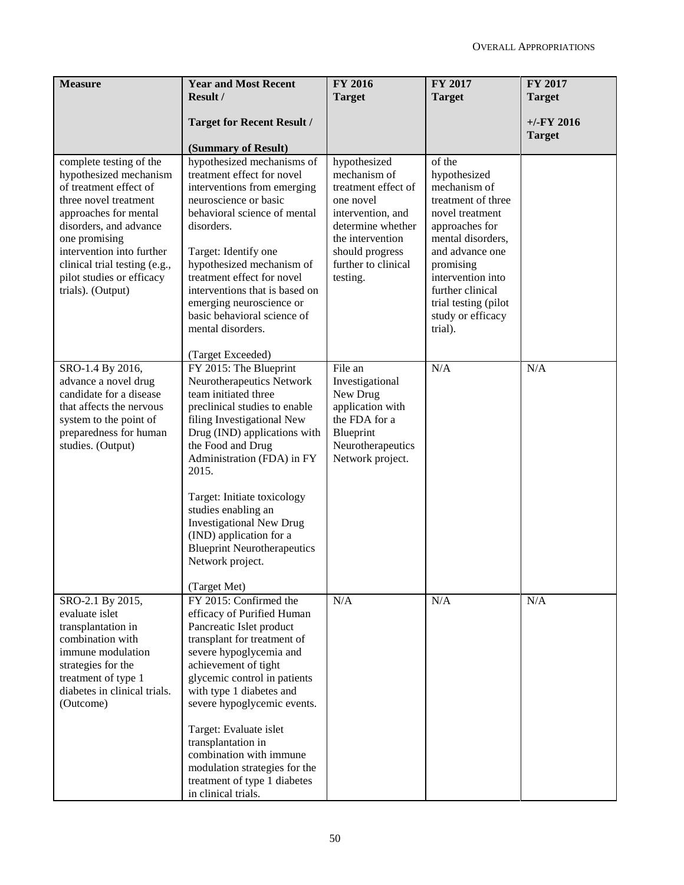| <b>Measure</b>                                                                                                                                                                                                                                                                           | <b>Year and Most Recent</b><br>Result /                                                                                                                                                                                                                                                                                                                                                                                              | FY 2016<br><b>Target</b>                                                                                                                                                             | FY 2017<br><b>Target</b>                                                                                                                                                                                                                                | FY 2017<br><b>Target</b>      |
|------------------------------------------------------------------------------------------------------------------------------------------------------------------------------------------------------------------------------------------------------------------------------------------|--------------------------------------------------------------------------------------------------------------------------------------------------------------------------------------------------------------------------------------------------------------------------------------------------------------------------------------------------------------------------------------------------------------------------------------|--------------------------------------------------------------------------------------------------------------------------------------------------------------------------------------|---------------------------------------------------------------------------------------------------------------------------------------------------------------------------------------------------------------------------------------------------------|-------------------------------|
|                                                                                                                                                                                                                                                                                          | <b>Target for Recent Result /</b><br>(Summary of Result)                                                                                                                                                                                                                                                                                                                                                                             |                                                                                                                                                                                      |                                                                                                                                                                                                                                                         | $+/-FY$ 2016<br><b>Target</b> |
| complete testing of the<br>hypothesized mechanism<br>of treatment effect of<br>three novel treatment<br>approaches for mental<br>disorders, and advance<br>one promising<br>intervention into further<br>clinical trial testing (e.g.,<br>pilot studies or efficacy<br>trials). (Output) | hypothesized mechanisms of<br>treatment effect for novel<br>interventions from emerging<br>neuroscience or basic<br>behavioral science of mental<br>disorders.<br>Target: Identify one<br>hypothesized mechanism of<br>treatment effect for novel<br>interventions that is based on<br>emerging neuroscience or<br>basic behavioral science of<br>mental disorders.<br>(Target Exceeded)                                             | hypothesized<br>mechanism of<br>treatment effect of<br>one novel<br>intervention, and<br>determine whether<br>the intervention<br>should progress<br>further to clinical<br>testing. | of the<br>hypothesized<br>mechanism of<br>treatment of three<br>novel treatment<br>approaches for<br>mental disorders,<br>and advance one<br>promising<br>intervention into<br>further clinical<br>trial testing (pilot<br>study or efficacy<br>trial). |                               |
| SRO-1.4 By 2016,<br>advance a novel drug<br>candidate for a disease<br>that affects the nervous<br>system to the point of<br>preparedness for human<br>studies. (Output)                                                                                                                 | FY 2015: The Blueprint<br>Neurotherapeutics Network<br>team initiated three<br>preclinical studies to enable<br>filing Investigational New<br>Drug (IND) applications with<br>the Food and Drug<br>Administration (FDA) in FY<br>2015.<br>Target: Initiate toxicology<br>studies enabling an<br><b>Investigational New Drug</b><br>(IND) application for a<br><b>Blueprint Neurotherapeutics</b><br>Network project.<br>(Target Met) | File an<br>Investigational<br>New Drug<br>application with<br>the FDA for a<br>Blueprint<br>Neurotherapeutics<br>Network project.                                                    | N/A                                                                                                                                                                                                                                                     | N/A                           |
| SRO-2.1 By 2015,<br>evaluate islet<br>transplantation in<br>combination with<br>immune modulation<br>strategies for the<br>treatment of type 1<br>diabetes in clinical trials.<br>(Outcome)                                                                                              | FY 2015: Confirmed the<br>efficacy of Purified Human<br>Pancreatic Islet product<br>transplant for treatment of<br>severe hypoglycemia and<br>achievement of tight<br>glycemic control in patients<br>with type 1 diabetes and<br>severe hypoglycemic events.<br>Target: Evaluate islet<br>transplantation in<br>combination with immune<br>modulation strategies for the<br>treatment of type 1 diabetes<br>in clinical trials.     | N/A                                                                                                                                                                                  | N/A                                                                                                                                                                                                                                                     | N/A                           |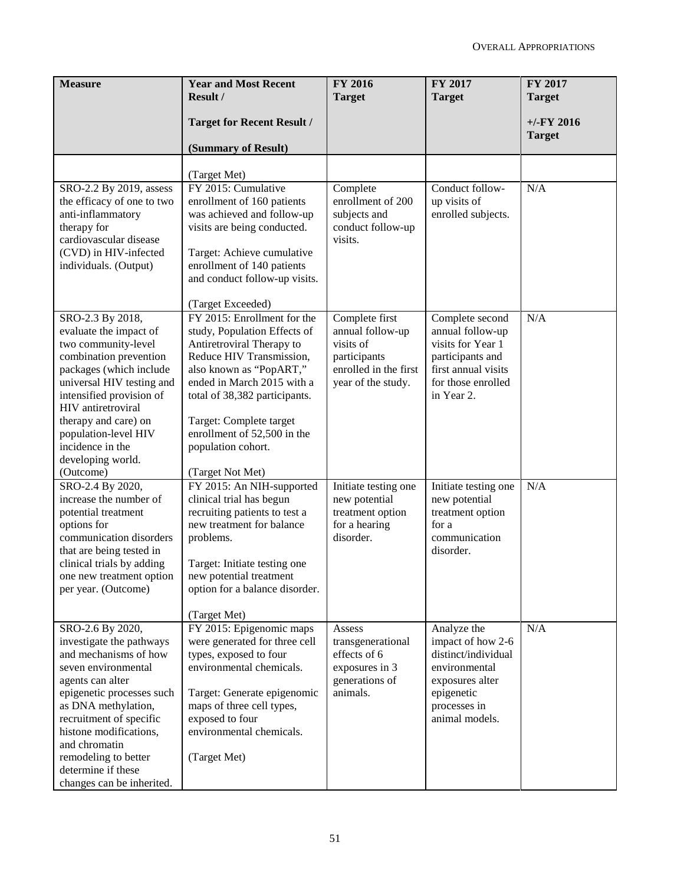| <b>Measure</b>                                                                                                                                                                                                                                                                                 | <b>Year and Most Recent</b><br>Result /                                                                                                                                                                                                                                                        | <b>FY 2016</b><br><b>Target</b>                                                                                | <b>FY 2017</b><br><b>Target</b>                                                                                                         | FY 2017<br><b>Target</b> |
|------------------------------------------------------------------------------------------------------------------------------------------------------------------------------------------------------------------------------------------------------------------------------------------------|------------------------------------------------------------------------------------------------------------------------------------------------------------------------------------------------------------------------------------------------------------------------------------------------|----------------------------------------------------------------------------------------------------------------|-----------------------------------------------------------------------------------------------------------------------------------------|--------------------------|
|                                                                                                                                                                                                                                                                                                |                                                                                                                                                                                                                                                                                                |                                                                                                                |                                                                                                                                         | $+/-$ FY 2016            |
|                                                                                                                                                                                                                                                                                                | <b>Target for Recent Result /</b>                                                                                                                                                                                                                                                              |                                                                                                                |                                                                                                                                         | <b>Target</b>            |
|                                                                                                                                                                                                                                                                                                | (Summary of Result)                                                                                                                                                                                                                                                                            |                                                                                                                |                                                                                                                                         |                          |
|                                                                                                                                                                                                                                                                                                | (Target Met)                                                                                                                                                                                                                                                                                   |                                                                                                                |                                                                                                                                         |                          |
| SRO-2.2 By 2019, assess<br>the efficacy of one to two<br>anti-inflammatory<br>therapy for<br>cardiovascular disease<br>(CVD) in HIV-infected<br>individuals. (Output)                                                                                                                          | FY 2015: Cumulative<br>enrollment of 160 patients<br>was achieved and follow-up<br>visits are being conducted.<br>Target: Achieve cumulative<br>enrollment of 140 patients<br>and conduct follow-up visits.<br>(Target Exceeded)                                                               | Complete<br>enrollment of 200<br>subjects and<br>conduct follow-up<br>visits.                                  | Conduct follow-<br>up visits of<br>enrolled subjects.                                                                                   | N/A                      |
| SRO-2.3 By 2018,<br>evaluate the impact of<br>two community-level<br>combination prevention<br>packages (which include<br>universal HIV testing and<br>intensified provision of<br>HIV antiretroviral<br>therapy and care) on<br>population-level HIV<br>incidence in the<br>developing world. | FY 2015: Enrollment for the<br>study, Population Effects of<br>Antiretroviral Therapy to<br>Reduce HIV Transmission,<br>also known as "PopART,"<br>ended in March 2015 with a<br>total of 38,382 participants.<br>Target: Complete target<br>enrollment of 52,500 in the<br>population cohort. | Complete first<br>annual follow-up<br>visits of<br>participants<br>enrolled in the first<br>year of the study. | Complete second<br>annual follow-up<br>visits for Year 1<br>participants and<br>first annual visits<br>for those enrolled<br>in Year 2. | N/A                      |
| (Outcome)<br>SRO-2.4 By 2020,<br>increase the number of                                                                                                                                                                                                                                        | (Target Not Met)<br>FY 2015: An NIH-supported<br>clinical trial has begun                                                                                                                                                                                                                      | Initiate testing one<br>new potential                                                                          | Initiate testing one<br>new potential                                                                                                   | N/A                      |
| potential treatment<br>options for<br>communication disorders<br>that are being tested in                                                                                                                                                                                                      | recruiting patients to test a<br>new treatment for balance<br>problems.                                                                                                                                                                                                                        | treatment option<br>for a hearing<br>disorder.                                                                 | treatment option<br>for a<br>communication<br>disorder.                                                                                 |                          |
| clinical trials by adding<br>one new treatment option<br>per year. (Outcome)                                                                                                                                                                                                                   | Target: Initiate testing one<br>new potential treatment<br>option for a balance disorder.<br>(Target Met)                                                                                                                                                                                      |                                                                                                                |                                                                                                                                         |                          |
| SRO-2.6 By 2020,                                                                                                                                                                                                                                                                               | FY 2015: Epigenomic maps                                                                                                                                                                                                                                                                       | Assess                                                                                                         | Analyze the                                                                                                                             | N/A                      |
| investigate the pathways<br>and mechanisms of how<br>seven environmental<br>agents can alter                                                                                                                                                                                                   | were generated for three cell<br>types, exposed to four<br>environmental chemicals.                                                                                                                                                                                                            | transgenerational<br>effects of 6<br>exposures in 3<br>generations of                                          | impact of how 2-6<br>distinct/individual<br>environmental<br>exposures alter                                                            |                          |
| epigenetic processes such<br>as DNA methylation,<br>recruitment of specific                                                                                                                                                                                                                    | Target: Generate epigenomic<br>maps of three cell types,<br>exposed to four                                                                                                                                                                                                                    | animals.                                                                                                       | epigenetic<br>processes in<br>animal models.                                                                                            |                          |
| histone modifications,<br>and chromatin                                                                                                                                                                                                                                                        | environmental chemicals.                                                                                                                                                                                                                                                                       |                                                                                                                |                                                                                                                                         |                          |
| remodeling to better<br>determine if these<br>changes can be inherited.                                                                                                                                                                                                                        | (Target Met)                                                                                                                                                                                                                                                                                   |                                                                                                                |                                                                                                                                         |                          |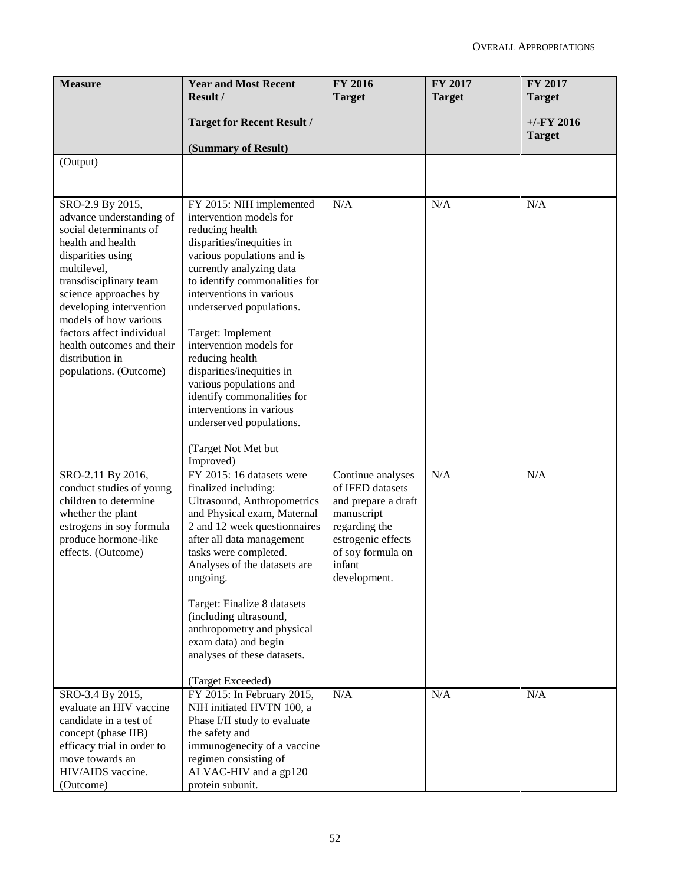| <b>Measure</b>                                                                                                                                                                                                                                                                                                                                | <b>Year and Most Recent</b><br>Result /                                                                                                                                                                                                                                                                                                                                                                                                                                                        | <b>FY 2016</b><br><b>Target</b>                                                                                                                                  | FY 2017<br><b>Target</b> | FY 2017<br><b>Target</b>       |
|-----------------------------------------------------------------------------------------------------------------------------------------------------------------------------------------------------------------------------------------------------------------------------------------------------------------------------------------------|------------------------------------------------------------------------------------------------------------------------------------------------------------------------------------------------------------------------------------------------------------------------------------------------------------------------------------------------------------------------------------------------------------------------------------------------------------------------------------------------|------------------------------------------------------------------------------------------------------------------------------------------------------------------|--------------------------|--------------------------------|
|                                                                                                                                                                                                                                                                                                                                               |                                                                                                                                                                                                                                                                                                                                                                                                                                                                                                |                                                                                                                                                                  |                          |                                |
|                                                                                                                                                                                                                                                                                                                                               | <b>Target for Recent Result /</b>                                                                                                                                                                                                                                                                                                                                                                                                                                                              |                                                                                                                                                                  |                          | $+/-$ FY 2016<br><b>Target</b> |
|                                                                                                                                                                                                                                                                                                                                               | (Summary of Result)                                                                                                                                                                                                                                                                                                                                                                                                                                                                            |                                                                                                                                                                  |                          |                                |
| (Output)                                                                                                                                                                                                                                                                                                                                      |                                                                                                                                                                                                                                                                                                                                                                                                                                                                                                |                                                                                                                                                                  |                          |                                |
|                                                                                                                                                                                                                                                                                                                                               |                                                                                                                                                                                                                                                                                                                                                                                                                                                                                                |                                                                                                                                                                  |                          |                                |
| SRO-2.9 By 2015,<br>advance understanding of<br>social determinants of<br>health and health<br>disparities using<br>multilevel,<br>transdisciplinary team<br>science approaches by<br>developing intervention<br>models of how various<br>factors affect individual<br>health outcomes and their<br>distribution in<br>populations. (Outcome) | FY 2015: NIH implemented<br>intervention models for<br>reducing health<br>disparities/inequities in<br>various populations and is<br>currently analyzing data<br>to identify commonalities for<br>interventions in various<br>underserved populations.<br>Target: Implement<br>intervention models for<br>reducing health<br>disparities/inequities in<br>various populations and<br>identify commonalities for<br>interventions in various<br>underserved populations.<br>(Target Not Met but | N/A                                                                                                                                                              | N/A                      | N/A                            |
| SRO-2.11 By 2016,<br>conduct studies of young<br>children to determine<br>whether the plant<br>estrogens in soy formula<br>produce hormone-like<br>effects. (Outcome)                                                                                                                                                                         | Improved)<br>FY 2015: 16 datasets were<br>finalized including:<br>Ultrasound, Anthropometrics<br>and Physical exam, Maternal<br>2 and 12 week questionnaires<br>after all data management<br>tasks were completed.<br>Analyses of the datasets are<br>ongoing.<br>Target: Finalize 8 datasets<br>(including ultrasound,<br>anthropometry and physical<br>exam data) and begin<br>analyses of these datasets.<br>(Target Exceeded)                                                              | Continue analyses<br>of IFED datasets<br>and prepare a draft<br>manuscript<br>regarding the<br>estrogenic effects<br>of soy formula on<br>infant<br>development. | N/A                      | N/A                            |
| SRO-3.4 By 2015,<br>evaluate an HIV vaccine<br>candidate in a test of<br>concept (phase IIB)<br>efficacy trial in order to<br>move towards an<br>HIV/AIDS vaccine.<br>(Outcome)                                                                                                                                                               | FY 2015: In February 2015,<br>NIH initiated HVTN 100, a<br>Phase I/II study to evaluate<br>the safety and<br>immunogenecity of a vaccine<br>regimen consisting of<br>ALVAC-HIV and a gp120<br>protein subunit.                                                                                                                                                                                                                                                                                 | N/A                                                                                                                                                              | N/A                      | N/A                            |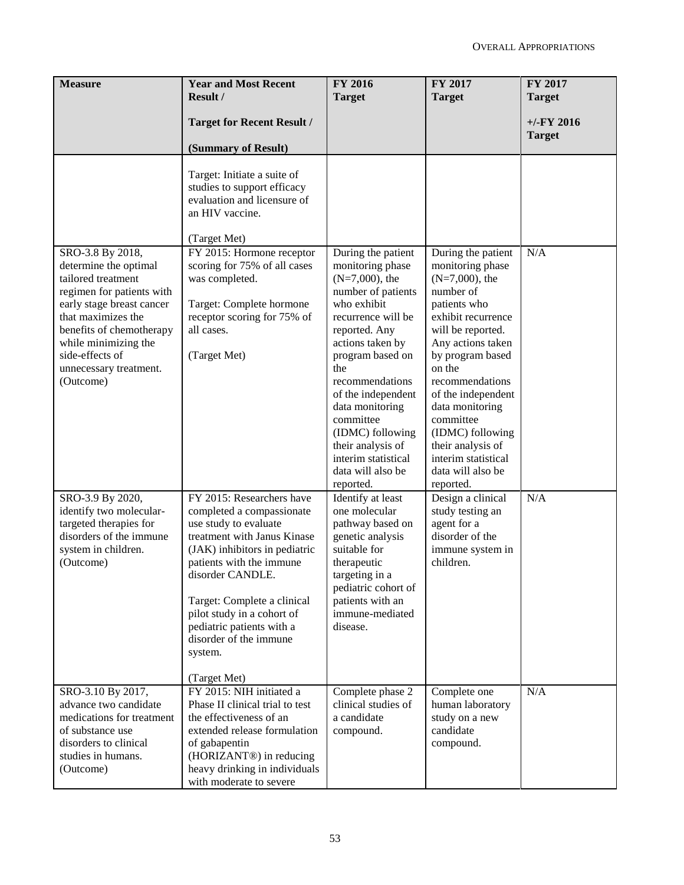| <b>Measure</b>                                                                                                                                                                                                                                                | <b>Year and Most Recent</b><br>Result /                                                                                                                                                                                                                                                                                                        | FY 2016<br><b>Target</b>                                                                                                                                                                                                                                                                                                                                          | FY 2017<br><b>Target</b>                                                                                                                                                                                                                                                                                                                                          | FY 2017<br><b>Target</b>      |
|---------------------------------------------------------------------------------------------------------------------------------------------------------------------------------------------------------------------------------------------------------------|------------------------------------------------------------------------------------------------------------------------------------------------------------------------------------------------------------------------------------------------------------------------------------------------------------------------------------------------|-------------------------------------------------------------------------------------------------------------------------------------------------------------------------------------------------------------------------------------------------------------------------------------------------------------------------------------------------------------------|-------------------------------------------------------------------------------------------------------------------------------------------------------------------------------------------------------------------------------------------------------------------------------------------------------------------------------------------------------------------|-------------------------------|
|                                                                                                                                                                                                                                                               | <b>Target for Recent Result /</b><br>(Summary of Result)                                                                                                                                                                                                                                                                                       |                                                                                                                                                                                                                                                                                                                                                                   |                                                                                                                                                                                                                                                                                                                                                                   | $+/-FY$ 2016<br><b>Target</b> |
|                                                                                                                                                                                                                                                               | Target: Initiate a suite of<br>studies to support efficacy<br>evaluation and licensure of<br>an HIV vaccine.<br>(Target Met)                                                                                                                                                                                                                   |                                                                                                                                                                                                                                                                                                                                                                   |                                                                                                                                                                                                                                                                                                                                                                   |                               |
| SRO-3.8 By 2018,<br>determine the optimal<br>tailored treatment<br>regimen for patients with<br>early stage breast cancer<br>that maximizes the<br>benefits of chemotherapy<br>while minimizing the<br>side-effects of<br>unnecessary treatment.<br>(Outcome) | FY 2015: Hormone receptor<br>scoring for 75% of all cases<br>was completed.<br>Target: Complete hormone<br>receptor scoring for 75% of<br>all cases.<br>(Target Met)                                                                                                                                                                           | During the patient<br>monitoring phase<br>$(N=7,000)$ , the<br>number of patients<br>who exhibit<br>recurrence will be<br>reported. Any<br>actions taken by<br>program based on<br>the<br>recommendations<br>of the independent<br>data monitoring<br>committee<br>(IDMC) following<br>their analysis of<br>interim statistical<br>data will also be<br>reported. | During the patient<br>monitoring phase<br>$(N=7,000)$ , the<br>number of<br>patients who<br>exhibit recurrence<br>will be reported.<br>Any actions taken<br>by program based<br>on the<br>recommendations<br>of the independent<br>data monitoring<br>committee<br>(IDMC) following<br>their analysis of<br>interim statistical<br>data will also be<br>reported. | N/A                           |
| SRO-3.9 By 2020,<br>identify two molecular-<br>targeted therapies for<br>disorders of the immune<br>system in children.<br>(Outcome)                                                                                                                          | FY 2015: Researchers have<br>completed a compassionate<br>use study to evaluate<br>treatment with Janus Kinase<br>(JAK) inhibitors in pediatric<br>patients with the immune<br>disorder CANDLE.<br>Target: Complete a clinical<br>pilot study in a cohort of<br>pediatric patients with a<br>disorder of the immune<br>system.<br>(Target Met) | Identify at least<br>one molecular<br>pathway based on<br>genetic analysis<br>suitable for<br>therapeutic<br>targeting in a<br>pediatric cohort of<br>patients with an<br>immune-mediated<br>disease.                                                                                                                                                             | Design a clinical<br>study testing an<br>agent for a<br>disorder of the<br>immune system in<br>children.                                                                                                                                                                                                                                                          | N/A                           |
| SRO-3.10 By 2017,<br>advance two candidate<br>medications for treatment<br>of substance use<br>disorders to clinical<br>studies in humans.<br>(Outcome)                                                                                                       | FY 2015: NIH initiated a<br>Phase II clinical trial to test<br>the effectiveness of an<br>extended release formulation<br>of gabapentin<br>(HORIZANT <sup>®</sup> ) in reducing<br>heavy drinking in individuals<br>with moderate to severe                                                                                                    | Complete phase 2<br>clinical studies of<br>a candidate<br>compound.                                                                                                                                                                                                                                                                                               | Complete one<br>human laboratory<br>study on a new<br>candidate<br>compound.                                                                                                                                                                                                                                                                                      | N/A                           |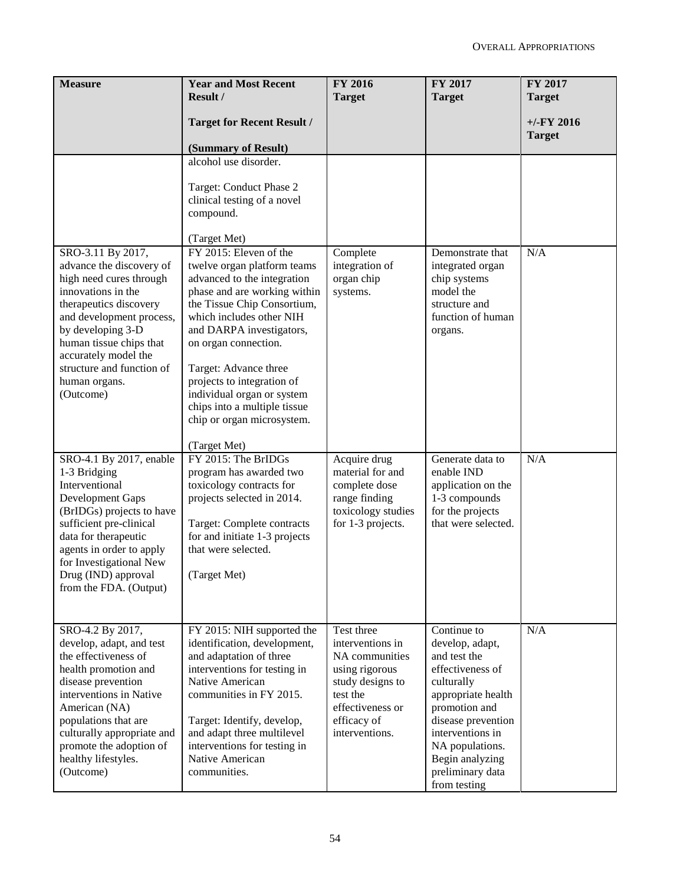| <b>Measure</b>                                                                                                                                                                                                                                                                          | <b>Year and Most Recent</b><br>Result /                                                                                                                                                                                                                                                                                                                                                | FY 2016<br><b>Target</b>                                                                                                                                | FY 2017<br><b>Target</b>                                                                                                                                                                                                                    | FY 2017<br><b>Target</b>      |
|-----------------------------------------------------------------------------------------------------------------------------------------------------------------------------------------------------------------------------------------------------------------------------------------|----------------------------------------------------------------------------------------------------------------------------------------------------------------------------------------------------------------------------------------------------------------------------------------------------------------------------------------------------------------------------------------|---------------------------------------------------------------------------------------------------------------------------------------------------------|---------------------------------------------------------------------------------------------------------------------------------------------------------------------------------------------------------------------------------------------|-------------------------------|
|                                                                                                                                                                                                                                                                                         | <b>Target for Recent Result /</b><br>(Summary of Result)                                                                                                                                                                                                                                                                                                                               |                                                                                                                                                         |                                                                                                                                                                                                                                             | $+/-FY$ 2016<br><b>Target</b> |
|                                                                                                                                                                                                                                                                                         | alcohol use disorder.                                                                                                                                                                                                                                                                                                                                                                  |                                                                                                                                                         |                                                                                                                                                                                                                                             |                               |
|                                                                                                                                                                                                                                                                                         | Target: Conduct Phase 2<br>clinical testing of a novel<br>compound.                                                                                                                                                                                                                                                                                                                    |                                                                                                                                                         |                                                                                                                                                                                                                                             |                               |
|                                                                                                                                                                                                                                                                                         | (Target Met)                                                                                                                                                                                                                                                                                                                                                                           |                                                                                                                                                         |                                                                                                                                                                                                                                             |                               |
| SRO-3.11 By 2017,<br>advance the discovery of<br>high need cures through<br>innovations in the<br>therapeutics discovery<br>and development process,<br>by developing 3-D<br>human tissue chips that<br>accurately model the<br>structure and function of<br>human organs.<br>(Outcome) | FY 2015: Eleven of the<br>twelve organ platform teams<br>advanced to the integration<br>phase and are working within<br>the Tissue Chip Consortium,<br>which includes other NIH<br>and DARPA investigators,<br>on organ connection.<br>Target: Advance three<br>projects to integration of<br>individual organ or system<br>chips into a multiple tissue<br>chip or organ microsystem. | Complete<br>integration of<br>organ chip<br>systems.                                                                                                    | Demonstrate that<br>integrated organ<br>chip systems<br>model the<br>structure and<br>function of human<br>organs.                                                                                                                          | N/A                           |
| SRO-4.1 By 2017, enable                                                                                                                                                                                                                                                                 | (Target Met)<br>FY 2015: The BrIDGs                                                                                                                                                                                                                                                                                                                                                    |                                                                                                                                                         | Generate data to                                                                                                                                                                                                                            | N/A                           |
| 1-3 Bridging<br>Interventional<br>Development Gaps<br>(BrIDGs) projects to have<br>sufficient pre-clinical<br>data for therapeutic<br>agents in order to apply<br>for Investigational New<br>Drug (IND) approval<br>from the FDA. (Output)                                              | program has awarded two<br>toxicology contracts for<br>projects selected in 2014.<br>Target: Complete contracts<br>for and initiate 1-3 projects<br>that were selected.<br>(Target Met)                                                                                                                                                                                                | Acquire drug<br>material for and<br>complete dose<br>range finding<br>toxicology studies<br>for 1-3 projects.                                           | enable IND<br>application on the<br>1-3 compounds<br>for the projects<br>that were selected.                                                                                                                                                |                               |
| SRO-4.2 By 2017,<br>develop, adapt, and test<br>the effectiveness of<br>health promotion and<br>disease prevention<br>interventions in Native<br>American (NA)<br>populations that are<br>culturally appropriate and<br>promote the adoption of<br>healthy lifestyles.<br>(Outcome)     | FY 2015: NIH supported the<br>identification, development,<br>and adaptation of three<br>interventions for testing in<br>Native American<br>communities in FY 2015.<br>Target: Identify, develop,<br>and adapt three multilevel<br>interventions for testing in<br>Native American<br>communities.                                                                                     | Test three<br>interventions in<br>NA communities<br>using rigorous<br>study designs to<br>test the<br>effectiveness or<br>efficacy of<br>interventions. | Continue to<br>develop, adapt,<br>and test the<br>effectiveness of<br>culturally<br>appropriate health<br>promotion and<br>disease prevention<br>interventions in<br>NA populations.<br>Begin analyzing<br>preliminary data<br>from testing | N/A                           |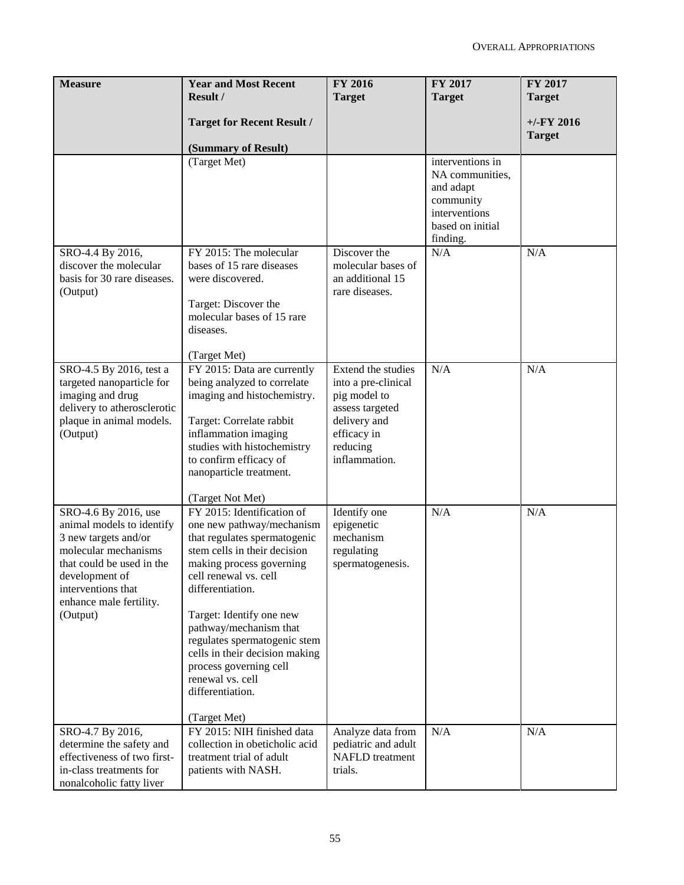| <b>Measure</b>                                                                                                                                                                                                | <b>Year and Most Recent</b><br>Result /                                                                                                                                                                                                                                                                                                                                                                    | <b>FY 2016</b><br><b>Target</b>                                                                                                          | FY 2017<br><b>Target</b>                                                                                       | <b>FY 2017</b><br><b>Target</b> |
|---------------------------------------------------------------------------------------------------------------------------------------------------------------------------------------------------------------|------------------------------------------------------------------------------------------------------------------------------------------------------------------------------------------------------------------------------------------------------------------------------------------------------------------------------------------------------------------------------------------------------------|------------------------------------------------------------------------------------------------------------------------------------------|----------------------------------------------------------------------------------------------------------------|---------------------------------|
|                                                                                                                                                                                                               | <b>Target for Recent Result /</b><br>(Summary of Result)                                                                                                                                                                                                                                                                                                                                                   |                                                                                                                                          |                                                                                                                | $+/-$ FY 2016<br><b>Target</b>  |
|                                                                                                                                                                                                               | (Target Met)                                                                                                                                                                                                                                                                                                                                                                                               |                                                                                                                                          | interventions in<br>NA communities,<br>and adapt<br>community<br>interventions<br>based on initial<br>finding. |                                 |
| SRO-4.4 By 2016,<br>discover the molecular<br>basis for 30 rare diseases.<br>(Output)                                                                                                                         | FY 2015: The molecular<br>bases of 15 rare diseases<br>were discovered.<br>Target: Discover the<br>molecular bases of 15 rare<br>diseases.<br>(Target Met)                                                                                                                                                                                                                                                 | Discover the<br>molecular bases of<br>an additional 15<br>rare diseases.                                                                 | N/A                                                                                                            | N/A                             |
| SRO-4.5 By 2016, test a<br>targeted nanoparticle for<br>imaging and drug<br>delivery to atherosclerotic<br>plaque in animal models.<br>(Output)                                                               | FY 2015: Data are currently<br>being analyzed to correlate<br>imaging and histochemistry.<br>Target: Correlate rabbit<br>inflammation imaging<br>studies with histochemistry<br>to confirm efficacy of<br>nanoparticle treatment.<br>(Target Not Met)                                                                                                                                                      | Extend the studies<br>into a pre-clinical<br>pig model to<br>assess targeted<br>delivery and<br>efficacy in<br>reducing<br>inflammation. | N/A                                                                                                            | N/A                             |
| SRO-4.6 By 2016, use<br>animal models to identify<br>3 new targets and/or<br>molecular mechanisms<br>that could be used in the<br>development of<br>interventions that<br>enhance male fertility.<br>(Output) | FY 2015: Identification of<br>one new pathway/mechanism<br>that regulates spermatogenic<br>stem cells in their decision<br>making process governing<br>cell renewal vs. cell<br>differentiation.<br>Target: Identify one new<br>pathway/mechanism that<br>regulates spermatogenic stem<br>cells in their decision making<br>process governing cell<br>renewal vs. cell<br>differentiation.<br>(Target Met) | Identify one<br>epigenetic<br>mechanism<br>regulating<br>spermatogenesis.                                                                | N/A                                                                                                            | N/A                             |
| SRO-4.7 By 2016,<br>determine the safety and<br>effectiveness of two first-<br>in-class treatments for<br>nonalcoholic fatty liver                                                                            | FY 2015: NIH finished data<br>collection in obeticholic acid<br>treatment trial of adult<br>patients with NASH.                                                                                                                                                                                                                                                                                            | Analyze data from<br>pediatric and adult<br><b>NAFLD</b> treatment<br>trials.                                                            | N/A                                                                                                            | N/A                             |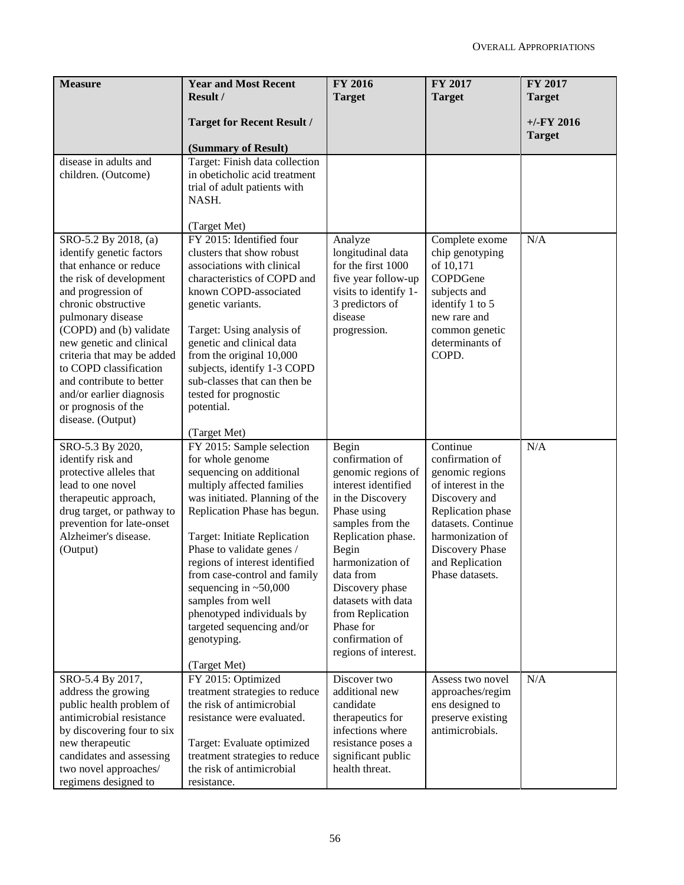| <b>Measure</b>                                                                                                                                                                                                                                                                                                                                                     | <b>Year and Most Recent</b><br>Result /                                                                                                                                                                                                                                                                                                                                                                                                            | FY 2016<br><b>Target</b>                                                                                                                                                                                                                                                                                          | FY 2017<br><b>Target</b>                                                                                                                                                                                      | FY 2017<br><b>Target</b>      |
|--------------------------------------------------------------------------------------------------------------------------------------------------------------------------------------------------------------------------------------------------------------------------------------------------------------------------------------------------------------------|----------------------------------------------------------------------------------------------------------------------------------------------------------------------------------------------------------------------------------------------------------------------------------------------------------------------------------------------------------------------------------------------------------------------------------------------------|-------------------------------------------------------------------------------------------------------------------------------------------------------------------------------------------------------------------------------------------------------------------------------------------------------------------|---------------------------------------------------------------------------------------------------------------------------------------------------------------------------------------------------------------|-------------------------------|
|                                                                                                                                                                                                                                                                                                                                                                    | <b>Target for Recent Result /</b><br>(Summary of Result)                                                                                                                                                                                                                                                                                                                                                                                           |                                                                                                                                                                                                                                                                                                                   |                                                                                                                                                                                                               | $+/-FY$ 2016<br><b>Target</b> |
| disease in adults and<br>children. (Outcome)<br>SRO-5.2 By 2018, (a)                                                                                                                                                                                                                                                                                               | Target: Finish data collection<br>in obeticholic acid treatment<br>trial of adult patients with<br>NASH.<br>(Target Met)<br>FY 2015: Identified four                                                                                                                                                                                                                                                                                               | Analyze                                                                                                                                                                                                                                                                                                           | Complete exome                                                                                                                                                                                                | N/A                           |
| identify genetic factors<br>that enhance or reduce<br>the risk of development<br>and progression of<br>chronic obstructive<br>pulmonary disease<br>(COPD) and (b) validate<br>new genetic and clinical<br>criteria that may be added<br>to COPD classification<br>and contribute to better<br>and/or earlier diagnosis<br>or prognosis of the<br>disease. (Output) | clusters that show robust<br>associations with clinical<br>characteristics of COPD and<br>known COPD-associated<br>genetic variants.<br>Target: Using analysis of<br>genetic and clinical data<br>from the original 10,000<br>subjects, identify 1-3 COPD<br>sub-classes that can then be<br>tested for prognostic<br>potential.<br>(Target Met)                                                                                                   | longitudinal data<br>for the first 1000<br>five year follow-up<br>visits to identify 1-<br>3 predictors of<br>disease<br>progression.                                                                                                                                                                             | chip genotyping<br>of 10,171<br>COPDGene<br>subjects and<br>identify 1 to 5<br>new rare and<br>common genetic<br>determinants of<br>COPD.                                                                     |                               |
| SRO-5.3 By 2020,<br>identify risk and<br>protective alleles that<br>lead to one novel<br>therapeutic approach,<br>drug target, or pathway to<br>prevention for late-onset<br>Alzheimer's disease.<br>(Output)                                                                                                                                                      | FY 2015: Sample selection<br>for whole genome<br>sequencing on additional<br>multiply affected families<br>was initiated. Planning of the<br>Replication Phase has begun.<br>Target: Initiate Replication<br>Phase to validate genes /<br>regions of interest identified<br>from case-control and family<br>sequencing in $~50,000$<br>samples from well<br>phenotyped individuals by<br>targeted sequencing and/or<br>genotyping.<br>(Target Met) | Begin<br>confirmation of<br>genomic regions of<br>interest identified<br>in the Discovery<br>Phase using<br>samples from the<br>Replication phase.<br>Begin<br>harmonization of<br>data from<br>Discovery phase<br>datasets with data<br>from Replication<br>Phase for<br>confirmation of<br>regions of interest. | Continue<br>confirmation of<br>genomic regions<br>of interest in the<br>Discovery and<br>Replication phase<br>datasets. Continue<br>harmonization of<br>Discovery Phase<br>and Replication<br>Phase datasets. | N/A                           |
| SRO-5.4 By 2017,<br>address the growing<br>public health problem of<br>antimicrobial resistance<br>by discovering four to six<br>new therapeutic<br>candidates and assessing<br>two novel approaches/<br>regimens designed to                                                                                                                                      | FY 2015: Optimized<br>treatment strategies to reduce<br>the risk of antimicrobial<br>resistance were evaluated.<br>Target: Evaluate optimized<br>treatment strategies to reduce<br>the risk of antimicrobial<br>resistance.                                                                                                                                                                                                                        | Discover two<br>additional new<br>candidate<br>therapeutics for<br>infections where<br>resistance poses a<br>significant public<br>health threat.                                                                                                                                                                 | Assess two novel<br>approaches/regim<br>ens designed to<br>preserve existing<br>antimicrobials.                                                                                                               | N/A                           |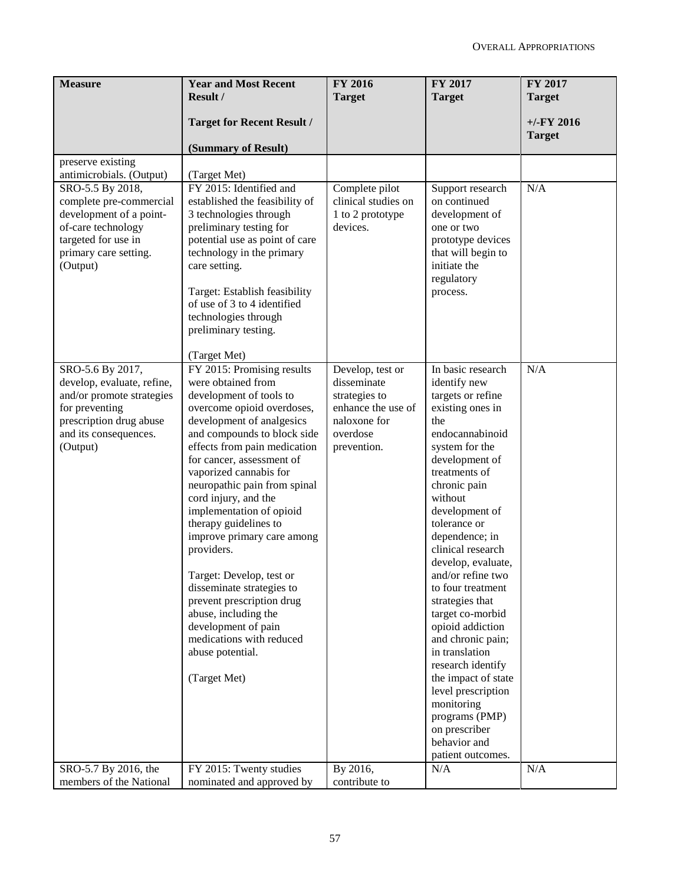| <b>Measure</b>                                          | <b>Year and Most Recent</b><br>Result /                      | FY 2016                         | FY 2017                                  | FY 2017       |
|---------------------------------------------------------|--------------------------------------------------------------|---------------------------------|------------------------------------------|---------------|
|                                                         |                                                              | <b>Target</b>                   | <b>Target</b>                            | <b>Target</b> |
|                                                         | <b>Target for Recent Result /</b>                            |                                 |                                          | $+/-FY$ 2016  |
|                                                         | (Summary of Result)                                          |                                 |                                          | <b>Target</b> |
| preserve existing                                       |                                                              |                                 |                                          |               |
| antimicrobials. (Output)<br>SRO-5.5 By 2018,            | (Target Met)<br>FY 2015: Identified and                      | Complete pilot                  | Support research                         | N/A           |
| complete pre-commercial                                 | established the feasibility of                               | clinical studies on             | on continued                             |               |
| development of a point-<br>of-care technology           | 3 technologies through<br>preliminary testing for            | 1 to 2 prototype<br>devices.    | development of<br>one or two             |               |
| targeted for use in                                     | potential use as point of care                               |                                 | prototype devices                        |               |
| primary care setting.<br>(Output)                       | technology in the primary<br>care setting.                   |                                 | that will begin to<br>initiate the       |               |
|                                                         |                                                              |                                 | regulatory                               |               |
|                                                         | Target: Establish feasibility<br>of use of 3 to 4 identified |                                 | process.                                 |               |
|                                                         | technologies through                                         |                                 |                                          |               |
|                                                         | preliminary testing.                                         |                                 |                                          |               |
|                                                         | (Target Met)                                                 |                                 |                                          |               |
| SRO-5.6 By 2017,                                        | FY 2015: Promising results                                   | Develop, test or<br>disseminate | In basic research                        | N/A           |
| develop, evaluate, refine,<br>and/or promote strategies | were obtained from<br>development of tools to                | strategies to                   | identify new<br>targets or refine        |               |
| for preventing                                          | overcome opioid overdoses,                                   | enhance the use of              | existing ones in                         |               |
| prescription drug abuse<br>and its consequences.        | development of analgesics<br>and compounds to block side     | naloxone for<br>overdose        | the<br>endocannabinoid                   |               |
| (Output)                                                | effects from pain medication                                 | prevention.                     | system for the                           |               |
|                                                         | for cancer, assessment of<br>vaporized cannabis for          |                                 | development of<br>treatments of          |               |
|                                                         | neuropathic pain from spinal                                 |                                 | chronic pain                             |               |
|                                                         | cord injury, and the<br>implementation of opioid             |                                 | without<br>development of                |               |
|                                                         | therapy guidelines to                                        |                                 | tolerance or                             |               |
|                                                         | improve primary care among                                   |                                 | dependence; in<br>clinical research      |               |
|                                                         | providers.                                                   |                                 | develop, evaluate,                       |               |
|                                                         | Target: Develop, test or                                     |                                 | and/or refine two                        |               |
|                                                         | disseminate strategies to<br>prevent prescription drug       |                                 | to four treatment<br>strategies that     |               |
|                                                         | abuse, including the                                         |                                 | target co-morbid                         |               |
|                                                         | development of pain<br>medications with reduced              |                                 | opioid addiction<br>and chronic pain;    |               |
|                                                         | abuse potential.                                             |                                 | in translation                           |               |
|                                                         | (Target Met)                                                 |                                 | research identify<br>the impact of state |               |
|                                                         |                                                              |                                 | level prescription                       |               |
|                                                         |                                                              |                                 | monitoring<br>programs (PMP)             |               |
|                                                         |                                                              |                                 | on prescriber                            |               |
|                                                         |                                                              |                                 | behavior and                             |               |
| SRO-5.7 By 2016, the                                    | FY 2015: Twenty studies                                      | By 2016,                        | patient outcomes.<br>N/A                 | N/A           |
| members of the National                                 | nominated and approved by                                    | contribute to                   |                                          |               |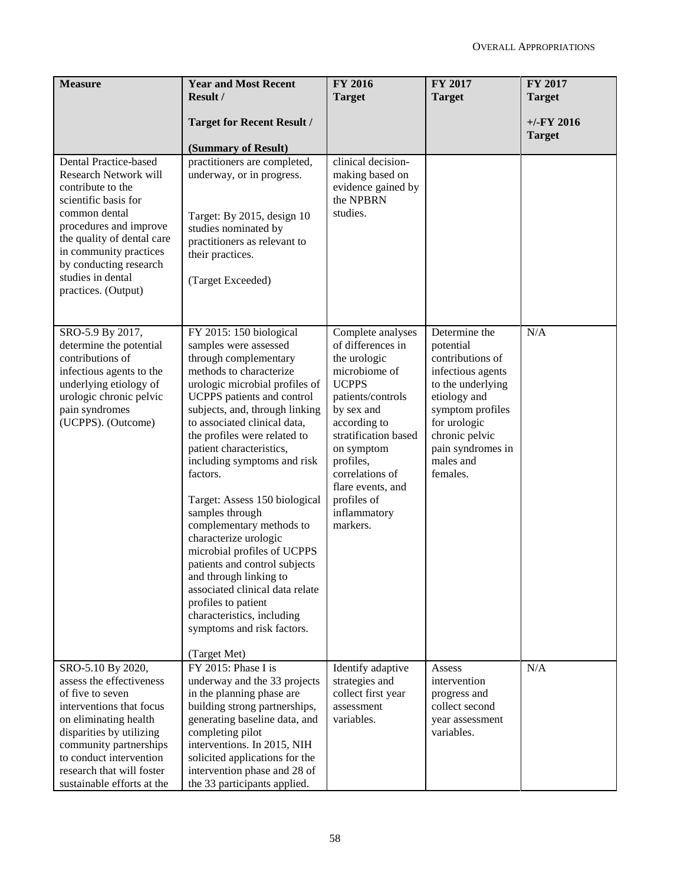| <b>Measure</b>                                                                                                                                                                                                                                                       | <b>Year and Most Recent</b><br>Result /                                                                                                                                                                                                                                                                                                                                                                                                                                                                                                                                                                                                                                                       | FY 2016<br><b>Target</b>                                                                                                                                                                                                                                                         | FY 2017<br><b>Target</b>                                                                                                                                                                                     | FY 2017<br><b>Target</b>       |
|----------------------------------------------------------------------------------------------------------------------------------------------------------------------------------------------------------------------------------------------------------------------|-----------------------------------------------------------------------------------------------------------------------------------------------------------------------------------------------------------------------------------------------------------------------------------------------------------------------------------------------------------------------------------------------------------------------------------------------------------------------------------------------------------------------------------------------------------------------------------------------------------------------------------------------------------------------------------------------|----------------------------------------------------------------------------------------------------------------------------------------------------------------------------------------------------------------------------------------------------------------------------------|--------------------------------------------------------------------------------------------------------------------------------------------------------------------------------------------------------------|--------------------------------|
|                                                                                                                                                                                                                                                                      | <b>Target for Recent Result /</b><br>(Summary of Result)                                                                                                                                                                                                                                                                                                                                                                                                                                                                                                                                                                                                                                      |                                                                                                                                                                                                                                                                                  |                                                                                                                                                                                                              | $+/-$ FY 2016<br><b>Target</b> |
| Dental Practice-based<br>Research Network will<br>contribute to the<br>scientific basis for<br>common dental<br>procedures and improve<br>the quality of dental care<br>in community practices<br>by conducting research<br>studies in dental<br>practices. (Output) | practitioners are completed,<br>underway, or in progress.<br>Target: By 2015, design 10<br>studies nominated by<br>practitioners as relevant to<br>their practices.<br>(Target Exceeded)                                                                                                                                                                                                                                                                                                                                                                                                                                                                                                      | clinical decision-<br>making based on<br>evidence gained by<br>the NPBRN<br>studies.                                                                                                                                                                                             |                                                                                                                                                                                                              |                                |
| SRO-5.9 By 2017,<br>determine the potential<br>contributions of<br>infectious agents to the<br>underlying etiology of<br>urologic chronic pelvic<br>pain syndromes<br>(UCPPS). (Outcome)                                                                             | FY 2015: 150 biological<br>samples were assessed<br>through complementary<br>methods to characterize<br>urologic microbial profiles of<br><b>UCPPS</b> patients and control<br>subjects, and, through linking<br>to associated clinical data,<br>the profiles were related to<br>patient characteristics,<br>including symptoms and risk<br>factors.<br>Target: Assess 150 biological<br>samples through<br>complementary methods to<br>characterize urologic<br>microbial profiles of UCPPS<br>patients and control subjects<br>and through linking to<br>associated clinical data relate<br>profiles to patient<br>characteristics, including<br>symptoms and risk factors.<br>(Target Met) | Complete analyses<br>of differences in<br>the urologic<br>microbiome of<br><b>UCPPS</b><br>patients/controls<br>by sex and<br>according to<br>stratification based<br>on symptom<br>profiles,<br>correlations of<br>flare events, and<br>profiles of<br>inflammatory<br>markers. | Determine the<br>potential<br>contributions of<br>infectious agents<br>to the underlying<br>etiology and<br>symptom profiles<br>for urologic<br>chronic pelvic<br>pain syndromes in<br>males and<br>females. | N/A                            |
| SRO-5.10 By 2020,<br>assess the effectiveness<br>of five to seven<br>interventions that focus<br>on eliminating health<br>disparities by utilizing<br>community partnerships<br>to conduct intervention<br>research that will foster<br>sustainable efforts at the   | FY 2015: Phase I is<br>underway and the 33 projects<br>in the planning phase are<br>building strong partnerships,<br>generating baseline data, and<br>completing pilot<br>interventions. In 2015, NIH<br>solicited applications for the<br>intervention phase and 28 of<br>the 33 participants applied.                                                                                                                                                                                                                                                                                                                                                                                       | Identify adaptive<br>strategies and<br>collect first year<br>assessment<br>variables.                                                                                                                                                                                            | Assess<br>intervention<br>progress and<br>collect second<br>year assessment<br>variables.                                                                                                                    | N/A                            |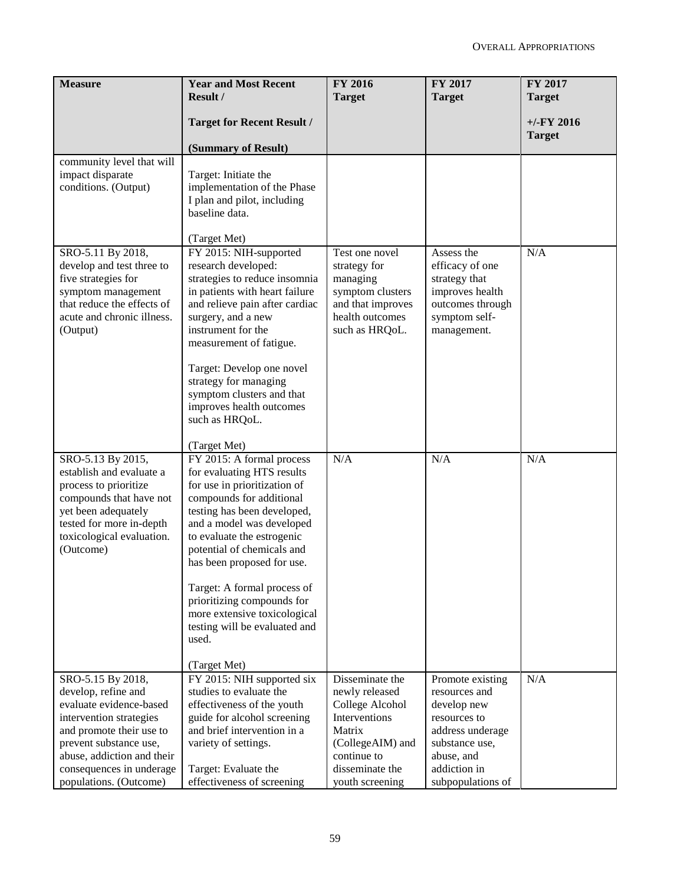| <b>Measure</b>                                                                                                                                                                                 | <b>Year and Most Recent</b><br>Result /                                                                                                                                                                                                                                                                                                                                                                                          | FY 2016<br><b>Target</b>                                                                                                 | FY 2017<br><b>Target</b>                                                                                              | FY 2017<br><b>Target</b>      |
|------------------------------------------------------------------------------------------------------------------------------------------------------------------------------------------------|----------------------------------------------------------------------------------------------------------------------------------------------------------------------------------------------------------------------------------------------------------------------------------------------------------------------------------------------------------------------------------------------------------------------------------|--------------------------------------------------------------------------------------------------------------------------|-----------------------------------------------------------------------------------------------------------------------|-------------------------------|
|                                                                                                                                                                                                | <b>Target for Recent Result /</b>                                                                                                                                                                                                                                                                                                                                                                                                |                                                                                                                          |                                                                                                                       | $+/-FY$ 2016<br><b>Target</b> |
|                                                                                                                                                                                                | (Summary of Result)                                                                                                                                                                                                                                                                                                                                                                                                              |                                                                                                                          |                                                                                                                       |                               |
| community level that will<br>impact disparate<br>conditions. (Output)                                                                                                                          | Target: Initiate the<br>implementation of the Phase<br>I plan and pilot, including<br>baseline data.<br>(Target Met)                                                                                                                                                                                                                                                                                                             |                                                                                                                          |                                                                                                                       |                               |
| SRO-5.11 By 2018,<br>develop and test three to<br>five strategies for<br>symptom management<br>that reduce the effects of<br>acute and chronic illness.<br>(Output)                            | FY 2015: NIH-supported<br>research developed:<br>strategies to reduce insomnia<br>in patients with heart failure<br>and relieve pain after cardiac<br>surgery, and a new<br>instrument for the<br>measurement of fatigue.<br>Target: Develop one novel<br>strategy for managing<br>symptom clusters and that<br>improves health outcomes<br>such as HRQoL.                                                                       | Test one novel<br>strategy for<br>managing<br>symptom clusters<br>and that improves<br>health outcomes<br>such as HRQoL. | Assess the<br>efficacy of one<br>strategy that<br>improves health<br>outcomes through<br>symptom self-<br>management. | N/A                           |
|                                                                                                                                                                                                | (Target Met)                                                                                                                                                                                                                                                                                                                                                                                                                     |                                                                                                                          |                                                                                                                       |                               |
| SRO-5.13 By 2015,<br>establish and evaluate a<br>process to prioritize<br>compounds that have not<br>yet been adequately<br>tested for more in-depth<br>toxicological evaluation.<br>(Outcome) | FY 2015: A formal process<br>for evaluating HTS results<br>for use in prioritization of<br>compounds for additional<br>testing has been developed,<br>and a model was developed<br>to evaluate the estrogenic<br>potential of chemicals and<br>has been proposed for use.<br>Target: A formal process of<br>prioritizing compounds for<br>more extensive toxicological<br>testing will be evaluated and<br>used.<br>(Target Met) | N/A                                                                                                                      | N/A                                                                                                                   | N/A                           |
| SRO-5.15 By 2018,<br>develop, refine and<br>evaluate evidence-based<br>intervention strategies<br>and promote their use to<br>prevent substance use,<br>abuse, addiction and their             | FY 2015: NIH supported six<br>studies to evaluate the<br>effectiveness of the youth<br>guide for alcohol screening<br>and brief intervention in a<br>variety of settings.                                                                                                                                                                                                                                                        | Disseminate the<br>newly released<br>College Alcohol<br>Interventions<br>Matrix<br>(CollegeAIM) and<br>continue to       | Promote existing<br>resources and<br>develop new<br>resources to<br>address underage<br>substance use,<br>abuse, and  | N/A                           |
| consequences in underage<br>populations. (Outcome)                                                                                                                                             | Target: Evaluate the<br>effectiveness of screening                                                                                                                                                                                                                                                                                                                                                                               | disseminate the<br>youth screening                                                                                       | addiction in<br>subpopulations of                                                                                     |                               |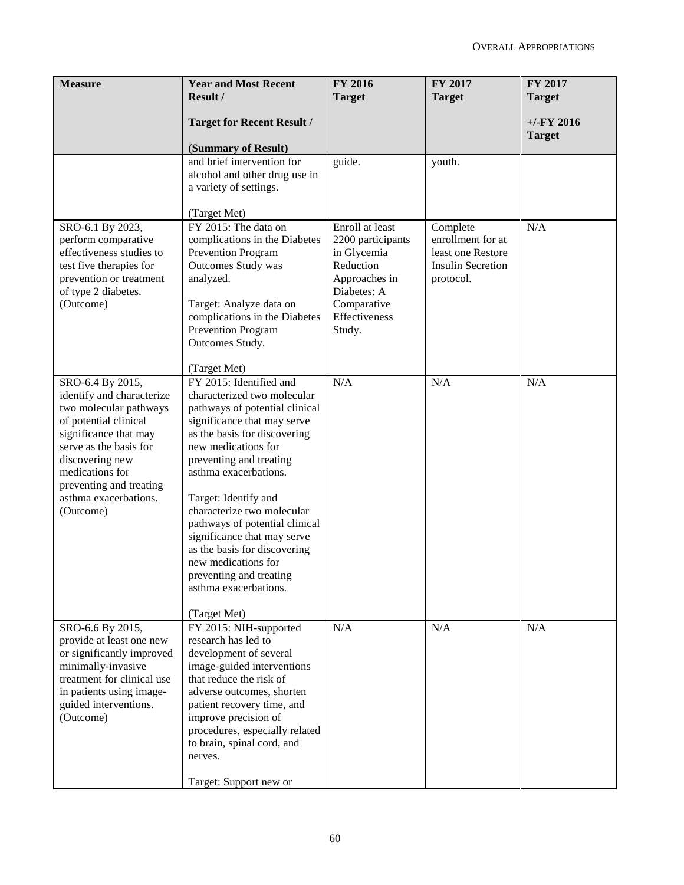| <b>Measure</b>                                                                                                                                                                                                                                             | <b>Year and Most Recent</b><br>Result /                                                                                                                                                                                                                                                                                                                                                                                                                                              | <b>FY 2016</b><br><b>Target</b>                                                                                                            | FY 2017<br><b>Target</b>                                                                    | FY 2017<br><b>Target</b>      |
|------------------------------------------------------------------------------------------------------------------------------------------------------------------------------------------------------------------------------------------------------------|--------------------------------------------------------------------------------------------------------------------------------------------------------------------------------------------------------------------------------------------------------------------------------------------------------------------------------------------------------------------------------------------------------------------------------------------------------------------------------------|--------------------------------------------------------------------------------------------------------------------------------------------|---------------------------------------------------------------------------------------------|-------------------------------|
|                                                                                                                                                                                                                                                            | <b>Target for Recent Result /</b><br>(Summary of Result)                                                                                                                                                                                                                                                                                                                                                                                                                             |                                                                                                                                            |                                                                                             | $+/-FY$ 2016<br><b>Target</b> |
|                                                                                                                                                                                                                                                            | and brief intervention for<br>alcohol and other drug use in<br>a variety of settings.<br>(Target Met)                                                                                                                                                                                                                                                                                                                                                                                | guide.                                                                                                                                     | youth.                                                                                      |                               |
| SRO-6.1 By 2023,<br>perform comparative<br>effectiveness studies to<br>test five therapies for<br>prevention or treatment<br>of type 2 diabetes.<br>(Outcome)                                                                                              | FY 2015: The data on<br>complications in the Diabetes<br>Prevention Program<br>Outcomes Study was<br>analyzed.<br>Target: Analyze data on<br>complications in the Diabetes<br>Prevention Program<br>Outcomes Study.<br>(Target Met)                                                                                                                                                                                                                                                  | Enroll at least<br>2200 participants<br>in Glycemia<br>Reduction<br>Approaches in<br>Diabetes: A<br>Comparative<br>Effectiveness<br>Study. | Complete<br>enrollment for at<br>least one Restore<br><b>Insulin Secretion</b><br>protocol. | N/A                           |
| SRO-6.4 By 2015,<br>identify and characterize<br>two molecular pathways<br>of potential clinical<br>significance that may<br>serve as the basis for<br>discovering new<br>medications for<br>preventing and treating<br>asthma exacerbations.<br>(Outcome) | FY 2015: Identified and<br>characterized two molecular<br>pathways of potential clinical<br>significance that may serve<br>as the basis for discovering<br>new medications for<br>preventing and treating<br>asthma exacerbations.<br>Target: Identify and<br>characterize two molecular<br>pathways of potential clinical<br>significance that may serve<br>as the basis for discovering<br>new medications for<br>preventing and treating<br>asthma exacerbations.<br>(Target Met) | N/A                                                                                                                                        | N/A                                                                                         | N/A                           |
| SRO-6.6 By 2015,<br>provide at least one new<br>or significantly improved<br>minimally-invasive<br>treatment for clinical use<br>in patients using image-<br>guided interventions.<br>(Outcome)                                                            | FY 2015: NIH-supported<br>research has led to<br>development of several<br>image-guided interventions<br>that reduce the risk of<br>adverse outcomes, shorten<br>patient recovery time, and<br>improve precision of<br>procedures, especially related<br>to brain, spinal cord, and<br>nerves.<br>Target: Support new or                                                                                                                                                             | N/A                                                                                                                                        | N/A                                                                                         | N/A                           |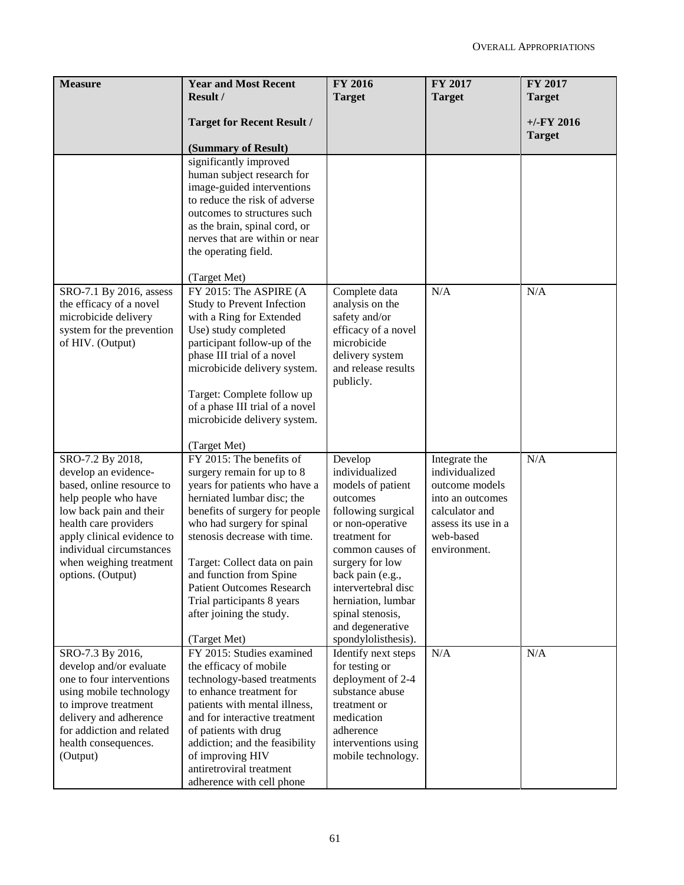| <b>Measure</b>                                                                                                                                                                                                                                              | <b>Year and Most Recent</b><br>Result /                                                                                                                                                                                                                                                                                                                                                        | FY 2016<br><b>Target</b>                                                                                                                                                                                                                                                                     | FY 2017<br><b>Target</b>                                                                                                                    | FY 2017<br><b>Target</b>      |
|-------------------------------------------------------------------------------------------------------------------------------------------------------------------------------------------------------------------------------------------------------------|------------------------------------------------------------------------------------------------------------------------------------------------------------------------------------------------------------------------------------------------------------------------------------------------------------------------------------------------------------------------------------------------|----------------------------------------------------------------------------------------------------------------------------------------------------------------------------------------------------------------------------------------------------------------------------------------------|---------------------------------------------------------------------------------------------------------------------------------------------|-------------------------------|
|                                                                                                                                                                                                                                                             | <b>Target for Recent Result /</b><br>(Summary of Result)                                                                                                                                                                                                                                                                                                                                       |                                                                                                                                                                                                                                                                                              |                                                                                                                                             | $+/-FY$ 2016<br><b>Target</b> |
|                                                                                                                                                                                                                                                             | significantly improved<br>human subject research for<br>image-guided interventions<br>to reduce the risk of adverse<br>outcomes to structures such<br>as the brain, spinal cord, or<br>nerves that are within or near<br>the operating field.<br>(Target Met)                                                                                                                                  |                                                                                                                                                                                                                                                                                              |                                                                                                                                             |                               |
| SRO-7.1 By 2016, assess<br>the efficacy of a novel<br>microbicide delivery<br>system for the prevention<br>of HIV. (Output)                                                                                                                                 | FY 2015: The ASPIRE (A<br>Study to Prevent Infection<br>with a Ring for Extended<br>Use) study completed<br>participant follow-up of the<br>phase III trial of a novel<br>microbicide delivery system.<br>Target: Complete follow up<br>of a phase III trial of a novel<br>microbicide delivery system.<br>(Target Met)                                                                        | Complete data<br>analysis on the<br>safety and/or<br>efficacy of a novel<br>microbicide<br>delivery system<br>and release results<br>publicly.                                                                                                                                               | N/A                                                                                                                                         | N/A                           |
| SRO-7.2 By 2018,<br>develop an evidence-<br>based, online resource to<br>help people who have<br>low back pain and their<br>health care providers<br>apply clinical evidence to<br>individual circumstances<br>when weighing treatment<br>options. (Output) | FY 2015: The benefits of<br>surgery remain for up to 8<br>years for patients who have a<br>herniated lumbar disc; the<br>benefits of surgery for people<br>who had surgery for spinal<br>stenosis decrease with time.<br>Target: Collect data on pain<br>and function from Spine<br><b>Patient Outcomes Research</b><br>Trial participants 8 years<br>after joining the study.<br>(Target Met) | Develop<br>individualized<br>models of patient<br>outcomes<br>following surgical<br>or non-operative<br>treatment for<br>common causes of<br>surgery for low<br>back pain (e.g.,<br>intervertebral disc<br>herniation, lumbar<br>spinal stenosis,<br>and degenerative<br>spondylolisthesis). | Integrate the<br>individualized<br>outcome models<br>into an outcomes<br>calculator and<br>assess its use in a<br>web-based<br>environment. | N/A                           |
| SRO-7.3 By 2016,<br>develop and/or evaluate<br>one to four interventions<br>using mobile technology<br>to improve treatment<br>delivery and adherence<br>for addiction and related<br>health consequences.<br>(Output)                                      | FY 2015: Studies examined<br>the efficacy of mobile<br>technology-based treatments<br>to enhance treatment for<br>patients with mental illness,<br>and for interactive treatment<br>of patients with drug<br>addiction; and the feasibility<br>of improving HIV<br>antiretroviral treatment<br>adherence with cell phone                                                                       | Identify next steps<br>for testing or<br>deployment of 2-4<br>substance abuse<br>treatment or<br>medication<br>adherence<br>interventions using<br>mobile technology.                                                                                                                        | N/A                                                                                                                                         | N/A                           |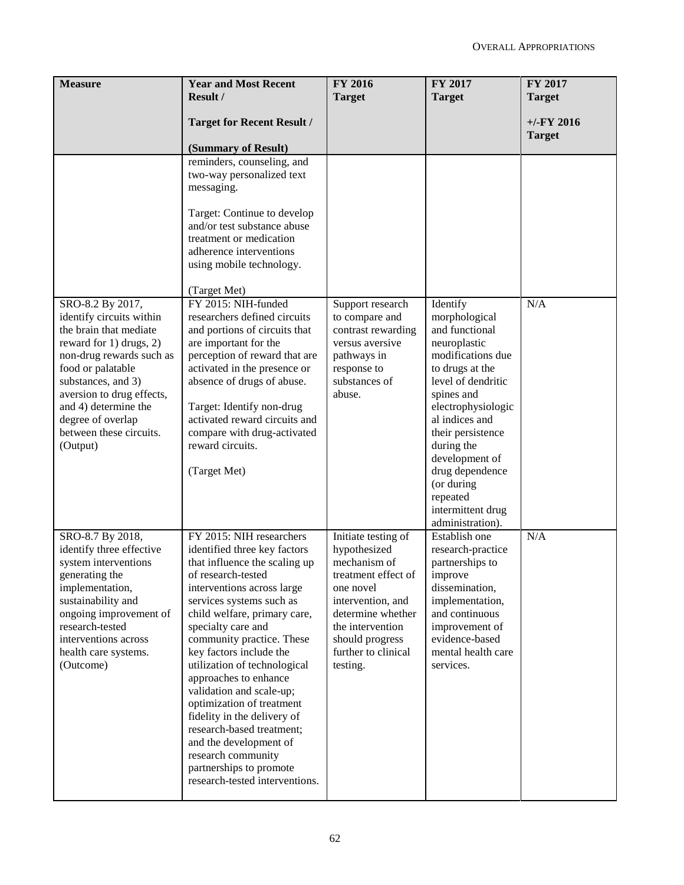| <b>Measure</b>                                                                                                                                                                                                                            | <b>Year and Most Recent</b><br>Result /                                                                                                                                                                                                                                                                                                                                                                                                                                                                                                                                            | FY 2016<br><b>Target</b>                                                                                                                                                                                    | FY 2017<br><b>Target</b>                                                                                                                                                                       | FY 2017<br><b>Target</b>      |
|-------------------------------------------------------------------------------------------------------------------------------------------------------------------------------------------------------------------------------------------|------------------------------------------------------------------------------------------------------------------------------------------------------------------------------------------------------------------------------------------------------------------------------------------------------------------------------------------------------------------------------------------------------------------------------------------------------------------------------------------------------------------------------------------------------------------------------------|-------------------------------------------------------------------------------------------------------------------------------------------------------------------------------------------------------------|------------------------------------------------------------------------------------------------------------------------------------------------------------------------------------------------|-------------------------------|
|                                                                                                                                                                                                                                           | <b>Target for Recent Result /</b><br>(Summary of Result)                                                                                                                                                                                                                                                                                                                                                                                                                                                                                                                           |                                                                                                                                                                                                             |                                                                                                                                                                                                | $+/-FY$ 2016<br><b>Target</b> |
| SRO-8.2 By 2017,<br>identify circuits within<br>the brain that mediate<br>reward for 1) drugs, 2)<br>non-drug rewards such as<br>food or palatable<br>substances, and 3)<br>aversion to drug effects,                                     | reminders, counseling, and<br>two-way personalized text<br>messaging.<br>Target: Continue to develop<br>and/or test substance abuse<br>treatment or medication<br>adherence interventions<br>using mobile technology.<br>(Target Met)<br>FY 2015: NIH-funded<br>researchers defined circuits<br>and portions of circuits that<br>are important for the<br>perception of reward that are<br>activated in the presence or<br>absence of drugs of abuse.                                                                                                                              | Support research<br>to compare and<br>contrast rewarding<br>versus aversive<br>pathways in<br>response to<br>substances of<br>abuse.                                                                        | Identify<br>morphological<br>and functional<br>neuroplastic<br>modifications due<br>to drugs at the<br>level of dendritic<br>spines and                                                        | N/A                           |
| and 4) determine the<br>degree of overlap<br>between these circuits.<br>(Output)                                                                                                                                                          | Target: Identify non-drug<br>activated reward circuits and<br>compare with drug-activated<br>reward circuits.<br>(Target Met)                                                                                                                                                                                                                                                                                                                                                                                                                                                      |                                                                                                                                                                                                             | electrophysiologic<br>al indices and<br>their persistence<br>during the<br>development of<br>drug dependence<br>(or during<br>repeated<br>intermittent drug<br>administration).                |                               |
| SRO-8.7 By 2018,<br>identify three effective<br>system interventions<br>generating the<br>implementation,<br>sustainability and<br>ongoing improvement of<br>research-tested<br>interventions across<br>health care systems.<br>(Outcome) | FY 2015: NIH researchers<br>identified three key factors<br>that influence the scaling up<br>of research-tested<br>interventions across large<br>services systems such as<br>child welfare, primary care,<br>specialty care and<br>community practice. These<br>key factors include the<br>utilization of technological<br>approaches to enhance<br>validation and scale-up;<br>optimization of treatment<br>fidelity in the delivery of<br>research-based treatment;<br>and the development of<br>research community<br>partnerships to promote<br>research-tested interventions. | Initiate testing of<br>hypothesized<br>mechanism of<br>treatment effect of<br>one novel<br>intervention, and<br>determine whether<br>the intervention<br>should progress<br>further to clinical<br>testing. | Establish one<br>research-practice<br>partnerships to<br>improve<br>dissemination,<br>implementation,<br>and continuous<br>improvement of<br>evidence-based<br>mental health care<br>services. | N/A                           |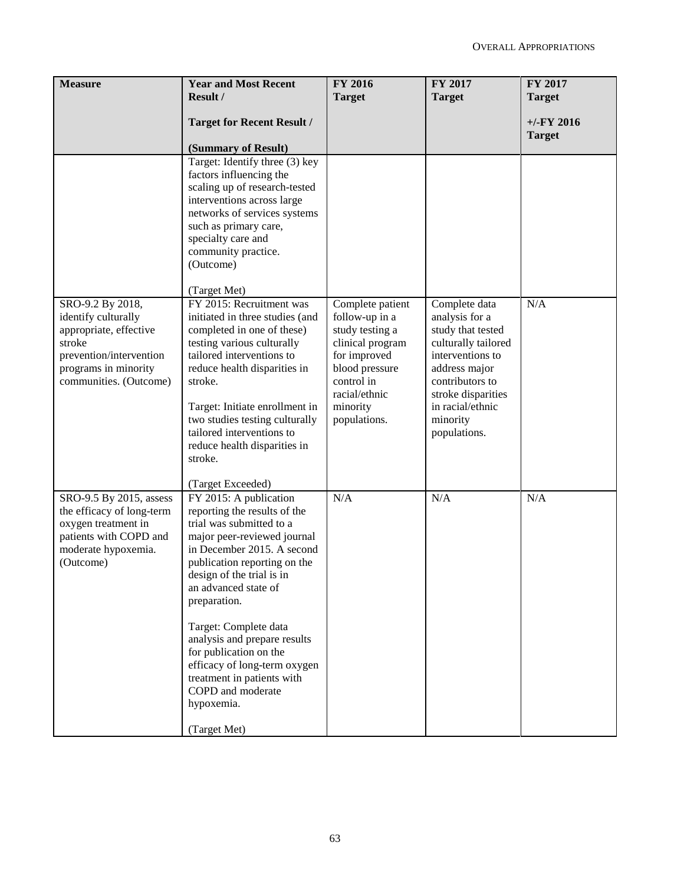| <b>Measure</b>                                                                                                                                           | <b>Year and Most Recent</b><br>Result /                                                                                                                                                                                                                                                                                                                                                                                                                  | FY 2016<br><b>Target</b>                                                                                                                                               | FY 2017<br><b>Target</b>                                                                                                                                                                                  | FY 2017<br><b>Target</b>      |
|----------------------------------------------------------------------------------------------------------------------------------------------------------|----------------------------------------------------------------------------------------------------------------------------------------------------------------------------------------------------------------------------------------------------------------------------------------------------------------------------------------------------------------------------------------------------------------------------------------------------------|------------------------------------------------------------------------------------------------------------------------------------------------------------------------|-----------------------------------------------------------------------------------------------------------------------------------------------------------------------------------------------------------|-------------------------------|
|                                                                                                                                                          | <b>Target for Recent Result /</b><br>(Summary of Result)                                                                                                                                                                                                                                                                                                                                                                                                 |                                                                                                                                                                        |                                                                                                                                                                                                           | $+/-FY$ 2016<br><b>Target</b> |
|                                                                                                                                                          | Target: Identify three (3) key<br>factors influencing the<br>scaling up of research-tested<br>interventions across large<br>networks of services systems<br>such as primary care,<br>specialty care and<br>community practice.<br>(Outcome)<br>(Target Met)                                                                                                                                                                                              |                                                                                                                                                                        |                                                                                                                                                                                                           |                               |
| SRO-9.2 By 2018,<br>identify culturally<br>appropriate, effective<br>stroke<br>prevention/intervention<br>programs in minority<br>communities. (Outcome) | FY 2015: Recruitment was<br>initiated in three studies (and<br>completed in one of these)<br>testing various culturally<br>tailored interventions to<br>reduce health disparities in<br>stroke.<br>Target: Initiate enrollment in<br>two studies testing culturally<br>tailored interventions to<br>reduce health disparities in<br>stroke.<br>(Target Exceeded)                                                                                         | Complete patient<br>follow-up in a<br>study testing a<br>clinical program<br>for improved<br>blood pressure<br>control in<br>racial/ethnic<br>minority<br>populations. | Complete data<br>analysis for a<br>study that tested<br>culturally tailored<br>interventions to<br>address major<br>contributors to<br>stroke disparities<br>in racial/ethnic<br>minority<br>populations. | N/A                           |
| SRO-9.5 By 2015, assess<br>the efficacy of long-term<br>oxygen treatment in<br>patients with COPD and<br>moderate hypoxemia.<br>(Outcome)                | FY 2015: A publication<br>reporting the results of the<br>trial was submitted to a<br>major peer-reviewed journal<br>in December 2015. A second<br>publication reporting on the<br>design of the trial is in<br>an advanced state of<br>preparation.<br>Target: Complete data<br>analysis and prepare results<br>for publication on the<br>efficacy of long-term oxygen<br>treatment in patients with<br>COPD and moderate<br>hypoxemia.<br>(Target Met) | N/A                                                                                                                                                                    | N/A                                                                                                                                                                                                       | N/A                           |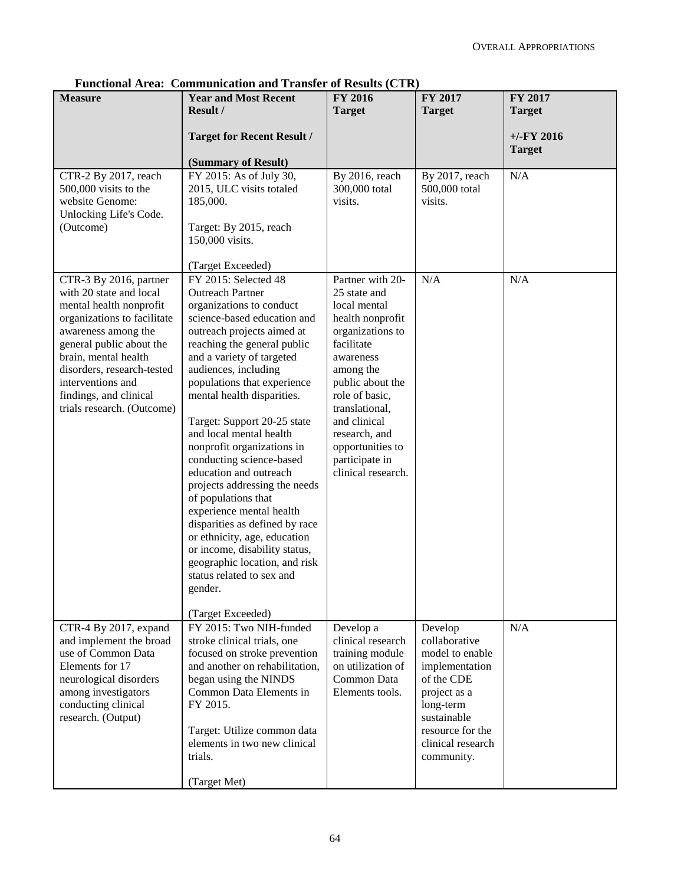| <b>Measure</b>              | $\bf r$ anchonal Arca, communication and Transici of Results (CTR)<br><b>Year and Most Recent</b> | <b>FY 2016</b>     | FY 2017           | FY 2017       |
|-----------------------------|---------------------------------------------------------------------------------------------------|--------------------|-------------------|---------------|
|                             |                                                                                                   |                    |                   |               |
|                             | Result /                                                                                          | <b>Target</b>      | <b>Target</b>     | <b>Target</b> |
|                             |                                                                                                   |                    |                   | $+/-FY$ 2016  |
|                             | <b>Target for Recent Result /</b>                                                                 |                    |                   |               |
|                             |                                                                                                   |                    |                   | <b>Target</b> |
|                             | (Summary of Result)                                                                               |                    |                   |               |
| CTR-2 By 2017, reach        | FY 2015: As of July 30,                                                                           | By 2016, reach     | By 2017, reach    | N/A           |
| 500,000 visits to the       | 2015, ULC visits totaled                                                                          | 300,000 total      | 500,000 total     |               |
| website Genome:             | 185,000.                                                                                          | visits.            | visits.           |               |
| Unlocking Life's Code.      |                                                                                                   |                    |                   |               |
| (Outcome)                   | Target: By 2015, reach                                                                            |                    |                   |               |
|                             | 150,000 visits.                                                                                   |                    |                   |               |
|                             |                                                                                                   |                    |                   |               |
|                             | (Target Exceeded)                                                                                 |                    |                   |               |
| CTR-3 By 2016, partner      | FY 2015: Selected 48                                                                              | Partner with 20-   | N/A               | N/A           |
| with 20 state and local     | <b>Outreach Partner</b>                                                                           | 25 state and       |                   |               |
| mental health nonprofit     | organizations to conduct                                                                          | local mental       |                   |               |
| organizations to facilitate | science-based education and                                                                       | health nonprofit   |                   |               |
| awareness among the         | outreach projects aimed at                                                                        | organizations to   |                   |               |
| general public about the    | reaching the general public                                                                       | facilitate         |                   |               |
| brain, mental health        | and a variety of targeted                                                                         | awareness          |                   |               |
| disorders, research-tested  | audiences, including                                                                              | among the          |                   |               |
| interventions and           | populations that experience                                                                       | public about the   |                   |               |
| findings, and clinical      | mental health disparities.                                                                        | role of basic,     |                   |               |
| trials research. (Outcome)  |                                                                                                   | translational,     |                   |               |
|                             | Target: Support 20-25 state                                                                       | and clinical       |                   |               |
|                             | and local mental health                                                                           | research, and      |                   |               |
|                             | nonprofit organizations in                                                                        | opportunities to   |                   |               |
|                             | conducting science-based                                                                          | participate in     |                   |               |
|                             | education and outreach                                                                            | clinical research. |                   |               |
|                             | projects addressing the needs                                                                     |                    |                   |               |
|                             | of populations that                                                                               |                    |                   |               |
|                             | experience mental health                                                                          |                    |                   |               |
|                             | disparities as defined by race                                                                    |                    |                   |               |
|                             | or ethnicity, age, education                                                                      |                    |                   |               |
|                             | or income, disability status,                                                                     |                    |                   |               |
|                             |                                                                                                   |                    |                   |               |
|                             | geographic location, and risk<br>status related to sex and                                        |                    |                   |               |
|                             |                                                                                                   |                    |                   |               |
|                             | gender.                                                                                           |                    |                   |               |
|                             |                                                                                                   |                    |                   |               |
|                             | (Target Exceeded)<br>FY 2015: Two NIH-funded                                                      |                    |                   |               |
| CTR-4 By 2017, expand       |                                                                                                   | Develop a          | Develop           | N/A           |
| and implement the broad     | stroke clinical trials, one                                                                       | clinical research  | collaborative     |               |
| use of Common Data          | focused on stroke prevention                                                                      | training module    | model to enable   |               |
| Elements for 17             | and another on rehabilitation,                                                                    | on utilization of  | implementation    |               |
| neurological disorders      | began using the NINDS                                                                             | Common Data        | of the CDE        |               |
| among investigators         | Common Data Elements in                                                                           | Elements tools.    | project as a      |               |
| conducting clinical         | FY 2015.                                                                                          |                    | long-term         |               |
| research. (Output)          |                                                                                                   |                    | sustainable       |               |
|                             | Target: Utilize common data                                                                       |                    | resource for the  |               |
|                             | elements in two new clinical                                                                      |                    | clinical research |               |
|                             | trials.                                                                                           |                    | community.        |               |
|                             |                                                                                                   |                    |                   |               |
|                             | (Target Met)                                                                                      |                    |                   |               |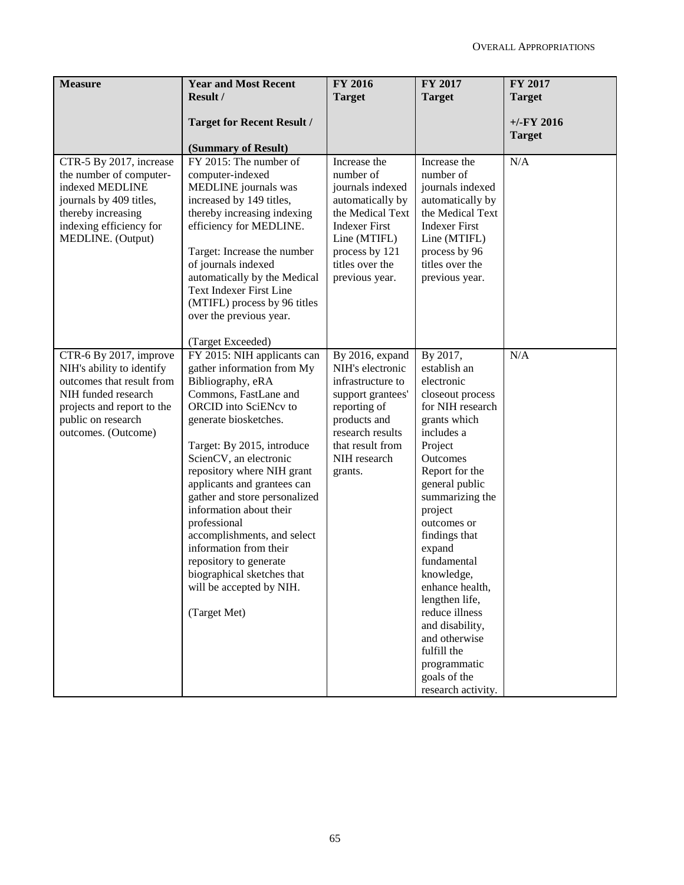| <b>Measure</b>                                                                                                                                                                     | <b>Year and Most Recent</b><br>Result /                                                                                                                                                                                                                                                                                                                                                                                                                                                                                 | FY 2016<br><b>Target</b>                                                                                                                                                             | FY 2017<br><b>Target</b>                                                                                                                                                                                                                                                                                                                                                                                                                            | FY 2017<br><b>Target</b>      |
|------------------------------------------------------------------------------------------------------------------------------------------------------------------------------------|-------------------------------------------------------------------------------------------------------------------------------------------------------------------------------------------------------------------------------------------------------------------------------------------------------------------------------------------------------------------------------------------------------------------------------------------------------------------------------------------------------------------------|--------------------------------------------------------------------------------------------------------------------------------------------------------------------------------------|-----------------------------------------------------------------------------------------------------------------------------------------------------------------------------------------------------------------------------------------------------------------------------------------------------------------------------------------------------------------------------------------------------------------------------------------------------|-------------------------------|
|                                                                                                                                                                                    | <b>Target for Recent Result /</b><br>(Summary of Result)                                                                                                                                                                                                                                                                                                                                                                                                                                                                |                                                                                                                                                                                      |                                                                                                                                                                                                                                                                                                                                                                                                                                                     | $+/-FY$ 2016<br><b>Target</b> |
| CTR-5 By 2017, increase<br>the number of computer-<br>indexed MEDLINE<br>journals by 409 titles,<br>thereby increasing<br>indexing efficiency for<br>MEDLINE. (Output)             | FY 2015: The number of<br>computer-indexed<br>MEDLINE journals was<br>increased by 149 titles,<br>thereby increasing indexing<br>efficiency for MEDLINE.<br>Target: Increase the number<br>of journals indexed<br>automatically by the Medical<br><b>Text Indexer First Line</b><br>(MTIFL) process by 96 titles<br>over the previous year.<br>(Target Exceeded)                                                                                                                                                        | Increase the<br>number of<br>journals indexed<br>automatically by<br>the Medical Text<br><b>Indexer First</b><br>Line (MTIFL)<br>process by 121<br>titles over the<br>previous year. | Increase the<br>number of<br>journals indexed<br>automatically by<br>the Medical Text<br><b>Indexer First</b><br>Line (MTIFL)<br>process by 96<br>titles over the<br>previous year.                                                                                                                                                                                                                                                                 | N/A                           |
| CTR-6 By 2017, improve<br>NIH's ability to identify<br>outcomes that result from<br>NIH funded research<br>projects and report to the<br>public on research<br>outcomes. (Outcome) | FY 2015: NIH applicants can<br>gather information from My<br>Bibliography, eRA<br>Commons, FastLane and<br>ORCID into SciENcv to<br>generate biosketches.<br>Target: By 2015, introduce<br>ScienCV, an electronic<br>repository where NIH grant<br>applicants and grantees can<br>gather and store personalized<br>information about their<br>professional<br>accomplishments, and select<br>information from their<br>repository to generate<br>biographical sketches that<br>will be accepted by NIH.<br>(Target Met) | By 2016, expand<br>NIH's electronic<br>infrastructure to<br>support grantees'<br>reporting of<br>products and<br>research results<br>that result from<br>NIH research<br>grants.     | By 2017,<br>establish an<br>electronic<br>closeout process<br>for NIH research<br>grants which<br>includes a<br>Project<br><b>Outcomes</b><br>Report for the<br>general public<br>summarizing the<br>project<br>outcomes or<br>findings that<br>expand<br>fundamental<br>knowledge,<br>enhance health,<br>lengthen life,<br>reduce illness<br>and disability,<br>and otherwise<br>fulfill the<br>programmatic<br>goals of the<br>research activity. | N/A                           |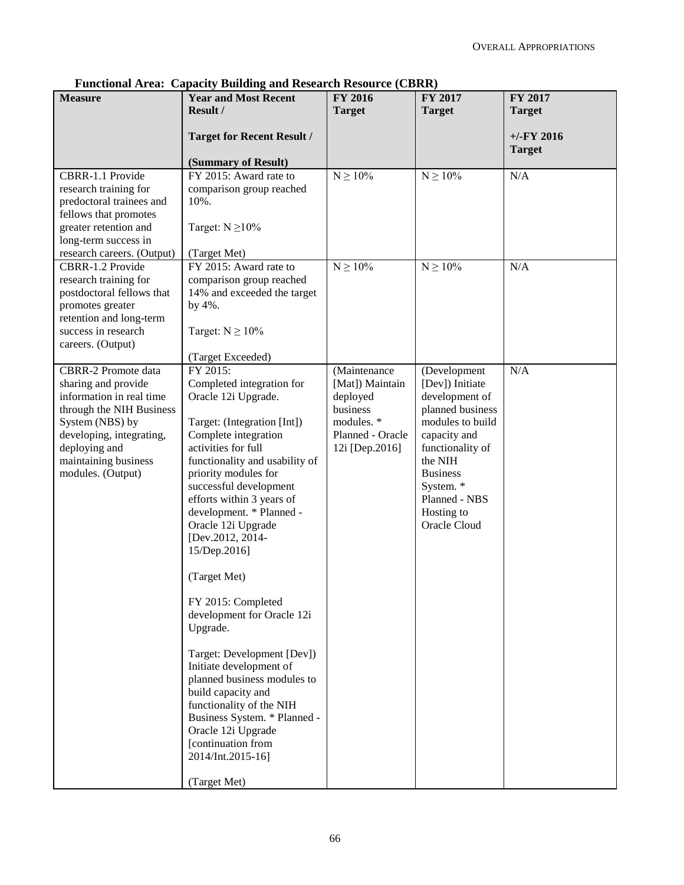|  |  | <b>Functional Area: Capacity Building and Research Resource (CBRR)</b> |  |
|--|--|------------------------------------------------------------------------|--|
|--|--|------------------------------------------------------------------------|--|

| <b>Measure</b>                                    | r unchonal Arca. Capacity Dunuing and Research Resource (CDRR)<br><b>Year and Most Recent</b> | <b>FY 2016</b>   | FY 2017                     | FY 2017       |
|---------------------------------------------------|-----------------------------------------------------------------------------------------------|------------------|-----------------------------|---------------|
|                                                   | <b>Result /</b>                                                                               | <b>Target</b>    | <b>Target</b>               | <b>Target</b> |
|                                                   |                                                                                               |                  |                             |               |
|                                                   | <b>Target for Recent Result /</b>                                                             |                  |                             | $+/-FY$ 2016  |
|                                                   |                                                                                               |                  |                             | <b>Target</b> |
|                                                   | (Summary of Result)                                                                           |                  |                             |               |
| CBRR-1.1 Provide                                  | FY 2015: Award rate to                                                                        | $N \ge 10\%$     | $N\geq 10\%$                | N/A           |
| research training for                             | comparison group reached                                                                      |                  |                             |               |
| predoctoral trainees and<br>fellows that promotes | 10%.                                                                                          |                  |                             |               |
| greater retention and                             | Target: $N \ge 10\%$                                                                          |                  |                             |               |
| long-term success in                              |                                                                                               |                  |                             |               |
| research careers. (Output)                        | (Target Met)                                                                                  |                  |                             |               |
| CBRR-1.2 Provide                                  | FY 2015: Award rate to                                                                        | $N\geq 10\%$     | $N\geq 10\%$                | N/A           |
| research training for                             | comparison group reached                                                                      |                  |                             |               |
| postdoctoral fellows that                         | 14% and exceeded the target                                                                   |                  |                             |               |
| promotes greater                                  | by 4%.                                                                                        |                  |                             |               |
| retention and long-term                           |                                                                                               |                  |                             |               |
| success in research                               | Target: $N \ge 10\%$                                                                          |                  |                             |               |
| careers. (Output)                                 | (Target Exceeded)                                                                             |                  |                             |               |
| <b>CBRR-2</b> Promote data                        | FY 2015:                                                                                      | (Maintenance     | (Development                | N/A           |
| sharing and provide                               | Completed integration for                                                                     | [Mat]) Maintain  | [Dev]) Initiate             |               |
| information in real time                          | Oracle 12i Upgrade.                                                                           | deployed         | development of              |               |
| through the NIH Business                          |                                                                                               | business         | planned business            |               |
| System (NBS) by                                   | Target: (Integration [Int])                                                                   | modules. *       | modules to build            |               |
| developing, integrating,                          | Complete integration                                                                          | Planned - Oracle | capacity and                |               |
| deploying and                                     | activities for full                                                                           | 12i [Dep.2016]   | functionality of<br>the NIH |               |
| maintaining business<br>modules. (Output)         | functionality and usability of<br>priority modules for                                        |                  | <b>Business</b>             |               |
|                                                   | successful development                                                                        |                  | System. *                   |               |
|                                                   | efforts within 3 years of                                                                     |                  | Planned - NBS               |               |
|                                                   | development. * Planned -                                                                      |                  | Hosting to                  |               |
|                                                   | Oracle 12i Upgrade                                                                            |                  | Oracle Cloud                |               |
|                                                   | [Dev.2012, 2014-                                                                              |                  |                             |               |
|                                                   | 15/Dep.2016]                                                                                  |                  |                             |               |
|                                                   | (Target Met)                                                                                  |                  |                             |               |
|                                                   | FY 2015: Completed                                                                            |                  |                             |               |
|                                                   | development for Oracle 12i                                                                    |                  |                             |               |
|                                                   | Upgrade.                                                                                      |                  |                             |               |
|                                                   | Target: Development [Dev])                                                                    |                  |                             |               |
|                                                   | Initiate development of                                                                       |                  |                             |               |
|                                                   | planned business modules to                                                                   |                  |                             |               |
|                                                   | build capacity and                                                                            |                  |                             |               |
|                                                   | functionality of the NIH                                                                      |                  |                             |               |
|                                                   | Business System. * Planned -                                                                  |                  |                             |               |
|                                                   | Oracle 12i Upgrade<br>[continuation from                                                      |                  |                             |               |
|                                                   | 2014/Int.2015-16]                                                                             |                  |                             |               |
|                                                   |                                                                                               |                  |                             |               |
|                                                   | (Target Met)                                                                                  |                  |                             |               |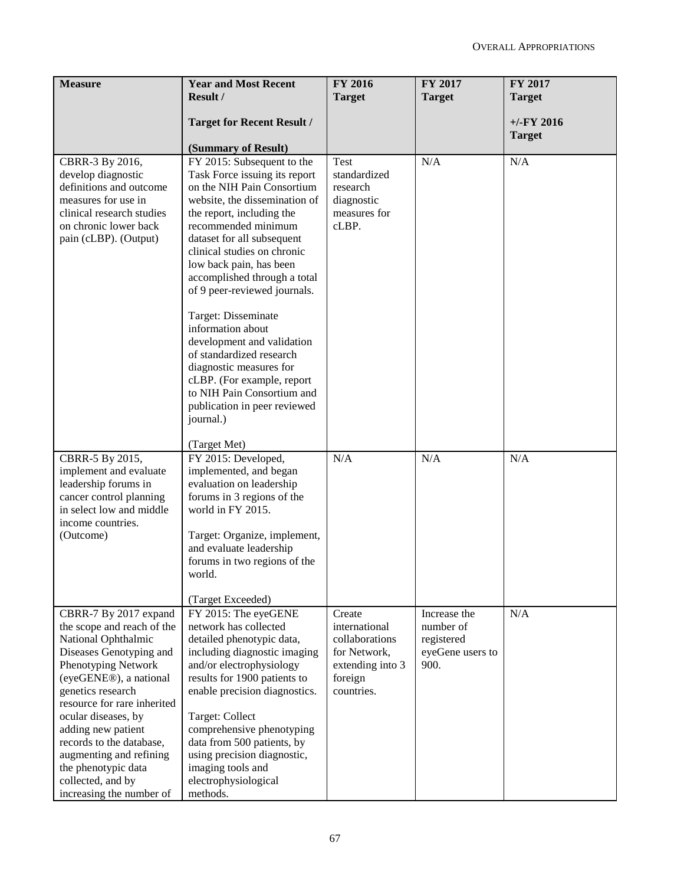| <b>Measure</b>                                                                                                                                                                                                                                                                                                                                                                         | <b>Year and Most Recent</b><br>Result /                                                                                                                                                                                                                                                                                                                                                                                                                                                                                                                                          | <b>FY 2016</b><br><b>Target</b>                                                                        | FY 2017<br><b>Target</b>                                            | FY 2017<br><b>Target</b> |
|----------------------------------------------------------------------------------------------------------------------------------------------------------------------------------------------------------------------------------------------------------------------------------------------------------------------------------------------------------------------------------------|----------------------------------------------------------------------------------------------------------------------------------------------------------------------------------------------------------------------------------------------------------------------------------------------------------------------------------------------------------------------------------------------------------------------------------------------------------------------------------------------------------------------------------------------------------------------------------|--------------------------------------------------------------------------------------------------------|---------------------------------------------------------------------|--------------------------|
|                                                                                                                                                                                                                                                                                                                                                                                        | <b>Target for Recent Result /</b>                                                                                                                                                                                                                                                                                                                                                                                                                                                                                                                                                |                                                                                                        |                                                                     | $+/-FY$ 2016             |
|                                                                                                                                                                                                                                                                                                                                                                                        |                                                                                                                                                                                                                                                                                                                                                                                                                                                                                                                                                                                  |                                                                                                        |                                                                     | <b>Target</b>            |
|                                                                                                                                                                                                                                                                                                                                                                                        | (Summary of Result)                                                                                                                                                                                                                                                                                                                                                                                                                                                                                                                                                              |                                                                                                        |                                                                     |                          |
| CBRR-3 By 2016,<br>develop diagnostic<br>definitions and outcome<br>measures for use in<br>clinical research studies<br>on chronic lower back<br>pain (cLBP). (Output)                                                                                                                                                                                                                 | FY 2015: Subsequent to the<br>Task Force issuing its report<br>on the NIH Pain Consortium<br>website, the dissemination of<br>the report, including the<br>recommended minimum<br>dataset for all subsequent<br>clinical studies on chronic<br>low back pain, has been<br>accomplished through a total<br>of 9 peer-reviewed journals.<br>Target: Disseminate<br>information about<br>development and validation<br>of standardized research<br>diagnostic measures for<br>cLBP. (For example, report<br>to NIH Pain Consortium and<br>publication in peer reviewed<br>journal.) | Test<br>standardized<br>research<br>diagnostic<br>measures for<br>cLBP.                                | N/A                                                                 | N/A                      |
|                                                                                                                                                                                                                                                                                                                                                                                        |                                                                                                                                                                                                                                                                                                                                                                                                                                                                                                                                                                                  |                                                                                                        |                                                                     |                          |
| CBRR-5 By 2015,<br>implement and evaluate<br>leadership forums in<br>cancer control planning<br>in select low and middle<br>income countries.<br>(Outcome)                                                                                                                                                                                                                             | (Target Met)<br>FY 2015: Developed,<br>implemented, and began<br>evaluation on leadership<br>forums in 3 regions of the<br>world in FY 2015.<br>Target: Organize, implement,<br>and evaluate leadership<br>forums in two regions of the<br>world.<br>(Target Exceeded)                                                                                                                                                                                                                                                                                                           | N/A                                                                                                    | N/A                                                                 | N/A                      |
| CBRR-7 By 2017 expand<br>the scope and reach of the<br>National Ophthalmic<br>Diseases Genotyping and<br>Phenotyping Network<br>(eyeGENE®), a national<br>genetics research<br>resource for rare inherited<br>ocular diseases, by<br>adding new patient<br>records to the database,<br>augmenting and refining<br>the phenotypic data<br>collected, and by<br>increasing the number of | FY 2015: The eyeGENE<br>network has collected<br>detailed phenotypic data,<br>including diagnostic imaging<br>and/or electrophysiology<br>results for 1900 patients to<br>enable precision diagnostics.<br>Target: Collect<br>comprehensive phenotyping<br>data from 500 patients, by<br>using precision diagnostic,<br>imaging tools and<br>electrophysiological<br>methods.                                                                                                                                                                                                    | Create<br>international<br>collaborations<br>for Network,<br>extending into 3<br>foreign<br>countries. | Increase the<br>number of<br>registered<br>eyeGene users to<br>900. | N/A                      |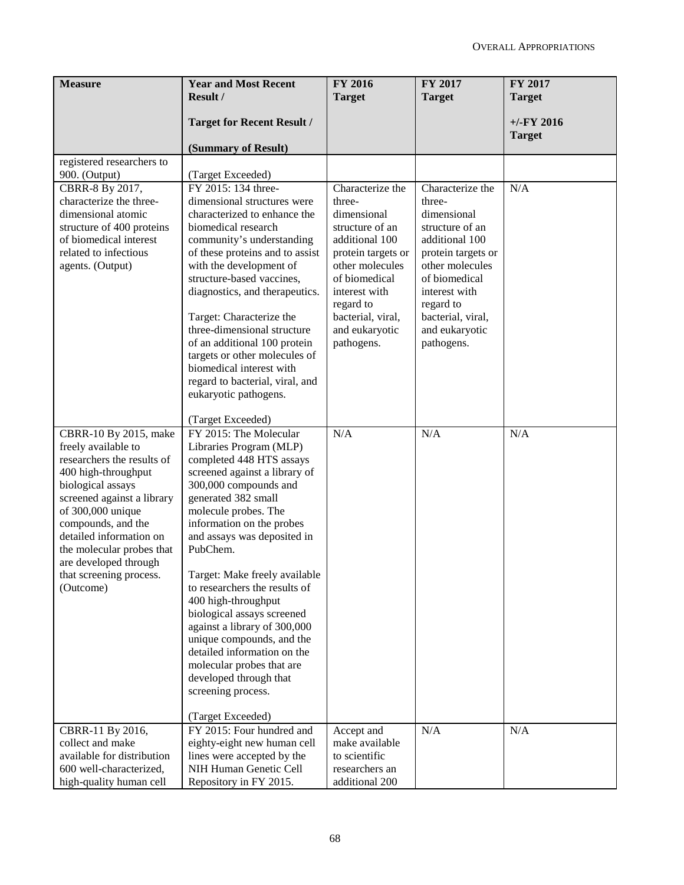| <b>Measure</b>                                                                                                                                                                                                                                                                                                           | <b>Year and Most Recent</b><br>Result /                                                                                                                                                                                                                                                                                                                                                                                                                                                                                                                        | FY 2016<br><b>Target</b>                                                                                                                                                                                                    | FY 2017<br><b>Target</b>                                                                                                                                                                                                    | FY 2017<br><b>Target</b> |
|--------------------------------------------------------------------------------------------------------------------------------------------------------------------------------------------------------------------------------------------------------------------------------------------------------------------------|----------------------------------------------------------------------------------------------------------------------------------------------------------------------------------------------------------------------------------------------------------------------------------------------------------------------------------------------------------------------------------------------------------------------------------------------------------------------------------------------------------------------------------------------------------------|-----------------------------------------------------------------------------------------------------------------------------------------------------------------------------------------------------------------------------|-----------------------------------------------------------------------------------------------------------------------------------------------------------------------------------------------------------------------------|--------------------------|
|                                                                                                                                                                                                                                                                                                                          | <b>Target for Recent Result /</b>                                                                                                                                                                                                                                                                                                                                                                                                                                                                                                                              |                                                                                                                                                                                                                             |                                                                                                                                                                                                                             | $+/-FY$ 2016             |
|                                                                                                                                                                                                                                                                                                                          |                                                                                                                                                                                                                                                                                                                                                                                                                                                                                                                                                                |                                                                                                                                                                                                                             |                                                                                                                                                                                                                             | <b>Target</b>            |
|                                                                                                                                                                                                                                                                                                                          | (Summary of Result)                                                                                                                                                                                                                                                                                                                                                                                                                                                                                                                                            |                                                                                                                                                                                                                             |                                                                                                                                                                                                                             |                          |
| registered researchers to<br>900. (Output)                                                                                                                                                                                                                                                                               | (Target Exceeded)                                                                                                                                                                                                                                                                                                                                                                                                                                                                                                                                              |                                                                                                                                                                                                                             |                                                                                                                                                                                                                             |                          |
| CBRR-8 By 2017,<br>characterize the three-<br>dimensional atomic<br>structure of 400 proteins<br>of biomedical interest<br>related to infectious<br>agents. (Output)                                                                                                                                                     | FY 2015: 134 three-<br>dimensional structures were<br>characterized to enhance the<br>biomedical research<br>community's understanding<br>of these proteins and to assist<br>with the development of<br>structure-based vaccines,<br>diagnostics, and therapeutics.<br>Target: Characterize the<br>three-dimensional structure<br>of an additional 100 protein<br>targets or other molecules of<br>biomedical interest with<br>regard to bacterial, viral, and<br>eukaryotic pathogens.                                                                        | Characterize the<br>three-<br>dimensional<br>structure of an<br>additional 100<br>protein targets or<br>other molecules<br>of biomedical<br>interest with<br>regard to<br>bacterial, viral,<br>and eukaryotic<br>pathogens. | Characterize the<br>three-<br>dimensional<br>structure of an<br>additional 100<br>protein targets or<br>other molecules<br>of biomedical<br>interest with<br>regard to<br>bacterial, viral,<br>and eukaryotic<br>pathogens. | N/A                      |
|                                                                                                                                                                                                                                                                                                                          | (Target Exceeded)                                                                                                                                                                                                                                                                                                                                                                                                                                                                                                                                              |                                                                                                                                                                                                                             |                                                                                                                                                                                                                             |                          |
| CBRR-10 By 2015, make<br>freely available to<br>researchers the results of<br>400 high-throughput<br>biological assays<br>screened against a library<br>of 300,000 unique<br>compounds, and the<br>detailed information on<br>the molecular probes that<br>are developed through<br>that screening process.<br>(Outcome) | FY 2015: The Molecular<br>Libraries Program (MLP)<br>completed 448 HTS assays<br>screened against a library of<br>300,000 compounds and<br>generated 382 small<br>molecule probes. The<br>information on the probes<br>and assays was deposited in<br>PubChem.<br>Target: Make freely available<br>to researchers the results of<br>400 high-throughput<br>biological assays screened<br>against a library of 300,000<br>unique compounds, and the<br>detailed information on the<br>molecular probes that are<br>developed through that<br>screening process. | N/A                                                                                                                                                                                                                         | N/A                                                                                                                                                                                                                         | N/A                      |
| CBRR-11 By 2016,                                                                                                                                                                                                                                                                                                         | (Target Exceeded)<br>FY 2015: Four hundred and                                                                                                                                                                                                                                                                                                                                                                                                                                                                                                                 | Accept and                                                                                                                                                                                                                  | N/A                                                                                                                                                                                                                         | N/A                      |
| collect and make<br>available for distribution<br>600 well-characterized,<br>high-quality human cell                                                                                                                                                                                                                     | eighty-eight new human cell<br>lines were accepted by the<br>NIH Human Genetic Cell<br>Repository in FY 2015.                                                                                                                                                                                                                                                                                                                                                                                                                                                  | make available<br>to scientific<br>researchers an<br>additional 200                                                                                                                                                         |                                                                                                                                                                                                                             |                          |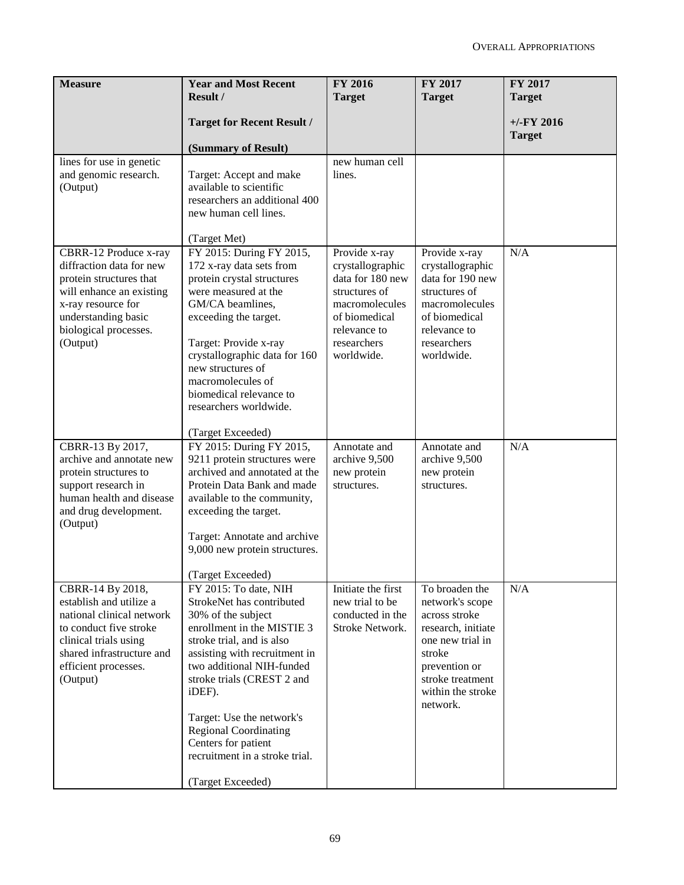| <b>Measure</b>                                                                                                                                                                               | <b>Year and Most Recent</b><br>Result /                                                                                                                                                                                                                                                                                                                                              | <b>FY 2016</b><br><b>Target</b>                                                                                                                        | <b>FY 2017</b><br><b>Target</b>                                                                                                                                              | <b>FY 2017</b><br><b>Target</b> |
|----------------------------------------------------------------------------------------------------------------------------------------------------------------------------------------------|--------------------------------------------------------------------------------------------------------------------------------------------------------------------------------------------------------------------------------------------------------------------------------------------------------------------------------------------------------------------------------------|--------------------------------------------------------------------------------------------------------------------------------------------------------|------------------------------------------------------------------------------------------------------------------------------------------------------------------------------|---------------------------------|
|                                                                                                                                                                                              | <b>Target for Recent Result /</b><br>(Summary of Result)                                                                                                                                                                                                                                                                                                                             |                                                                                                                                                        |                                                                                                                                                                              | $+/-$ FY 2016<br><b>Target</b>  |
| lines for use in genetic<br>and genomic research.<br>(Output)                                                                                                                                | Target: Accept and make<br>available to scientific<br>researchers an additional 400<br>new human cell lines.<br>(Target Met)                                                                                                                                                                                                                                                         | new human cell<br>lines.                                                                                                                               |                                                                                                                                                                              |                                 |
| CBRR-12 Produce x-ray<br>diffraction data for new<br>protein structures that<br>will enhance an existing<br>x-ray resource for<br>understanding basic<br>biological processes.<br>(Output)   | FY 2015: During FY 2015,<br>172 x-ray data sets from<br>protein crystal structures<br>were measured at the<br>GM/CA beamlines,<br>exceeding the target.<br>Target: Provide x-ray<br>crystallographic data for 160<br>new structures of<br>macromolecules of<br>biomedical relevance to<br>researchers worldwide.<br>(Target Exceeded)                                                | Provide x-ray<br>crystallographic<br>data for 180 new<br>structures of<br>macromolecules<br>of biomedical<br>relevance to<br>researchers<br>worldwide. | Provide x-ray<br>crystallographic<br>data for 190 new<br>structures of<br>macromolecules<br>of biomedical<br>relevance to<br>researchers<br>worldwide.                       | N/A                             |
| CBRR-13 By 2017,<br>archive and annotate new<br>protein structures to<br>support research in<br>human health and disease<br>and drug development.<br>(Output)                                | FY 2015: During FY 2015,<br>9211 protein structures were<br>archived and annotated at the<br>Protein Data Bank and made<br>available to the community,<br>exceeding the target.<br>Target: Annotate and archive<br>9,000 new protein structures.<br>(Target Exceeded)                                                                                                                | Annotate and<br>archive 9,500<br>new protein<br>structures.                                                                                            | Annotate and<br>archive 9,500<br>new protein<br>structures.                                                                                                                  | N/A                             |
| CBRR-14 By 2018,<br>establish and utilize a<br>national clinical network<br>to conduct five stroke<br>clinical trials using<br>shared infrastructure and<br>efficient processes.<br>(Output) | FY 2015: To date, NIH<br>StrokeNet has contributed<br>30% of the subject<br>enrollment in the MISTIE 3<br>stroke trial, and is also<br>assisting with recruitment in<br>two additional NIH-funded<br>stroke trials (CREST 2 and<br>iDEF).<br>Target: Use the network's<br><b>Regional Coordinating</b><br>Centers for patient<br>recruitment in a stroke trial.<br>(Target Exceeded) | Initiate the first<br>new trial to be<br>conducted in the<br>Stroke Network.                                                                           | To broaden the<br>network's scope<br>across stroke<br>research, initiate<br>one new trial in<br>stroke<br>prevention or<br>stroke treatment<br>within the stroke<br>network. | N/A                             |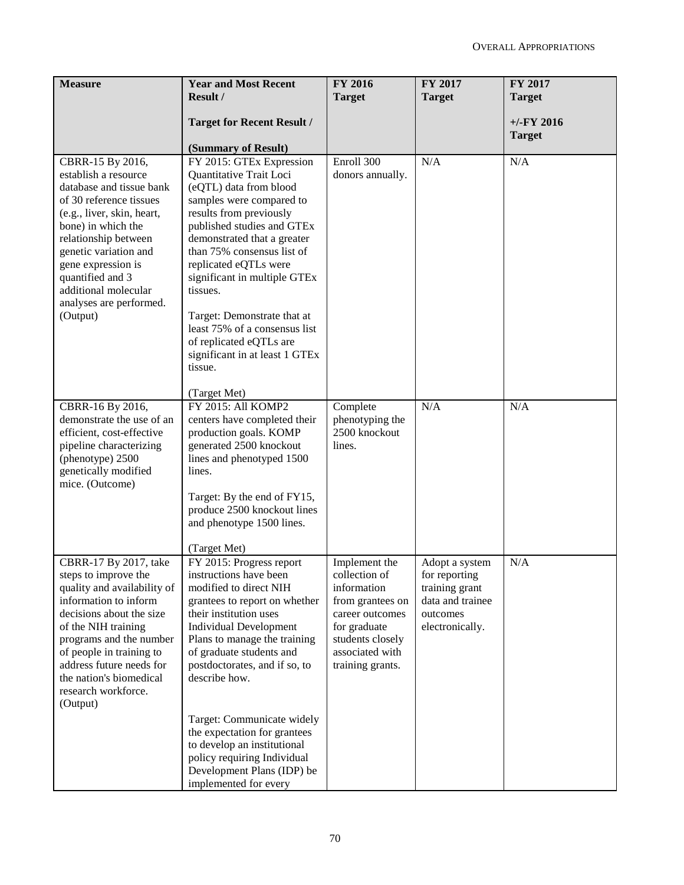| <b>Measure</b>                                                                                                                                                                                                                                                                                                | <b>Year and Most Recent</b><br>Result /                                                                                                                                                                                                                                                                                                                                                                                                                                   | FY 2016<br><b>Target</b>                                                                                                                                        | FY 2017<br><b>Target</b>                                                                             | FY 2017<br><b>Target</b>      |
|---------------------------------------------------------------------------------------------------------------------------------------------------------------------------------------------------------------------------------------------------------------------------------------------------------------|---------------------------------------------------------------------------------------------------------------------------------------------------------------------------------------------------------------------------------------------------------------------------------------------------------------------------------------------------------------------------------------------------------------------------------------------------------------------------|-----------------------------------------------------------------------------------------------------------------------------------------------------------------|------------------------------------------------------------------------------------------------------|-------------------------------|
|                                                                                                                                                                                                                                                                                                               | <b>Target for Recent Result /</b><br>(Summary of Result)                                                                                                                                                                                                                                                                                                                                                                                                                  |                                                                                                                                                                 |                                                                                                      | $+/-FY$ 2016<br><b>Target</b> |
| CBRR-15 By 2016,<br>establish a resource<br>database and tissue bank<br>of 30 reference tissues<br>(e.g., liver, skin, heart,<br>bone) in which the<br>relationship between<br>genetic variation and<br>gene expression is<br>quantified and 3<br>additional molecular<br>analyses are performed.<br>(Output) | FY 2015: GTEx Expression<br>Quantitative Trait Loci<br>(eQTL) data from blood<br>samples were compared to<br>results from previously<br>published studies and GTEx<br>demonstrated that a greater<br>than 75% consensus list of<br>replicated eQTLs were<br>significant in multiple GTEx<br>tissues.<br>Target: Demonstrate that at<br>least 75% of a consensus list<br>of replicated eQTLs are<br>significant in at least 1 GTEx<br>tissue.<br>(Target Met)              | Enroll 300<br>donors annually.                                                                                                                                  | N/A                                                                                                  | N/A                           |
| CBRR-16 By 2016,<br>demonstrate the use of an<br>efficient, cost-effective<br>pipeline characterizing<br>(phenotype) 2500<br>genetically modified<br>mice. (Outcome)                                                                                                                                          | FY 2015: All KOMP2<br>centers have completed their<br>production goals. KOMP<br>generated 2500 knockout<br>lines and phenotyped 1500<br>lines.<br>Target: By the end of FY15,<br>produce 2500 knockout lines<br>and phenotype 1500 lines.<br>(Target Met)                                                                                                                                                                                                                 | Complete<br>phenotyping the<br>2500 knockout<br>lines.                                                                                                          | N/A                                                                                                  | N/A                           |
| CBRR-17 By 2017, take<br>steps to improve the<br>quality and availability of<br>information to inform<br>decisions about the size<br>of the NIH training<br>programs and the number<br>of people in training to<br>address future needs for<br>the nation's biomedical<br>research workforce.<br>(Output)     | FY 2015: Progress report<br>instructions have been<br>modified to direct NIH<br>grantees to report on whether<br>their institution uses<br><b>Individual Development</b><br>Plans to manage the training<br>of graduate students and<br>postdoctorates, and if so, to<br>describe how.<br>Target: Communicate widely<br>the expectation for grantees<br>to develop an institutional<br>policy requiring Individual<br>Development Plans (IDP) be<br>implemented for every | Implement the<br>collection of<br>information<br>from grantees on<br>career outcomes<br>for graduate<br>students closely<br>associated with<br>training grants. | Adopt a system<br>for reporting<br>training grant<br>data and trainee<br>outcomes<br>electronically. | N/A                           |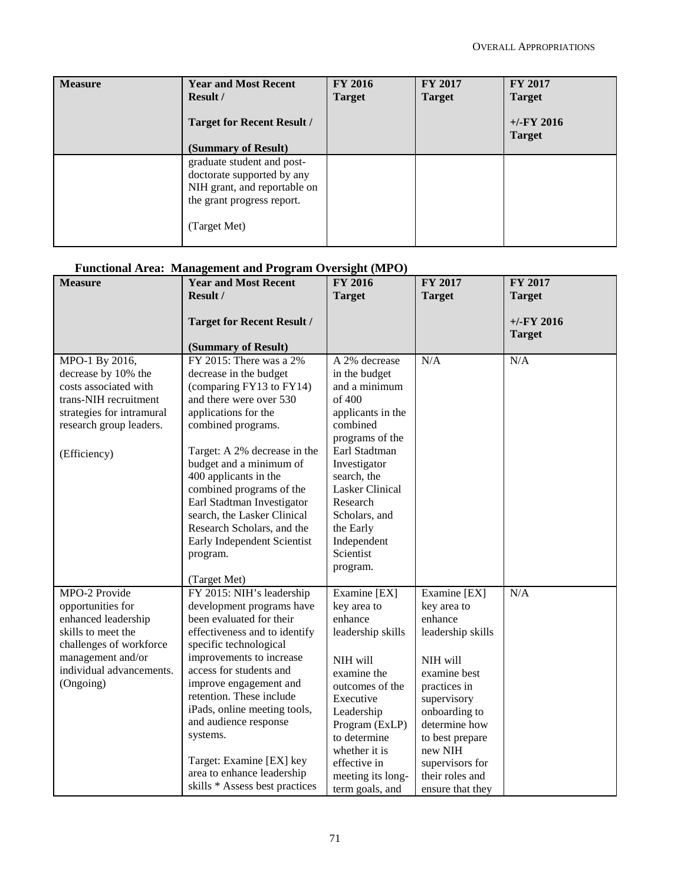| <b>Measure</b> | <b>Year and Most Recent</b><br>Result /<br><b>Target for Recent Result /</b><br>(Summary of Result)                                    | <b>FY 2016</b><br><b>Target</b> | FY 2017<br><b>Target</b> | FY 2017<br><b>Target</b><br>$+/-$ FY 2016<br><b>Target</b> |
|----------------|----------------------------------------------------------------------------------------------------------------------------------------|---------------------------------|--------------------------|------------------------------------------------------------|
|                | graduate student and post-<br>doctorate supported by any<br>NIH grant, and reportable on<br>the grant progress report.<br>(Target Met) |                                 |                          |                                                            |

## **Functional Area: Management and Program Oversight (MPO)**

| <b>Measure</b>                                                                                                                                                           | <b>Year and Most Recent</b>                                                                                                                                                                                                                                                                                                                                                                                                  | <b>FY 2016</b>                                                                                                                                                                                                                                                              | FY 2017                                                                                                                                                                                                                                          | FY 2017                       |
|--------------------------------------------------------------------------------------------------------------------------------------------------------------------------|------------------------------------------------------------------------------------------------------------------------------------------------------------------------------------------------------------------------------------------------------------------------------------------------------------------------------------------------------------------------------------------------------------------------------|-----------------------------------------------------------------------------------------------------------------------------------------------------------------------------------------------------------------------------------------------------------------------------|--------------------------------------------------------------------------------------------------------------------------------------------------------------------------------------------------------------------------------------------------|-------------------------------|
|                                                                                                                                                                          | Result /                                                                                                                                                                                                                                                                                                                                                                                                                     | <b>Target</b>                                                                                                                                                                                                                                                               | <b>Target</b>                                                                                                                                                                                                                                    | <b>Target</b>                 |
|                                                                                                                                                                          | <b>Target for Recent Result /</b><br>(Summary of Result)                                                                                                                                                                                                                                                                                                                                                                     |                                                                                                                                                                                                                                                                             |                                                                                                                                                                                                                                                  | $+/-FY$ 2016<br><b>Target</b> |
| MPO-1 By 2016,<br>decrease by 10% the<br>costs associated with<br>trans-NIH recruitment<br>strategies for intramural<br>research group leaders.<br>(Efficiency)          | FY 2015: There was a 2%<br>decrease in the budget<br>(comparing FY13 to FY14)<br>and there were over 530<br>applications for the<br>combined programs.<br>Target: A 2% decrease in the<br>budget and a minimum of<br>400 applicants in the<br>combined programs of the<br>Earl Stadtman Investigator<br>search, the Lasker Clinical<br>Research Scholars, and the<br>Early Independent Scientist<br>program.<br>(Target Met) | A 2% decrease<br>in the budget<br>and a minimum<br>of $400$<br>applicants in the<br>combined<br>programs of the<br>Earl Stadtman<br>Investigator<br>search, the<br><b>Lasker Clinical</b><br>Research<br>Scholars, and<br>the Early<br>Independent<br>Scientist<br>program. | N/A                                                                                                                                                                                                                                              | N/A                           |
| MPO-2 Provide<br>opportunities for<br>enhanced leadership<br>skills to meet the<br>challenges of workforce<br>management and/or<br>individual advancements.<br>(Ongoing) | FY 2015: NIH's leadership<br>development programs have<br>been evaluated for their<br>effectiveness and to identify<br>specific technological<br>improvements to increase<br>access for students and<br>improve engagement and<br>retention. These include<br>iPads, online meeting tools,<br>and audience response<br>systems.<br>Target: Examine [EX] key<br>area to enhance leadership<br>skills * Assess best practices  | Examine [EX]<br>key area to<br>enhance<br>leadership skills<br>NIH will<br>examine the<br>outcomes of the<br>Executive<br>Leadership<br>Program (ExLP)<br>to determine<br>whether it is<br>effective in<br>meeting its long-<br>term goals, and                             | Examine [EX]<br>key area to<br>enhance<br>leadership skills<br>NIH will<br>examine best<br>practices in<br>supervisory<br>onboarding to<br>determine how<br>to best prepare<br>new NIH<br>supervisors for<br>their roles and<br>ensure that they | N/A                           |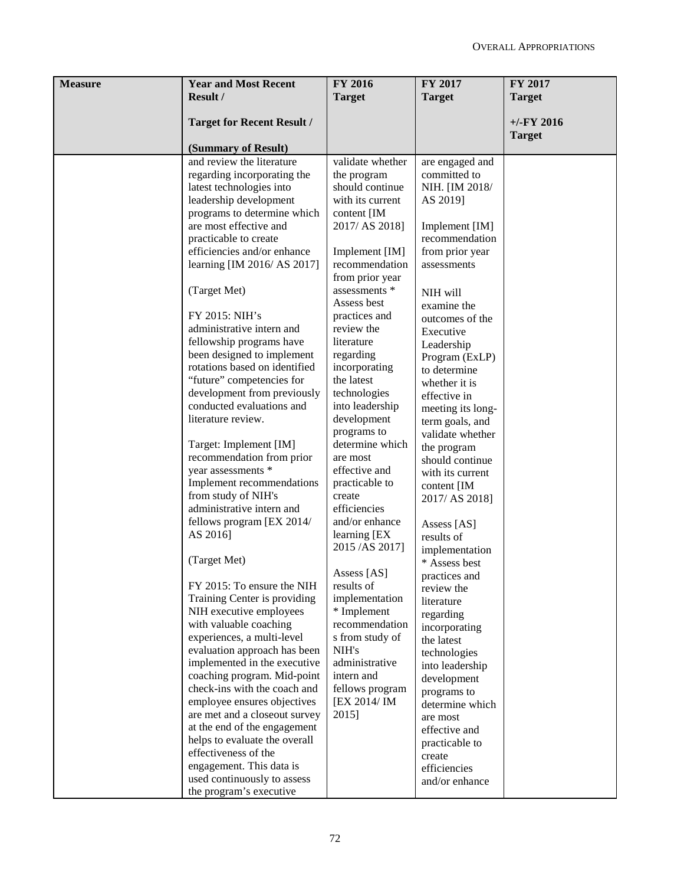| <b>Measure</b> | <b>Year and Most Recent</b><br>Result /                                                                                                                                                                                                                                                                                                                                                                                                                                                                                                                                                                                                                                                                                      | <b>FY 2016</b><br><b>Target</b>                                                                                                                                                                                                                                                                                                                                                                                                                      | FY 2017<br><b>Target</b>                                                                                                                                                                                                                                                                                                                                                                                                           | FY 2017<br><b>Target</b>      |
|----------------|------------------------------------------------------------------------------------------------------------------------------------------------------------------------------------------------------------------------------------------------------------------------------------------------------------------------------------------------------------------------------------------------------------------------------------------------------------------------------------------------------------------------------------------------------------------------------------------------------------------------------------------------------------------------------------------------------------------------------|------------------------------------------------------------------------------------------------------------------------------------------------------------------------------------------------------------------------------------------------------------------------------------------------------------------------------------------------------------------------------------------------------------------------------------------------------|------------------------------------------------------------------------------------------------------------------------------------------------------------------------------------------------------------------------------------------------------------------------------------------------------------------------------------------------------------------------------------------------------------------------------------|-------------------------------|
|                | <b>Target for Recent Result /</b>                                                                                                                                                                                                                                                                                                                                                                                                                                                                                                                                                                                                                                                                                            |                                                                                                                                                                                                                                                                                                                                                                                                                                                      |                                                                                                                                                                                                                                                                                                                                                                                                                                    | $+/-FY$ 2016<br><b>Target</b> |
|                | (Summary of Result)<br>and review the literature<br>regarding incorporating the<br>latest technologies into<br>leadership development<br>programs to determine which<br>are most effective and<br>practicable to create<br>efficiencies and/or enhance<br>learning [IM 2016/ AS 2017]<br>(Target Met)<br>FY 2015: NIH's<br>administrative intern and<br>fellowship programs have<br>been designed to implement<br>rotations based on identified<br>"future" competencies for<br>development from previously<br>conducted evaluations and<br>literature review.<br>Target: Implement [IM]<br>recommendation from prior<br>year assessments *<br>Implement recommendations<br>from study of NIH's<br>administrative intern and | validate whether<br>the program<br>should continue<br>with its current<br>content [IM<br>2017/ AS 2018]<br>Implement [IM]<br>recommendation<br>from prior year<br>assessments *<br>Assess best<br>practices and<br>review the<br>literature<br>regarding<br>incorporating<br>the latest<br>technologies<br>into leadership<br>development<br>programs to<br>determine which<br>are most<br>effective and<br>practicable to<br>create<br>efficiencies | are engaged and<br>committed to<br>NIH. [IM 2018/<br>AS 2019]<br>Implement [IM]<br>recommendation<br>from prior year<br>assessments<br>NIH will<br>examine the<br>outcomes of the<br>Executive<br>Leadership<br>Program (ExLP)<br>to determine<br>whether it is<br>effective in<br>meeting its long-<br>term goals, and<br>validate whether<br>the program<br>should continue<br>with its current<br>content [IM<br>2017/ AS 2018] |                               |
|                | fellows program [EX 2014/<br>AS 2016]<br>(Target Met)<br>FY 2015: To ensure the NIH<br>Training Center is providing<br>NIH executive employees<br>with valuable coaching<br>experiences, a multi-level<br>evaluation approach has been<br>implemented in the executive<br>coaching program. Mid-point<br>check-ins with the coach and<br>employee ensures objectives<br>are met and a closeout survey<br>at the end of the engagement<br>helps to evaluate the overall<br>effectiveness of the<br>engagement. This data is<br>used continuously to assess<br>the program's executive                                                                                                                                         | and/or enhance<br>learning [EX<br>2015/AS 2017]<br>Assess [AS]<br>results of<br>implementation<br>* Implement<br>recommendation<br>s from study of<br>NIH's<br>administrative<br>intern and<br>fellows program<br>[EX 2014/IM<br>2015]                                                                                                                                                                                                               | Assess [AS]<br>results of<br>implementation<br>* Assess best<br>practices and<br>review the<br>literature<br>regarding<br>incorporating<br>the latest<br>technologies<br>into leadership<br>development<br>programs to<br>determine which<br>are most<br>effective and<br>practicable to<br>create<br>efficiencies<br>and/or enhance                                                                                               |                               |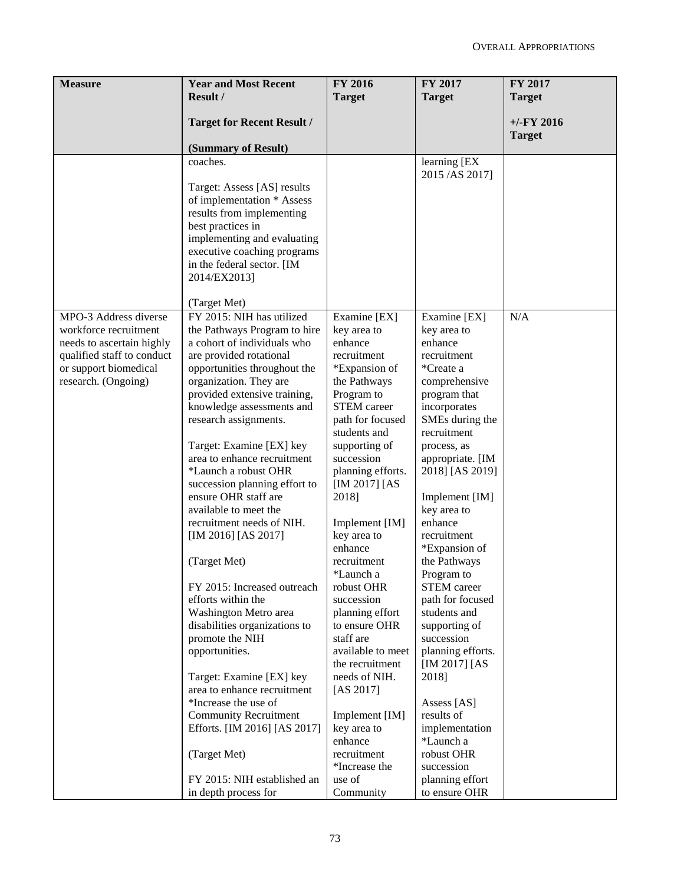| <b>Measure</b>                               | <b>Year and Most Recent</b><br>Result /                    | <b>FY 2016</b><br><b>Target</b>  | FY 2017<br><b>Target</b>            | FY 2017<br><b>Target</b>      |
|----------------------------------------------|------------------------------------------------------------|----------------------------------|-------------------------------------|-------------------------------|
|                                              |                                                            |                                  |                                     |                               |
|                                              | <b>Target for Recent Result /</b>                          |                                  |                                     | $+/-FY$ 2016<br><b>Target</b> |
|                                              | (Summary of Result)                                        |                                  |                                     |                               |
|                                              | coaches.                                                   |                                  | learning [EX]                       |                               |
|                                              | Target: Assess [AS] results                                |                                  | 2015/AS 2017]                       |                               |
|                                              | of implementation * Assess                                 |                                  |                                     |                               |
|                                              | results from implementing                                  |                                  |                                     |                               |
|                                              | best practices in                                          |                                  |                                     |                               |
|                                              | implementing and evaluating<br>executive coaching programs |                                  |                                     |                               |
|                                              | in the federal sector. [IM                                 |                                  |                                     |                               |
|                                              | 2014/EX2013]                                               |                                  |                                     |                               |
|                                              | (Target Met)                                               |                                  |                                     |                               |
| MPO-3 Address diverse                        | FY 2015: NIH has utilized                                  | Examine [EX]                     | Examine [EX]                        | N/A                           |
| workforce recruitment                        | the Pathways Program to hire                               | key area to                      | key area to                         |                               |
| needs to ascertain highly                    | a cohort of individuals who                                | enhance                          | enhance                             |                               |
| qualified staff to conduct                   | are provided rotational                                    | recruitment                      | recruitment                         |                               |
| or support biomedical<br>research. (Ongoing) | opportunities throughout the<br>organization. They are     | *Expansion of<br>the Pathways    | *Create a<br>comprehensive          |                               |
|                                              | provided extensive training,                               | Program to                       | program that                        |                               |
|                                              | knowledge assessments and                                  | <b>STEM</b> career               | incorporates                        |                               |
|                                              | research assignments.                                      | path for focused                 | SMEs during the                     |                               |
|                                              |                                                            | students and                     | recruitment                         |                               |
|                                              | Target: Examine [EX] key<br>area to enhance recruitment    | supporting of<br>succession      | process, as                         |                               |
|                                              | *Launch a robust OHR                                       | planning efforts.                | appropriate. [IM<br>2018] [AS 2019] |                               |
|                                              | succession planning effort to                              | [IM 2017] [AS                    |                                     |                               |
|                                              | ensure OHR staff are                                       | 2018]                            | Implement [IM]                      |                               |
|                                              | available to meet the                                      |                                  | key area to                         |                               |
|                                              | recruitment needs of NIH.<br>[IM 2016] [AS 2017]           | Implement [IM]                   | enhance                             |                               |
|                                              |                                                            | key area to<br>enhance           | recruitment<br>*Expansion of        |                               |
|                                              | (Target Met)                                               | recruitment                      | the Pathways                        |                               |
|                                              |                                                            | *Launch a                        | Program to                          |                               |
|                                              | FY 2015: Increased outreach                                | robust OHR                       | <b>STEM</b> career                  |                               |
|                                              | efforts within the<br>Washington Metro area                | succession                       | path for focused<br>students and    |                               |
|                                              | disabilities organizations to                              | planning effort<br>to ensure OHR | supporting of                       |                               |
|                                              | promote the NIH                                            | staff are                        | succession                          |                               |
|                                              | opportunities.                                             | available to meet                | planning efforts.                   |                               |
|                                              |                                                            | the recruitment                  | [IM 2017] [AS                       |                               |
|                                              | Target: Examine [EX] key<br>area to enhance recruitment    | needs of NIH.                    | 2018]                               |                               |
|                                              | *Increase the use of                                       | [AS 2017]                        | Assess [AS]                         |                               |
|                                              | <b>Community Recruitment</b>                               | Implement [IM]                   | results of                          |                               |
|                                              | Efforts. [IM 2016] [AS 2017]                               | key area to                      | implementation                      |                               |
|                                              |                                                            | enhance                          | *Launch a                           |                               |
|                                              | (Target Met)                                               | recruitment<br>*Increase the     | robust OHR<br>succession            |                               |
|                                              | FY 2015: NIH established an                                | use of                           | planning effort                     |                               |
|                                              | in depth process for                                       | Community                        | to ensure OHR                       |                               |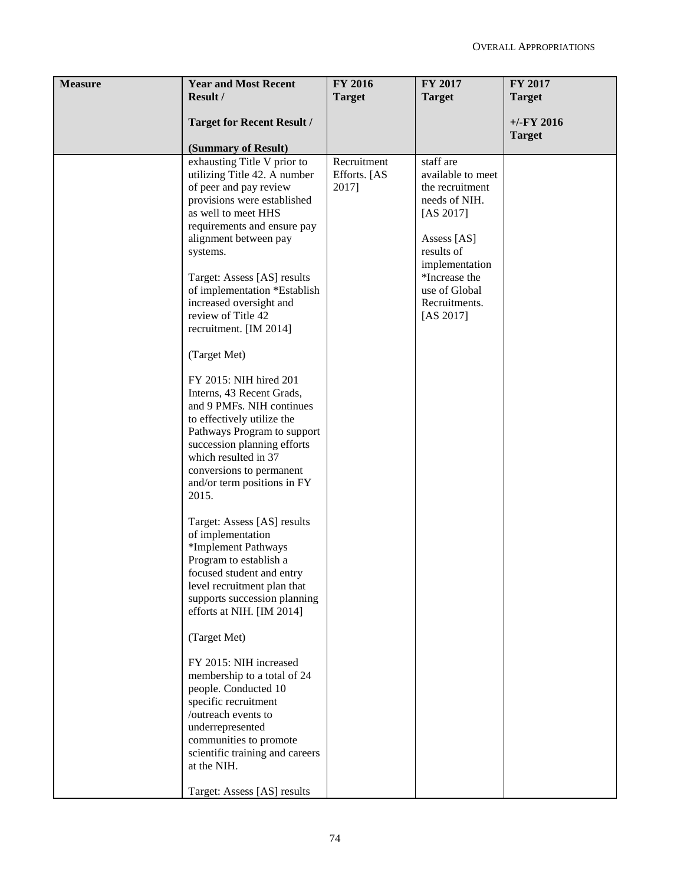| <b>Measure</b> | <b>Year and Most Recent</b>                                                                                                                                                                                                                                                                                                                                                                                                                                                                                                                                                                                                                                                                                                                                                                                                                                                                                                                                                                                                                                                                                                                                | <b>FY 2016</b>                       | FY 2017                                                                                                                                                                                        | <b>FY 2017</b> |
|----------------|------------------------------------------------------------------------------------------------------------------------------------------------------------------------------------------------------------------------------------------------------------------------------------------------------------------------------------------------------------------------------------------------------------------------------------------------------------------------------------------------------------------------------------------------------------------------------------------------------------------------------------------------------------------------------------------------------------------------------------------------------------------------------------------------------------------------------------------------------------------------------------------------------------------------------------------------------------------------------------------------------------------------------------------------------------------------------------------------------------------------------------------------------------|--------------------------------------|------------------------------------------------------------------------------------------------------------------------------------------------------------------------------------------------|----------------|
|                | Result /                                                                                                                                                                                                                                                                                                                                                                                                                                                                                                                                                                                                                                                                                                                                                                                                                                                                                                                                                                                                                                                                                                                                                   | <b>Target</b>                        | <b>Target</b>                                                                                                                                                                                  | <b>Target</b>  |
|                | <b>Target for Recent Result /</b>                                                                                                                                                                                                                                                                                                                                                                                                                                                                                                                                                                                                                                                                                                                                                                                                                                                                                                                                                                                                                                                                                                                          |                                      |                                                                                                                                                                                                | $+/-FY$ 2016   |
|                |                                                                                                                                                                                                                                                                                                                                                                                                                                                                                                                                                                                                                                                                                                                                                                                                                                                                                                                                                                                                                                                                                                                                                            |                                      |                                                                                                                                                                                                | <b>Target</b>  |
|                | (Summary of Result)<br>exhausting Title V prior to<br>utilizing Title 42. A number<br>of peer and pay review<br>provisions were established<br>as well to meet HHS<br>requirements and ensure pay<br>alignment between pay<br>systems.<br>Target: Assess [AS] results<br>of implementation *Establish<br>increased oversight and<br>review of Title 42<br>recruitment. [IM 2014]<br>(Target Met)<br>FY 2015: NIH hired 201<br>Interns, 43 Recent Grads,<br>and 9 PMFs. NIH continues<br>to effectively utilize the<br>Pathways Program to support<br>succession planning efforts<br>which resulted in 37<br>conversions to permanent<br>and/or term positions in FY<br>2015.<br>Target: Assess [AS] results<br>of implementation<br>*Implement Pathways<br>Program to establish a<br>focused student and entry<br>level recruitment plan that<br>supports succession planning<br>efforts at NIH. [IM 2014]<br>(Target Met)<br>FY 2015: NIH increased<br>membership to a total of 24<br>people. Conducted 10<br>specific recruitment<br>/outreach events to<br>underrepresented<br>communities to promote<br>scientific training and careers<br>at the NIH. | Recruitment<br>Efforts. [AS<br>2017] | staff are<br>available to meet<br>the recruitment<br>needs of NIH.<br>[AS 2017]<br>Assess [AS]<br>results of<br>implementation<br>*Increase the<br>use of Global<br>Recruitments.<br>[AS 2017] |                |
|                | Target: Assess [AS] results                                                                                                                                                                                                                                                                                                                                                                                                                                                                                                                                                                                                                                                                                                                                                                                                                                                                                                                                                                                                                                                                                                                                |                                      |                                                                                                                                                                                                |                |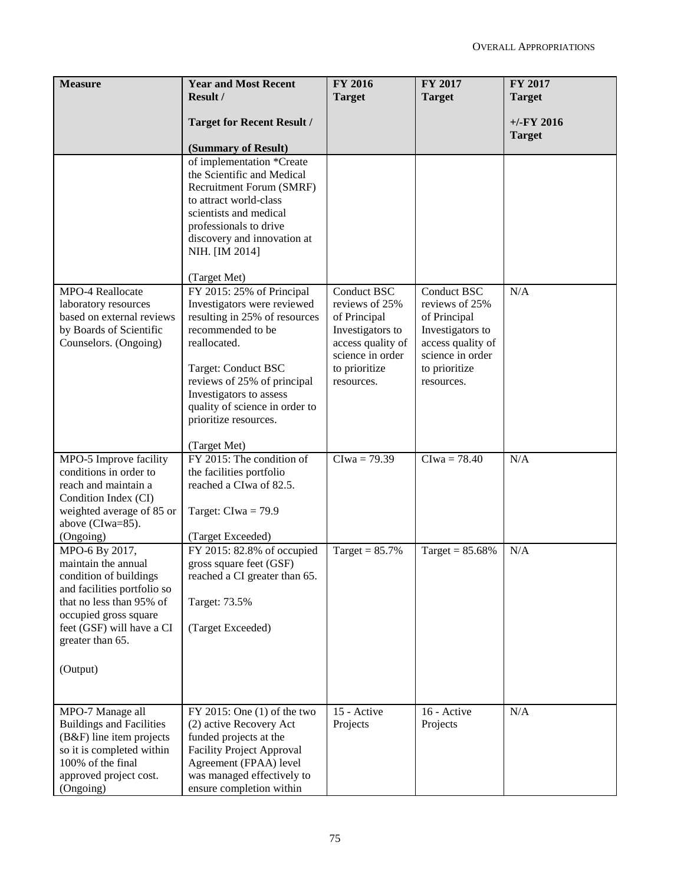| <b>Measure</b>                                        | <b>Year and Most Recent</b><br>Result /               | <b>FY 2016</b><br><b>Target</b>  | FY 2017<br><b>Target</b>         | FY 2017<br><b>Target</b> |
|-------------------------------------------------------|-------------------------------------------------------|----------------------------------|----------------------------------|--------------------------|
|                                                       | <b>Target for Recent Result /</b>                     |                                  |                                  | $+/-FY$ 2016             |
|                                                       | (Summary of Result)                                   |                                  |                                  | <b>Target</b>            |
|                                                       | of implementation *Create                             |                                  |                                  |                          |
|                                                       | the Scientific and Medical                            |                                  |                                  |                          |
|                                                       | Recruitment Forum (SMRF)                              |                                  |                                  |                          |
|                                                       | to attract world-class                                |                                  |                                  |                          |
|                                                       | scientists and medical                                |                                  |                                  |                          |
|                                                       | professionals to drive<br>discovery and innovation at |                                  |                                  |                          |
|                                                       | NIH. [IM 2014]                                        |                                  |                                  |                          |
|                                                       | (Target Met)                                          |                                  |                                  |                          |
| MPO-4 Reallocate                                      | FY 2015: 25% of Principal                             | Conduct BSC                      | Conduct BSC                      | N/A                      |
| laboratory resources                                  | Investigators were reviewed                           | reviews of 25%                   | reviews of 25%                   |                          |
| based on external reviews<br>by Boards of Scientific  | resulting in 25% of resources<br>recommended to be    | of Principal<br>Investigators to | of Principal<br>Investigators to |                          |
| Counselors. (Ongoing)                                 | reallocated.                                          | access quality of                | access quality of                |                          |
|                                                       |                                                       | science in order                 | science in order                 |                          |
|                                                       | Target: Conduct BSC                                   | to prioritize                    | to prioritize                    |                          |
|                                                       | reviews of 25% of principal                           | resources.                       | resources.                       |                          |
|                                                       | Investigators to assess                               |                                  |                                  |                          |
|                                                       | quality of science in order to                        |                                  |                                  |                          |
|                                                       | prioritize resources.                                 |                                  |                                  |                          |
|                                                       | (Target Met)                                          |                                  |                                  |                          |
| MPO-5 Improve facility                                | FY 2015: The condition of                             | $Clwa = 79.39$                   | $Clwa = 78.40$                   | N/A                      |
| conditions in order to<br>reach and maintain a        | the facilities portfolio<br>reached a CIwa of 82.5.   |                                  |                                  |                          |
| Condition Index (CI)                                  |                                                       |                                  |                                  |                          |
| weighted average of 85 or                             | Target: $Clwa = 79.9$                                 |                                  |                                  |                          |
| above (CIwa=85).                                      |                                                       |                                  |                                  |                          |
| (Ongoing)                                             | (Target Exceeded)                                     |                                  |                                  |                          |
| MPO-6 By 2017,                                        | FY 2015: 82.8% of occupied                            | Target = $85.7\%$                | Target = $85.68\%$               | N/A                      |
| maintain the annual                                   | gross square feet (GSF)                               |                                  |                                  |                          |
| condition of buildings<br>and facilities portfolio so | reached a CI greater than 65.                         |                                  |                                  |                          |
| that no less than 95% of                              | Target: 73.5%                                         |                                  |                                  |                          |
| occupied gross square                                 |                                                       |                                  |                                  |                          |
| feet (GSF) will have a CI                             | (Target Exceeded)                                     |                                  |                                  |                          |
| greater than 65.                                      |                                                       |                                  |                                  |                          |
| (Output)                                              |                                                       |                                  |                                  |                          |
|                                                       |                                                       |                                  |                                  |                          |
|                                                       | FY 2015: One $(1)$ of the two                         | 15 - Active                      | 16 - Active                      | N/A                      |
| MPO-7 Manage all<br><b>Buildings and Facilities</b>   | (2) active Recovery Act                               | Projects                         | Projects                         |                          |
| (B&F) line item projects                              | funded projects at the                                |                                  |                                  |                          |
| so it is completed within                             | <b>Facility Project Approval</b>                      |                                  |                                  |                          |
| 100% of the final                                     | Agreement (FPAA) level                                |                                  |                                  |                          |
| approved project cost.                                | was managed effectively to                            |                                  |                                  |                          |
| (Ongoing)                                             | ensure completion within                              |                                  |                                  |                          |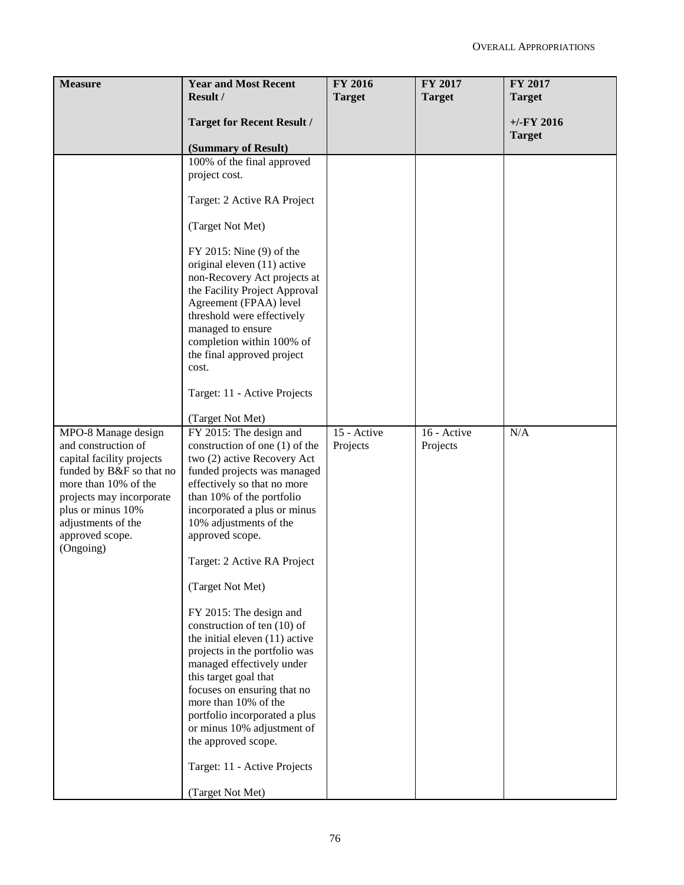| <b>Measure</b>                                                                                                                                                                                              | <b>Year and Most Recent</b><br>Result /                                                                                                                                                                                                                                                                                                                                                                               | <b>FY 2016</b><br><b>Target</b> | <b>FY 2017</b><br><b>Target</b> | FY 2017<br><b>Target</b> |
|-------------------------------------------------------------------------------------------------------------------------------------------------------------------------------------------------------------|-----------------------------------------------------------------------------------------------------------------------------------------------------------------------------------------------------------------------------------------------------------------------------------------------------------------------------------------------------------------------------------------------------------------------|---------------------------------|---------------------------------|--------------------------|
|                                                                                                                                                                                                             | <b>Target for Recent Result /</b>                                                                                                                                                                                                                                                                                                                                                                                     |                                 |                                 | $+/-FY$ 2016             |
|                                                                                                                                                                                                             | (Summary of Result)                                                                                                                                                                                                                                                                                                                                                                                                   |                                 |                                 | <b>Target</b>            |
|                                                                                                                                                                                                             | 100% of the final approved                                                                                                                                                                                                                                                                                                                                                                                            |                                 |                                 |                          |
|                                                                                                                                                                                                             | project cost.                                                                                                                                                                                                                                                                                                                                                                                                         |                                 |                                 |                          |
|                                                                                                                                                                                                             | Target: 2 Active RA Project                                                                                                                                                                                                                                                                                                                                                                                           |                                 |                                 |                          |
|                                                                                                                                                                                                             | (Target Not Met)                                                                                                                                                                                                                                                                                                                                                                                                      |                                 |                                 |                          |
|                                                                                                                                                                                                             | $FY$ 2015: Nine $(9)$ of the                                                                                                                                                                                                                                                                                                                                                                                          |                                 |                                 |                          |
|                                                                                                                                                                                                             | original eleven (11) active<br>non-Recovery Act projects at                                                                                                                                                                                                                                                                                                                                                           |                                 |                                 |                          |
|                                                                                                                                                                                                             | the Facility Project Approval                                                                                                                                                                                                                                                                                                                                                                                         |                                 |                                 |                          |
|                                                                                                                                                                                                             | Agreement (FPAA) level<br>threshold were effectively                                                                                                                                                                                                                                                                                                                                                                  |                                 |                                 |                          |
|                                                                                                                                                                                                             | managed to ensure<br>completion within 100% of                                                                                                                                                                                                                                                                                                                                                                        |                                 |                                 |                          |
|                                                                                                                                                                                                             | the final approved project                                                                                                                                                                                                                                                                                                                                                                                            |                                 |                                 |                          |
|                                                                                                                                                                                                             | cost.                                                                                                                                                                                                                                                                                                                                                                                                                 |                                 |                                 |                          |
|                                                                                                                                                                                                             | Target: 11 - Active Projects                                                                                                                                                                                                                                                                                                                                                                                          |                                 |                                 |                          |
| MPO-8 Manage design                                                                                                                                                                                         | (Target Not Met)<br>FY 2015: The design and                                                                                                                                                                                                                                                                                                                                                                           | $\overline{15}$ - Active        | 16 - Active                     | N/A                      |
| and construction of<br>capital facility projects<br>funded by B&F so that no<br>more than 10% of the<br>projects may incorporate<br>plus or minus 10%<br>adjustments of the<br>approved scope.<br>(Ongoing) | construction of one (1) of the<br>two (2) active Recovery Act<br>funded projects was managed<br>effectively so that no more<br>than 10% of the portfolio<br>incorporated a plus or minus<br>10% adjustments of the<br>approved scope.<br>Target: 2 Active RA Project<br>(Target Not Met)<br>FY 2015: The design and<br>construction of ten (10) of<br>the initial eleven (11) active<br>projects in the portfolio was | Projects                        | Projects                        |                          |
|                                                                                                                                                                                                             | managed effectively under                                                                                                                                                                                                                                                                                                                                                                                             |                                 |                                 |                          |
|                                                                                                                                                                                                             | this target goal that<br>focuses on ensuring that no                                                                                                                                                                                                                                                                                                                                                                  |                                 |                                 |                          |
|                                                                                                                                                                                                             | more than 10% of the<br>portfolio incorporated a plus                                                                                                                                                                                                                                                                                                                                                                 |                                 |                                 |                          |
|                                                                                                                                                                                                             | or minus 10% adjustment of<br>the approved scope.                                                                                                                                                                                                                                                                                                                                                                     |                                 |                                 |                          |
|                                                                                                                                                                                                             | Target: 11 - Active Projects                                                                                                                                                                                                                                                                                                                                                                                          |                                 |                                 |                          |
|                                                                                                                                                                                                             | (Target Not Met)                                                                                                                                                                                                                                                                                                                                                                                                      |                                 |                                 |                          |